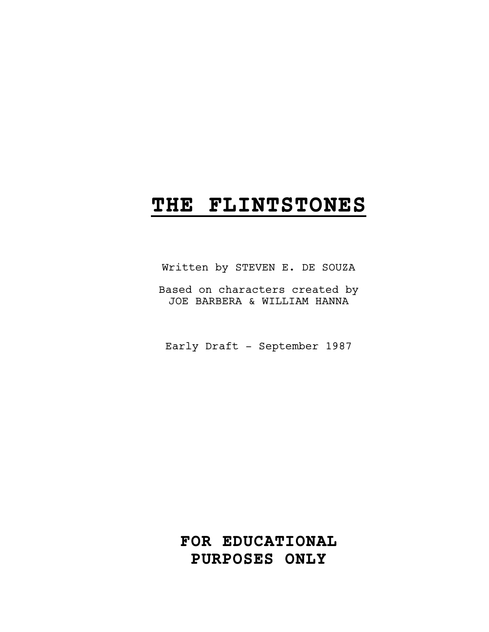# **THE FLINTSTONES**

Written by STEVEN E. DE SOUZA

Based on characters created by JOE BARBERA & WILLIAM HANNA

Early Draft - September 1987

**FOR EDUCATIONAL PURPOSES ONLY**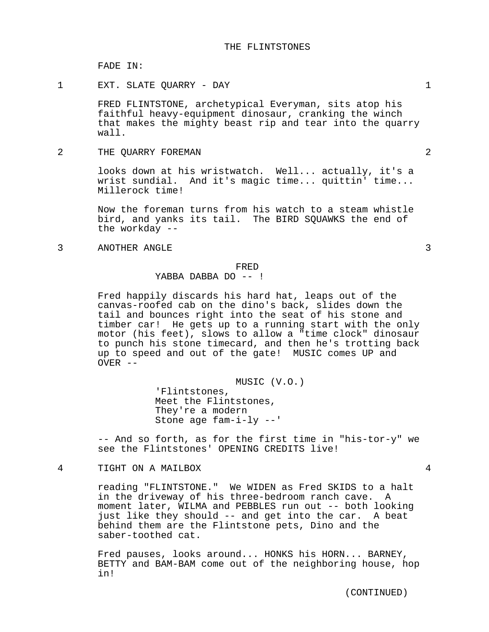FADE IN:

1 EXT. SLATE QUARRY - DAY 1

FRED FLINTSTONE, archetypical Everyman, sits atop his faithful heavy-equipment dinosaur, cranking the winch that makes the mighty beast rip and tear into the quarry wall.

2 THE QUARRY FOREMAN 2

looks down at his wristwatch. Well... actually, it's a wrist sundial. And it's magic time... quittin' time... Millerock time!

Now the foreman turns from his watch to a steam whistle bird, and yanks its tail. The BIRD SQUAWKS the end of the workday --

3 ANOTHER ANGLE 3

#### FRED

## YABBA DABBA DO -- !

Fred happily discards his hard hat, leaps out of the canvas-roofed cab on the dino's back, slides down the tail and bounces right into the seat of his stone and timber car! He gets up to a running start with the only motor (his feet), slows to allow a "time clock" dinosaur to punch his stone timecard, and then he's trotting back up to speed and out of the gate! MUSIC comes UP and OVER --

MUSIC (V.O.)

'Flintstones, Meet the Flintstones, They're a modern Stone age fam-i-ly --'

-- And so forth, as for the first time in "his-tor-y" we see the Flintstones' OPENING CREDITS live!

# 4 TIGHT ON A MAILBOX 4

reading "FLINTSTONE." We WIDEN as Fred SKIDS to a halt in the driveway of his three-bedroom ranch cave. moment later, WILMA and PEBBLES run out -- both looking just like they should -- and get into the car. A beat behind them are the Flintstone pets, Dino and the saber-toothed cat.

Fred pauses, looks around... HONKS his HORN... BARNEY, BETTY and BAM-BAM come out of the neighboring house, hop in!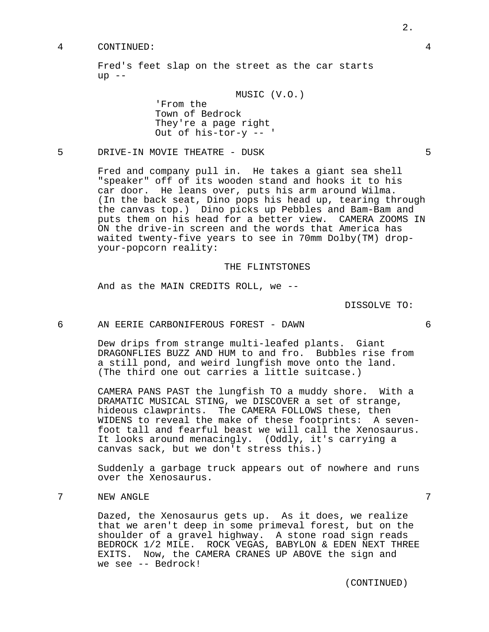## 4 CONTINUED: 4

Fred's feet slap on the street as the car starts  $up$   $--$ 

MUSIC (V.O.)

'From the Town of Bedrock They're a page right Out of his-tor-y -- '

5 DRIVE-IN MOVIE THEATRE - DUSK 5

Fred and company pull in. He takes a giant sea shell "speaker" off of its wooden stand and hooks it to his car door. He leans over, puts his arm around Wilma. (In the back seat, Dino pops his head up, tearing through the canvas top.) Dino picks up Pebbles and Bam-Bam and puts them on his head for a better view. CAMERA ZOOMS IN ON the drive-in screen and the words that America has waited twenty-five years to see in 70mm Dolby(TM) dropyour-popcorn reality:

## THE FLINTSTONES

And as the MAIN CREDITS ROLL, we --

DISSOLVE TO:

6 AN EERIE CARBONIFEROUS FOREST - DAWN 6

Dew drips from strange multi-leafed plants. Giant DRAGONFLIES BUZZ AND HUM to and fro. Bubbles rise from a still pond, and weird lungfish move onto the land. (The third one out carries a little suitcase.)

CAMERA PANS PAST the lungfish TO a muddy shore. With a DRAMATIC MUSICAL STING, we DISCOVER a set of strange, hideous clawprints. The CAMERA FOLLOWS these, then WIDENS to reveal the make of these footprints: A sevenfoot tall and fearful beast we will call the Xenosaurus. It looks around menacingly. (Oddly, it's carrying a canvas sack, but we don't stress this.)

Suddenly a garbage truck appears out of nowhere and runs over the Xenosaurus.

7 NEW ANGLE 7

Dazed, the Xenosaurus gets up. As it does, we realize that we aren't deep in some primeval forest, but on the shoulder of a gravel highway. A stone road sign reads BEDROCK 1/2 MILE. ROCK VEGAS, BABYLON & EDEN NEXT THREE EXITS. Now, the CAMERA CRANES UP ABOVE the sign and we see -- Bedrock!

(CONTINUED)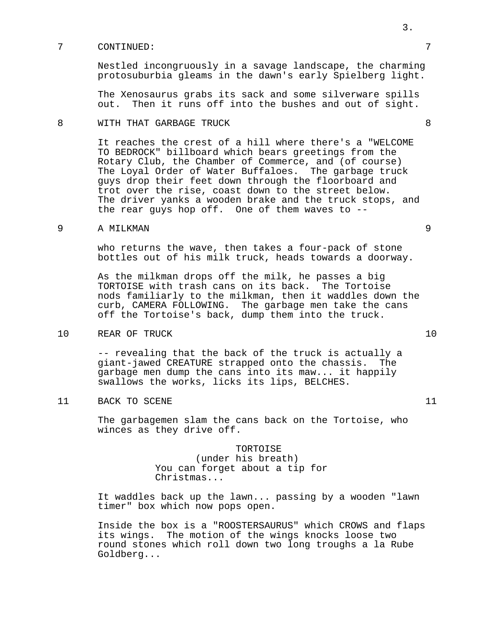## 7 CONTINUED: 7

Nestled incongruously in a savage landscape, the charming protosuburbia gleams in the dawn's early Spielberg light.

The Xenosaurus grabs its sack and some silverware spills out. Then it runs off into the bushes and out of sight.

# 8 WITH THAT GARBAGE TRUCK 8

It reaches the crest of a hill where there's a "WELCOME TO BEDROCK" billboard which bears greetings from the Rotary Club, the Chamber of Commerce, and (of course) The Loyal Order of Water Buffaloes. The garbage truck guys drop their feet down through the floorboard and trot over the rise, coast down to the street below. The driver yanks a wooden brake and the truck stops, and the rear guys hop off. One of them waves to --

# 9 A MILKMAN 9

who returns the wave, then takes a four-pack of stone bottles out of his milk truck, heads towards a doorway.

As the milkman drops off the milk, he passes a big TORTOISE with trash cans on its back. The Tortoise nods familiarly to the milkman, then it waddles down the curb, CAMERA FOLLOWING. The garbage men take the cans off the Tortoise's back, dump them into the truck.

10 REAR OF TRUCK 10

-- revealing that the back of the truck is actually a giant-jawed CREATURE strapped onto the chassis. The garbage men dump the cans into its maw... it happily swallows the works, licks its lips, BELCHES.

11 BACK TO SCENE 11

The garbagemen slam the cans back on the Tortoise, who winces as they drive off.

> TORTOISE (under his breath) You can forget about a tip for Christmas...

It waddles back up the lawn... passing by a wooden "lawn timer" box which now pops open.

Inside the box is a "ROOSTERSAURUS" which CROWS and flaps its wings. The motion of the wings knocks loose two round stones which roll down two long troughs a la Rube Goldberg...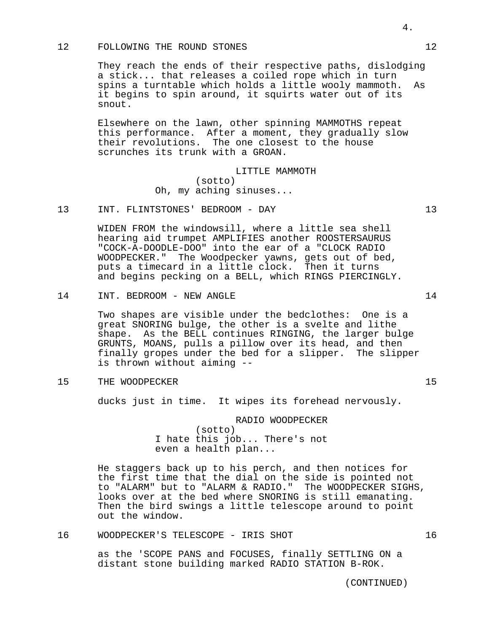## 12 FOLLOWING THE ROUND STONES 12

They reach the ends of their respective paths, dislodging a stick... that releases a coiled rope which in turn spins a turntable which holds a little wooly mammoth. As it begins to spin around, it squirts water out of its snout.

Elsewhere on the lawn, other spinning MAMMOTHS repeat this performance. After a moment, they gradually slow their revolutions. The one closest to the house scrunches its trunk with a GROAN.

> LITTLE MAMMOTH (sotto) Oh, my aching sinuses...

13 INT. FLINTSTONES' BEDROOM - DAY 13

WIDEN FROM the windowsill, where a little sea shell hearing aid trumpet AMPLIFIES another ROOSTERSAURUS "COCK-A-DOODLE-DOO" into the ear of a "CLOCK RADIO WOODPECKER." The Woodpecker yawns, gets out of bed, puts a timecard in a little clock. Then it turns and begins pecking on a BELL, which RINGS PIERCINGLY.

14 INT. BEDROOM - NEW ANGLE 14

Two shapes are visible under the bedclothes: One is a great SNORING bulge, the other is a svelte and lithe shape. As the BELL continues RINGING, the larger bulge GRUNTS, MOANS, pulls a pillow over its head, and then finally gropes under the bed for a slipper. The slipper is thrown without aiming --

15 THE WOODPECKER 15

ducks just in time. It wipes its forehead nervously.

RADIO WOODPECKER (sotto) I hate this job... There's not even a health plan...

He staggers back up to his perch, and then notices for the first time that the dial on the side is pointed not to "ALARM" but to "ALARM & RADIO." The WOODPECKER SIGHS, looks over at the bed where SNORING is still emanating. Then the bird swings a little telescope around to point out the window.

16 WOODPECKER'S TELESCOPE - IRIS SHOT 16

as the 'SCOPE PANS and FOCUSES, finally SETTLING ON a distant stone building marked RADIO STATION B-ROK.

(CONTINUED)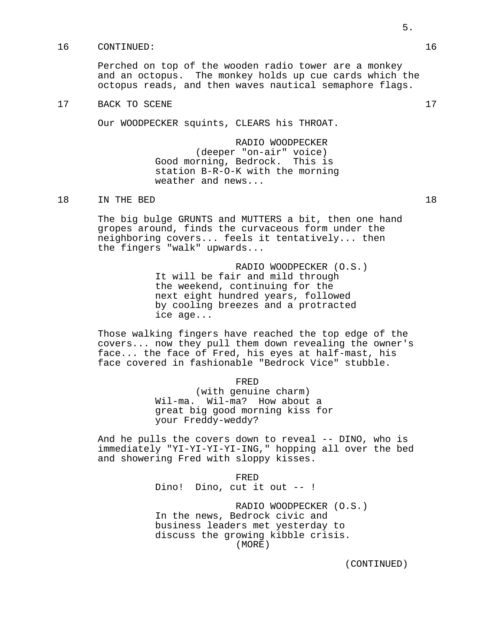## 16 CONTINUED: 16

Perched on top of the wooden radio tower are a monkey and an octopus. The monkey holds up cue cards which the octopus reads, and then waves nautical semaphore flags.

## 17 BACK TO SCENE 17

Our WOODPECKER squints, CLEARS his THROAT.

RADIO WOODPECKER (deeper "on-air" voice) Good morning, Bedrock. This is station B-R-O-K with the morning weather and news...

18 IN THE BED 18

The big bulge GRUNTS and MUTTERS a bit, then one hand gropes around, finds the curvaceous form under the neighboring covers... feels it tentatively... then the fingers "walk" upwards...

> RADIO WOODPECKER (O.S.) It will be fair and mild through the weekend, continuing for the next eight hundred years, followed by cooling breezes and a protracted ice age...

Those walking fingers have reached the top edge of the covers... now they pull them down revealing the owner's face... the face of Fred, his eyes at half-mast, his face covered in fashionable "Bedrock Vice" stubble.

```
FRED
```
(with genuine charm) Wil-ma. Wil-ma? How about a great big good morning kiss for your Freddy-weddy?

And he pulls the covers down to reveal -- DINO, who is immediately "YI-YI-YI-YI-ING," hopping all over the bed and showering Fred with sloppy kisses.

> FRED Dino! Dino, cut it out -- !

RADIO WOODPECKER (O.S.) In the news, Bedrock civic and business leaders met yesterday to discuss the growing kibble crisis. (MORE)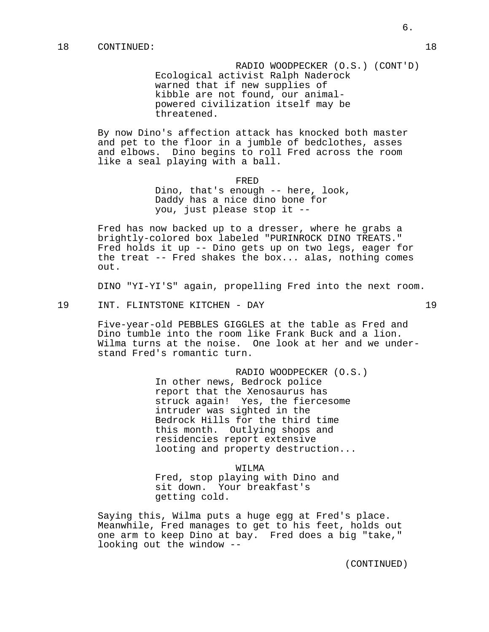RADIO WOODPECKER (O.S.) (CONT'D) Ecological activist Ralph Naderock warned that if new supplies of kibble are not found, our animalpowered civilization itself may be threatened.

By now Dino's affection attack has knocked both master and pet to the floor in a jumble of bedclothes, asses and elbows. Dino begins to roll Fred across the room like a seal playing with a ball.

> FRED Dino, that's enough -- here, look, Daddy has a nice dino bone for you, just please stop it --

Fred has now backed up to a dresser, where he grabs a brightly-colored box labeled "PURINROCK DINO TREATS." Fred holds it up -- Dino gets up on two legs, eager for the treat -- Fred shakes the box... alas, nothing comes out.

DINO "YI-YI'S" again, propelling Fred into the next room.

19 INT. FLINTSTONE KITCHEN - DAY 19

Five-year-old PEBBLES GIGGLES at the table as Fred and Dino tumble into the room like Frank Buck and a lion. Wilma turns at the noise. One look at her and we understand Fred's romantic turn.

> RADIO WOODPECKER (O.S.) In other news, Bedrock police report that the Xenosaurus has struck again! Yes, the fiercesome intruder was sighted in the Bedrock Hills for the third time this month. Outlying shops and residencies report extensive looting and property destruction...

> > WILMA

Fred, stop playing with Dino and sit down. Your breakfast's getting cold.

Saying this, Wilma puts a huge egg at Fred's place. Meanwhile, Fred manages to get to his feet, holds out one arm to keep Dino at bay. Fred does a big "take," looking out the window --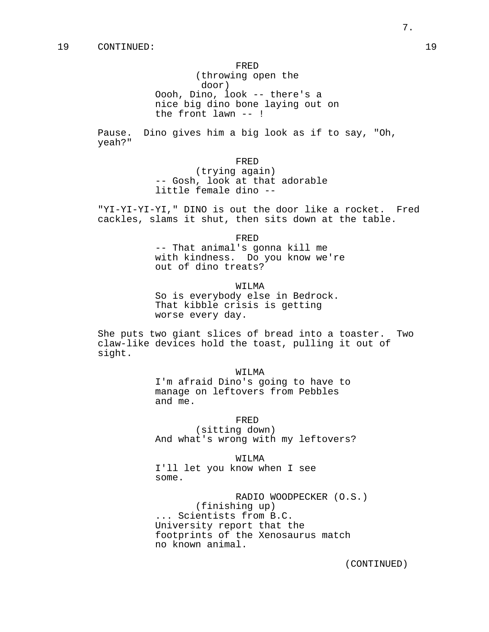## FRED

(throwing open the door) Oooh, Dino, look -- there's a nice big dino bone laying out on the front lawn -- !

Pause. Dino gives him a big look as if to say, "Oh, yeah?"

FRED

(trying again) -- Gosh, look at that adorable little female dino --

"YI-YI-YI-YI," DINO is out the door like a rocket. Fred cackles, slams it shut, then sits down at the table.

FRED

-- That animal's gonna kill me with kindness. Do you know we're out of dino treats?

WILMA

So is everybody else in Bedrock. That kibble crisis is getting worse every day.

She puts two giant slices of bread into a toaster. Two claw-like devices hold the toast, pulling it out of sight.

WILMA

I'm afraid Dino's going to have to manage on leftovers from Pebbles and me.

FRED

(sitting down) And what's wrong with my leftovers?

WILMA

I'll let you know when I see some.

RADIO WOODPECKER (O.S.) (finishing up) ... Scientists from B.C. University report that the footprints of the Xenosaurus match no known animal.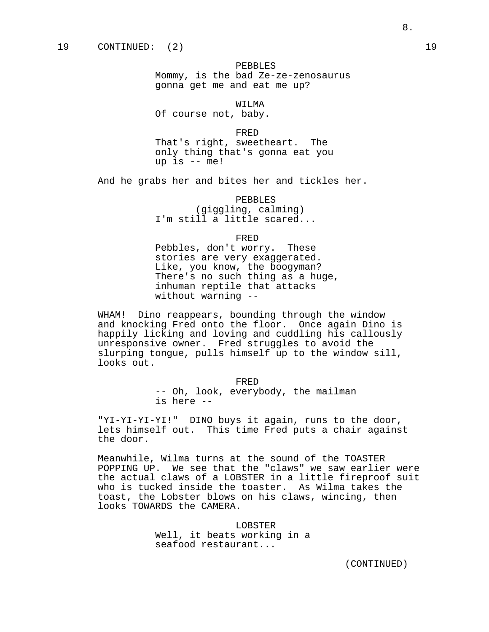PEBBLES Mommy, is the bad Ze-ze-zenosaurus gonna get me and eat me up?

WILMA Of course not, baby.

up is -- me!

FRED That's right, sweetheart. The only thing that's gonna eat you

And he grabs her and bites her and tickles her.

PEBBLES (giggling, calming) I'm still a little scared...

FRED

Pebbles, don't worry. These stories are very exaggerated. Like, you know, the boogyman? There's no such thing as a huge, inhuman reptile that attacks without warning --

WHAM! Dino reappears, bounding through the window and knocking Fred onto the floor. Once again Dino is happily licking and loving and cuddling his callously unresponsive owner. Fred struggles to avoid the slurping tongue, pulls himself up to the window sill, looks out.

> FRED -- Oh, look, everybody, the mailman is here --

"YI-YI-YI-YI!" DINO buys it again, runs to the door, lets himself out. This time Fred puts a chair against the door.

Meanwhile, Wilma turns at the sound of the TOASTER POPPING UP. We see that the "claws" we saw earlier were the actual claws of a LOBSTER in a little fireproof suit who is tucked inside the toaster. As Wilma takes the toast, the Lobster blows on his claws, wincing, then looks TOWARDS the CAMERA.

> LOBSTER Well, it beats working in a seafood restaurant...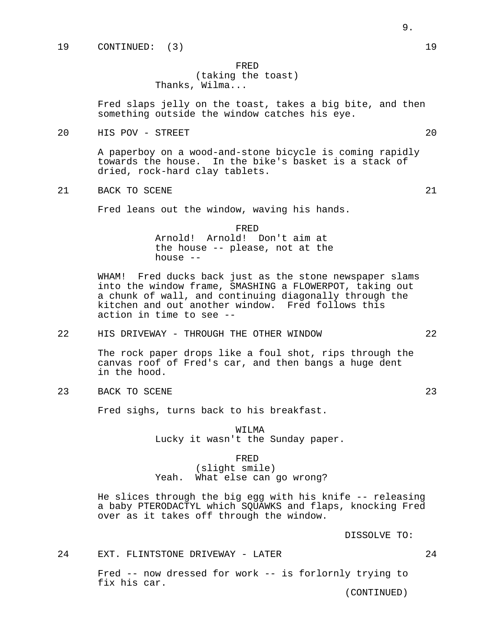# FRED (taking the toast) Thanks, Wilma...

Fred slaps jelly on the toast, takes a big bite, and then something outside the window catches his eye.

20 HIS POV - STREET 20

A paperboy on a wood-and-stone bicycle is coming rapidly towards the house. In the bike's basket is a stack of dried, rock-hard clay tablets.

21 BACK TO SCENE 21

Fred leans out the window, waving his hands.

FRED Arnold! Arnold! Don't aim at the house -- please, not at the house --

WHAM! Fred ducks back just as the stone newspaper slams into the window frame, SMASHING a FLOWERPOT, taking out a chunk of wall, and continuing diagonally through the kitchen and out another window. Fred follows this action in time to see --

22 HIS DRIVEWAY - THROUGH THE OTHER WINDOW 22

The rock paper drops like a foul shot, rips through the canvas roof of Fred's car, and then bangs a huge dent in the hood.

23 BACK TO SCENE 23

Fred sighs, turns back to his breakfast.

WILMA Lucky it wasn't the Sunday paper.

#### FRED

(slight smile) Yeah. What else can go wrong?

He slices through the big egg with his knife -- releasing a baby PTERODACTYL which SQUAWKS and flaps, knocking Fred over as it takes off through the window.

DISSOLVE TO:

24 EXT. FLINTSTONE DRIVEWAY - LATER 24

Fred -- now dressed for work -- is forlornly trying to fix his car.

- 
-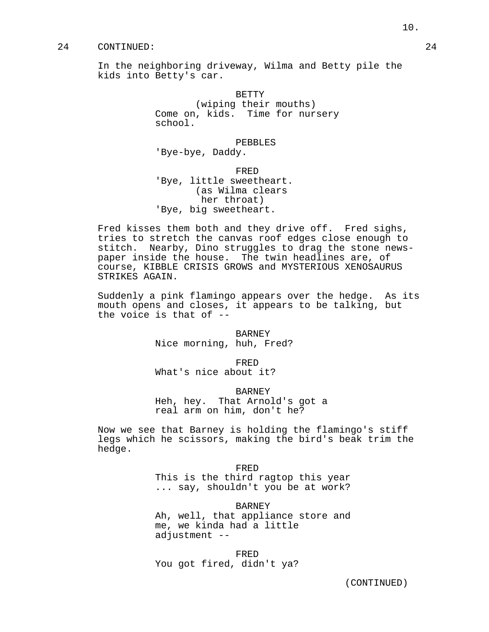## 24 CONTINUED: 24

In the neighboring driveway, Wilma and Betty pile the kids into Betty's car.

> BETTY (wiping their mouths) Come on, kids. Time for nursery school.

PEBBLES 'Bye-bye, Daddy.

FRED 'Bye, little sweetheart. (as Wilma clears her throat) 'Bye, big sweetheart.

Fred kisses them both and they drive off. Fred sighs, tries to stretch the canvas roof edges close enough to stitch. Nearby, Dino struggles to drag the stone newspaper inside the house. The twin headlines are, of course, KIBBLE CRISIS GROWS and MYSTERIOUS XENOSAURUS STRIKES AGAIN.

Suddenly a pink flamingo appears over the hedge. As its mouth opens and closes, it appears to be talking, but the voice is that of --

> BARNEY Nice morning, huh, Fred?

> > FRED

What's nice about it?

BARNEY

Heh, hey. That Arnold's got a real arm on him, don't he?

Now we see that Barney is holding the flamingo's stiff legs which he scissors, making the bird's beak trim the hedge.

> FRED This is the third ragtop this year ... say, shouldn't you be at work?

> BARNEY Ah, well, that appliance store and me, we kinda had a little adjustment --

FRED You got fired, didn't ya?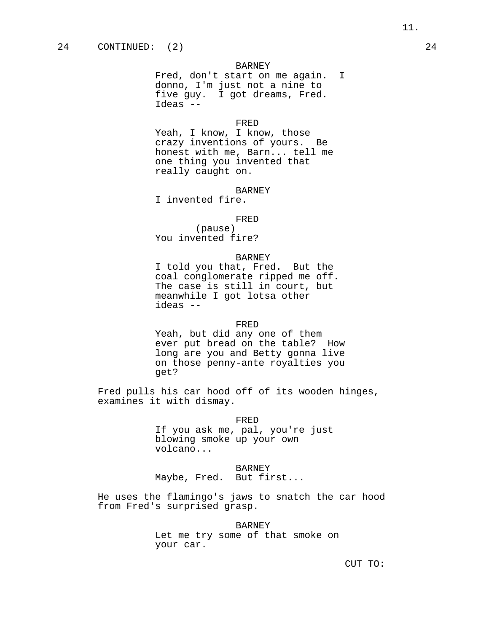Fred, don't start on me again. I donno, I'm just not a nine to five guy. I got dreams, Fred. Ideas --

## FRED

Yeah, I know, I know, those crazy inventions of yours. Be honest with me, Barn... tell me one thing you invented that really caught on.

## BARNEY

I invented fire.

#### FRED

(pause) You invented fire?

#### BARNEY

I told you that, Fred. But the coal conglomerate ripped me off. The case is still in court, but meanwhile I got lotsa other ideas --

#### FRED

Yeah, but did any one of them ever put bread on the table? How long are you and Betty gonna live on those penny-ante royalties you get?

Fred pulls his car hood off of its wooden hinges, examines it with dismay.

#### FRED

If you ask me, pal, you're just blowing smoke up your own volcano...

#### BARNEY

Maybe, Fred. But first...

He uses the flamingo's jaws to snatch the car hood from Fred's surprised grasp.

#### BARNEY

Let me try some of that smoke on your car.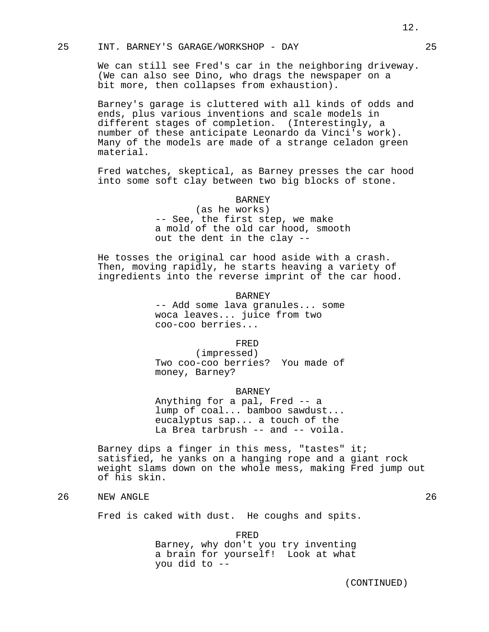## 25 INT. BARNEY'S GARAGE/WORKSHOP - DAY 25

We can still see Fred's car in the neighboring driveway. (We can also see Dino, who drags the newspaper on a bit more, then collapses from exhaustion).

Barney's garage is cluttered with all kinds of odds and ends, plus various inventions and scale models in different stages of completion. (Interestingly, a number of these anticipate Leonardo da Vinci's work). Many of the models are made of a strange celadon green material.

Fred watches, skeptical, as Barney presses the car hood into some soft clay between two big blocks of stone.

## BARNEY

(as he works) -- See, the first step, we make a mold of the old car hood, smooth out the dent in the clay --

He tosses the original car hood aside with a crash. Then, moving rapidly, he starts heaving a variety of ingredients into the reverse imprint of the car hood.

> BARNEY -- Add some lava granules... some woca leaves... juice from two coo-coo berries...

> > FRED

(impressed) Two coo-coo berries? You made of money, Barney?

BARNEY

Anything for a pal, Fred -- a lump of coal... bamboo sawdust... eucalyptus sap... a touch of the La Brea tarbrush -- and -- voila.

Barney dips a finger in this mess, "tastes" it; satisfied, he yanks on a hanging rope and a giant rock weight slams down on the whole mess, making Fred jump out of his skin.

# 26 NEW ANGLE 26 26

Fred is caked with dust. He coughs and spits.

FRED Barney, why don't you try inventing a brain for yourself! Look at what you did to --

12.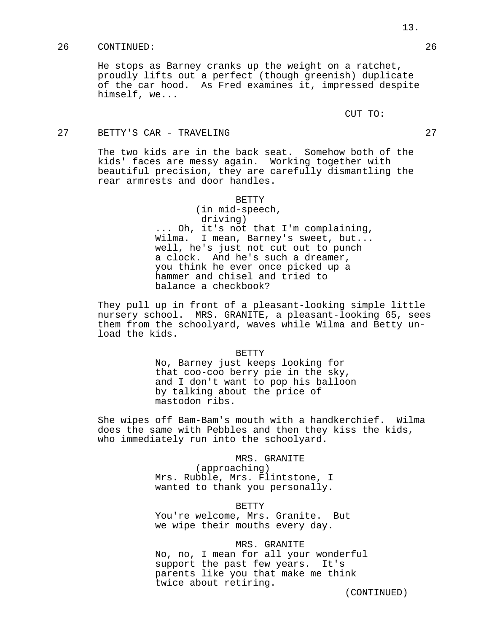## 26 CONTINUED: 26

He stops as Barney cranks up the weight on a ratchet, proudly lifts out a perfect (though greenish) duplicate of the car hood. As Fred examines it, impressed despite himself, we...

CUT TO:

## 27 BETTY'S CAR - TRAVELING 27

The two kids are in the back seat. Somehow both of the kids' faces are messy again. Working together with beautiful precision, they are carefully dismantling the rear armrests and door handles.

#### BETTY

(in mid-speech, driving) ... Oh, it's not that I'm complaining, Wilma. I mean, Barney's sweet, but... well, he's just not cut out to punch a clock. And he's such a dreamer, you think he ever once picked up a hammer and chisel and tried to balance a checkbook?

They pull up in front of a pleasant-looking simple little nursery school. MRS. GRANITE, a pleasant-looking 65, sees them from the schoolyard, waves while Wilma and Betty unload the kids.

#### BETTY

No, Barney just keeps looking for that coo-coo berry pie in the sky, and I don't want to pop his balloon by talking about the price of mastodon ribs.

She wipes off Bam-Bam's mouth with a handkerchief. Wilma does the same with Pebbles and then they kiss the kids, who immediately run into the schoolyard.

MRS. GRANITE

(approaching) Mrs. Rubble, Mrs. Flintstone, I wanted to thank you personally.

#### BETTY

You're welcome, Mrs. Granite. But we wipe their mouths every day.

## MRS. GRANITE

No, no, I mean for all your wonderful support the past few years. It's parents like you that make me think twice about retiring.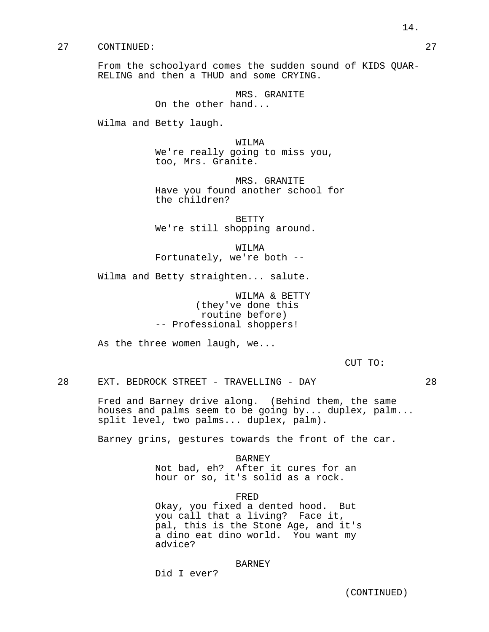## 27 CONTINUED: 27

From the schoolyard comes the sudden sound of KIDS QUAR-RELING and then a THUD and some CRYING.

> MRS. GRANITE On the other hand...

Wilma and Betty laugh.

WILMA We're really going to miss you, too, Mrs. Granite.

MRS. GRANITE Have you found another school for the children?

BETTY We're still shopping around.

WILMA Fortunately, we're both --

Wilma and Betty straighten... salute.

WILMA & BETTY (they've done this routine before) -- Professional shoppers!

As the three women laugh, we...

CUT TO:

28 EXT. BEDROCK STREET - TRAVELLING - DAY 28

Fred and Barney drive along. (Behind them, the same houses and palms seem to be going by... duplex, palm... split level, two palms... duplex, palm).

Barney grins, gestures towards the front of the car.

BARNEY Not bad, eh? After it cures for an hour or so, it's solid as a rock.

FRED

Okay, you fixed a dented hood. But you call that a living? Face it, pal, this is the Stone Age, and it's a dino eat dino world. You want my advice?

## BARNEY

Did I ever?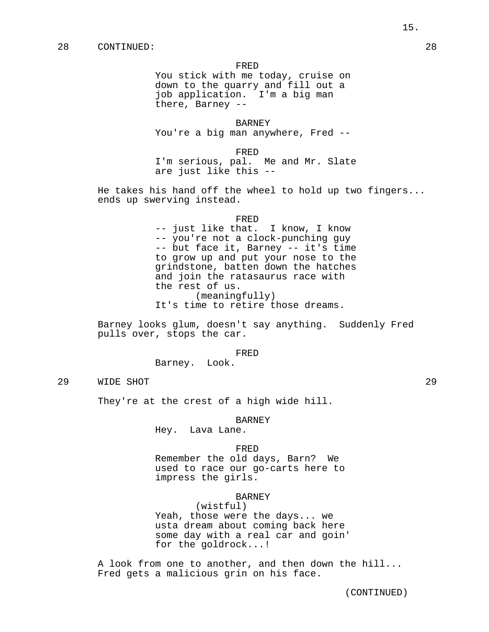#### FRED

You stick with me today, cruise on down to the quarry and fill out a job application. I'm a big man there, Barney --

BARNEY You're a big man anywhere, Fred --

FRED

I'm serious, pal. Me and Mr. Slate are just like this --

He takes his hand off the wheel to hold up two fingers... ends up swerving instead.

#### FRED

-- just like that. I know, I know -- you're not a clock-punching guy -- but face it, Barney -- it's time to grow up and put your nose to the grindstone, batten down the hatches and join the ratasaurus race with the rest of us. (meaningfully) It's time to retire those dreams.

Barney looks glum, doesn't say anything. Suddenly Fred pulls over, stops the car.

#### FRED

Barney. Look.

29 WIDE SHOT 29

They're at the crest of a high wide hill.

BARNEY

Hey. Lava Lane.

## FRED

Remember the old days, Barn? We used to race our go-carts here to impress the girls.

## BARNEY

(wistful) Yeah, those were the days... we usta dream about coming back here some day with a real car and goin' for the goldrock...!

A look from one to another, and then down the hill... Fred gets a malicious grin on his face.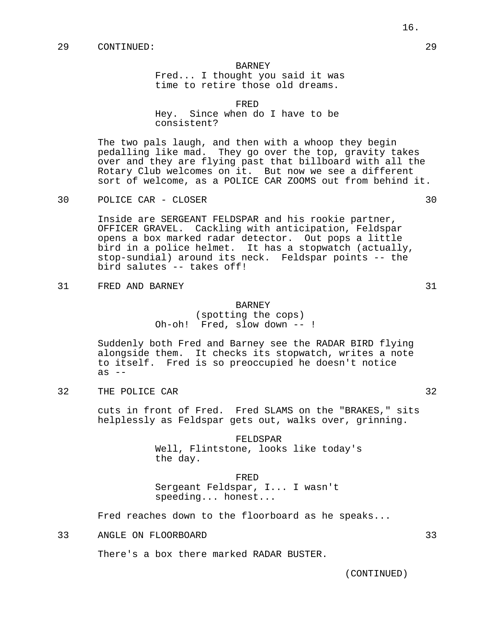Fred... I thought you said it was time to retire those old dreams.

FRED Hey. Since when do I have to be consistent?

The two pals laugh, and then with a whoop they begin pedalling like mad. They go over the top, gravity takes over and they are flying past that billboard with all the Rotary Club welcomes on it. But now we see a different sort of welcome, as a POLICE CAR ZOOMS out from behind it.

30 POLICE CAR - CLOSER 30

Inside are SERGEANT FELDSPAR and his rookie partner, OFFICER GRAVEL. Cackling with anticipation, Feldspar opens a box marked radar detector. Out pops a little bird in a police helmet. It has a stopwatch (actually, stop-sundial) around its neck. Feldspar points -- the bird salutes -- takes off!

31 FRED AND BARNEY 31

#### BARNEY

(spotting the cops) Oh-oh! Fred, slow down -- !

Suddenly both Fred and Barney see the RADAR BIRD flying alongside them. It checks its stopwatch, writes a note to itself. Fred is so preoccupied he doesn't notice as  $-$ 

32 THE POLICE CAR 32

cuts in front of Fred. Fred SLAMS on the "BRAKES," sits helplessly as Feldspar gets out, walks over, grinning.

> FELDSPAR Well, Flintstone, looks like today's the day.

FRED Sergeant Feldspar, I... I wasn't speeding... honest...

Fred reaches down to the floorboard as he speaks...

33 ANGLE ON FLOORBOARD 33

There's a box there marked RADAR BUSTER.

(CONTINUED)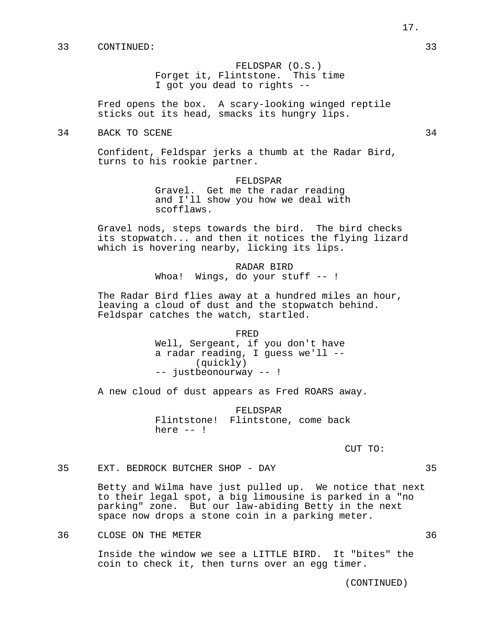FELDSPAR (O.S.) Forget it, Flintstone. This time I got you dead to rights --

Fred opens the box. A scary-looking winged reptile sticks out its head, smacks its hungry lips.

34 BACK TO SCENE 34

Confident, Feldspar jerks a thumb at the Radar Bird, turns to his rookie partner.

> FELDSPAR Gravel. Get me the radar reading and I'll show you how we deal with scofflaws.

Gravel nods, steps towards the bird. The bird checks its stopwatch... and then it notices the flying lizard which is hovering nearby, licking its lips.

> RADAR BIRD Whoa! Wings, do your stuff -- !

The Radar Bird flies away at a hundred miles an hour, leaving a cloud of dust and the stopwatch behind. Feldspar catches the watch, startled.

> FRED Well, Sergeant, if you don't have a radar reading, I guess we'll -- (quickly) -- justbeonourway -- !

A new cloud of dust appears as Fred ROARS away.

FELDSPAR Flintstone! Flintstone, come back here  $--$  !

CUT TO:

35 EXT. BEDROCK BUTCHER SHOP - DAY 35

Betty and Wilma have just pulled up. We notice that next to their legal spot, a big limousine is parked in a "no parking" zone. But our law-abiding Betty in the next space now drops a stone coin in a parking meter.

36 CLOSE ON THE METER 36

Inside the window we see a LITTLE BIRD. It "bites" the coin to check it, then turns over an egg timer.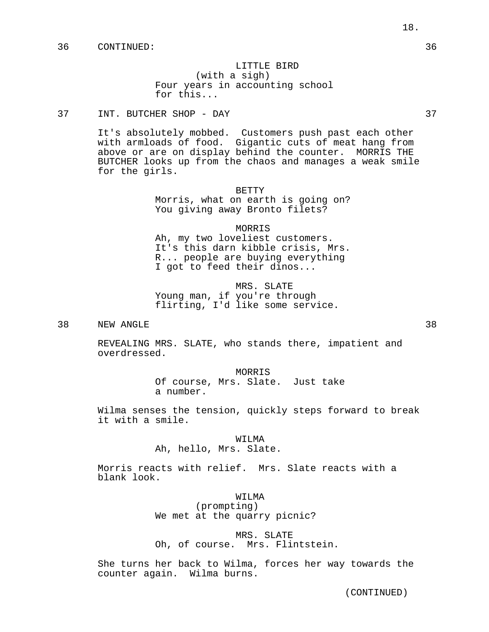# LITTLE BIRD (with a sigh) Four years in accounting school for this...

# 37 INT. BUTCHER SHOP - DAY 37

It's absolutely mobbed. Customers push past each other with armloads of food. Gigantic cuts of meat hang from above or are on display behind the counter. MORRIS THE BUTCHER looks up from the chaos and manages a weak smile for the girls.

#### BETTY

Morris, what on earth is going on? You giving away Bronto filets?

MORRIS Ah, my two loveliest customers. It's this darn kibble crisis, Mrs. R... people are buying everything I got to feed their dinos...

MRS. SLATE Young man, if you're through flirting, I'd like some service.

## 38 NEW ANGLE 38

REVEALING MRS. SLATE, who stands there, impatient and overdressed.

> MORRIS Of course, Mrs. Slate. Just take a number.

Wilma senses the tension, quickly steps forward to break it with a smile.

#### WILMA

Ah, hello, Mrs. Slate.

Morris reacts with relief. Mrs. Slate reacts with a blank look.

#### WILMA

(prompting) We met at the quarry picnic?

MRS. SLATE Oh, of course. Mrs. Flintstein.

She turns her back to Wilma, forces her way towards the counter again. Wilma burns.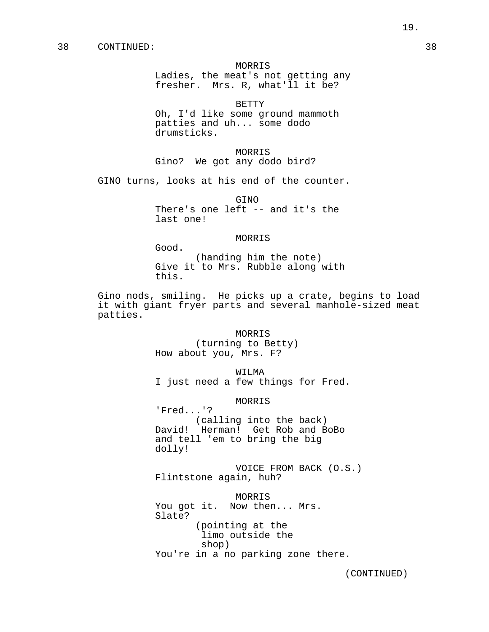## MORRIS

Ladies, the meat's not getting any fresher. Mrs. R, what'll it be?

BETTY

Oh, I'd like some ground mammoth patties and uh... some dodo drumsticks.

MORRIS Gino? We got any dodo bird?

GINO turns, looks at his end of the counter.

Good.

GINO There's one left -- and it's the last one!

## MORRIS

(handing him the note) Give it to Mrs. Rubble along with this.

Gino nods, smiling. He picks up a crate, begins to load it with giant fryer parts and several manhole-sized meat patties.

> MORRIS (turning to Betty) How about you, Mrs. F?

WILMA I just need a few things for Fred.

MORRIS

'Fred...'? (calling into the back) David! Herman! Get Rob and BoBo and tell 'em to bring the big dolly!

VOICE FROM BACK (O.S.) Flintstone again, huh?

MORRIS You got it. Now then... Mrs. Slate? (pointing at the limo outside the shop) You're in a no parking zone there.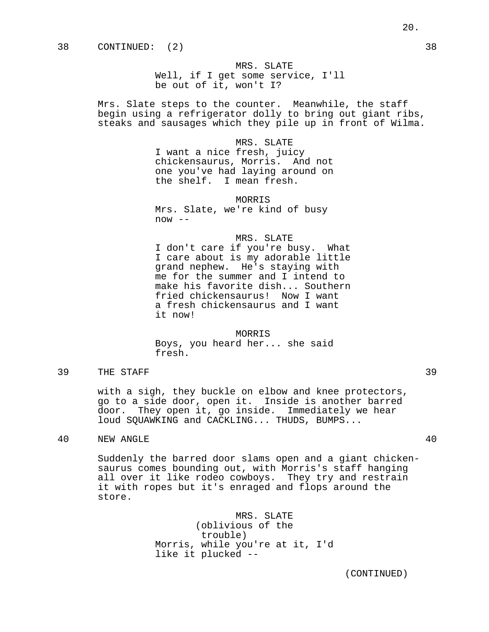MRS. SLATE Well, if I get some service, I'll be out of it, won't I?

Mrs. Slate steps to the counter. Meanwhile, the staff begin using a refrigerator dolly to bring out giant ribs, steaks and sausages which they pile up in front of Wilma.

MRS. SLATE

I want a nice fresh, juicy chickensaurus, Morris. And not one you've had laying around on the shelf. I mean fresh.

MORRIS Mrs. Slate, we're kind of busy  $now --$ 

## MRS. SLATE

I don't care if you're busy. What I care about is my adorable little grand nephew. He's staying with me for the summer and I intend to make his favorite dish... Southern fried chickensaurus! Now I want a fresh chickensaurus and I want it now!

MORRIS Boys, you heard her... she said fresh.

39 THE STAFF 39

with a sigh, they buckle on elbow and knee protectors, go to a side door, open it. Inside is another barred door. They open it, go inside. Immediately we hear loud SQUAWKING and CACKLING... THUDS, BUMPS...

# 40 NEW ANGLE 40

Suddenly the barred door slams open and a giant chickensaurus comes bounding out, with Morris's staff hanging all over it like rodeo cowboys. They try and restrain it with ropes but it's enraged and flops around the store.

> MRS. SLATE (oblivious of the trouble) Morris, while you're at it, I'd like it plucked --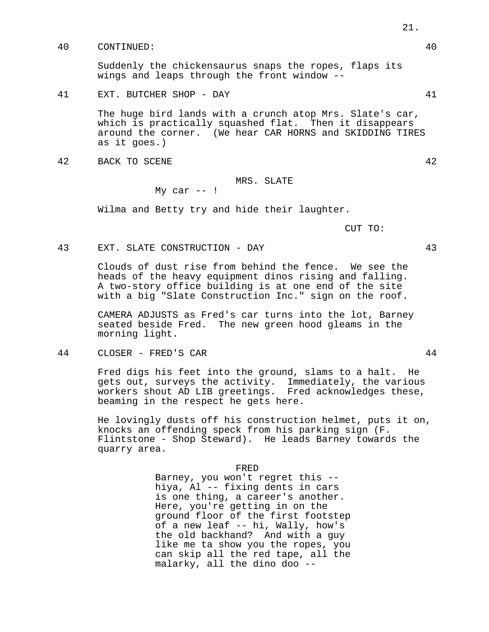40 CONTINUED: 40

Suddenly the chickensaurus snaps the ropes, flaps its wings and leaps through the front window --

## 41 EXT. BUTCHER SHOP - DAY 41

The huge bird lands with a crunch atop Mrs. Slate's car, which is practically squashed flat. Then it disappears around the corner. (We hear CAR HORNS and SKIDDING TIRES as it goes.)

42 BACK TO SCENE 42

# MRS. SLATE

My car  $--$ !

Wilma and Betty try and hide their laughter.

CUT TO:

## 43 EXT. SLATE CONSTRUCTION - DAY 43

Clouds of dust rise from behind the fence. We see the heads of the heavy equipment dinos rising and falling. A two-story office building is at one end of the site with a big "Slate Construction Inc." sign on the roof.

CAMERA ADJUSTS as Fred's car turns into the lot, Barney seated beside Fred. The new green hood gleams in the morning light.

44 CLOSER - FRED'S CAR 44

Fred digs his feet into the ground, slams to a halt. He gets out, surveys the activity. Immediately, the various workers shout AD LIB greetings. Fred acknowledges these, beaming in the respect he gets here.

He lovingly dusts off his construction helmet, puts it on, knocks an offending speck from his parking sign (F. Flintstone - Shop Steward). He leads Barney towards the quarry area.

FRED

Barney, you won't regret this - hiya, Al -- fixing dents in cars is one thing, a career's another. Here, you're getting in on the ground floor of the first footstep of a new leaf -- hi, Wally, how's the old backhand? And with a guy like me ta show you the ropes, you can skip all the red tape, all the malarky, all the dino doo --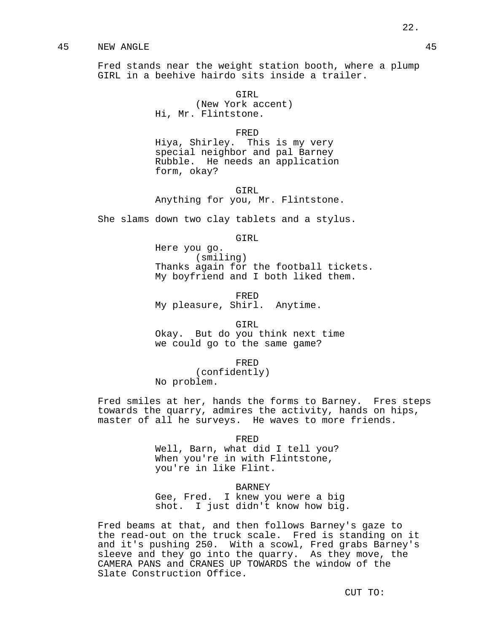## 45 NEW ANGLE 45

Fred stands near the weight station booth, where a plump GIRL in a beehive hairdo sits inside a trailer.

> GTRL (New York accent) Hi, Mr. Flintstone.

#### FRED

Hiya, Shirley. This is my very special neighbor and pal Barney Rubble. He needs an application form, okay?

GTRL Anything for you, Mr. Flintstone.

She slams down two clay tablets and a stylus.

GIRL

Here you go. (smiling) Thanks again for the football tickets. My boyfriend and I both liked them.

FRED

My pleasure, Shirl. Anytime.

GIRL

Okay. But do you think next time we could go to the same game?

FRED

(confidently) No problem.

Fred smiles at her, hands the forms to Barney. Fres steps towards the quarry, admires the activity, hands on hips, master of all he surveys. He waves to more friends.

FRED

Well, Barn, what did I tell you? When you're in with Flintstone, you're in like Flint.

## BARNEY

Gee, Fred. I knew you were a big shot. I just didn't know how big.

Fred beams at that, and then follows Barney's gaze to the read-out on the truck scale. Fred is standing on it and it's pushing 250. With a scowl, Fred grabs Barney's sleeve and they go into the quarry. As they move, the CAMERA PANS and CRANES UP TOWARDS the window of the Slate Construction Office.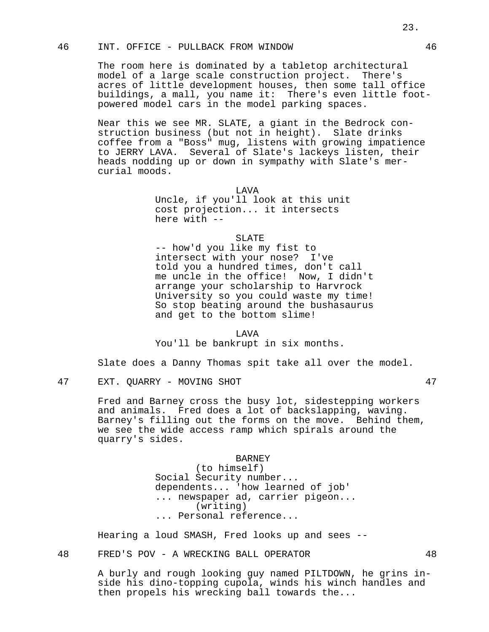# 46 INT. OFFICE - PULLBACK FROM WINDOW 46

The room here is dominated by a tabletop architectural model of a large scale construction project. There's acres of little development houses, then some tall office buildings, a mall, you name it: There's even little footpowered model cars in the model parking spaces.

Near this we see MR. SLATE, a giant in the Bedrock construction business (but not in height). Slate drinks coffee from a "Boss" mug, listens with growing impatience to JERRY LAVA. Several of Slate's lackeys listen, their heads nodding up or down in sympathy with Slate's mercurial moods.

> **T.AVA** Uncle, if you'll look at this unit cost projection... it intersects here with --

> > SLATE

-- how'd you like my fist to intersect with your nose? I've told you a hundred times, don't call me uncle in the office! Now, I didn't arrange your scholarship to Harvrock University so you could waste my time! So stop beating around the bushasaurus and get to the bottom slime!

LAVA

You'll be bankrupt in six months.

Slate does a Danny Thomas spit take all over the model.

47 EXT. QUARRY - MOVING SHOT 47

Fred and Barney cross the busy lot, sidestepping workers and animals. Fred does a lot of backslapping, waving. Barney's filling out the forms on the move. Behind them, we see the wide access ramp which spirals around the quarry's sides.

BARNEY

(to himself) Social Security number... dependents... 'how learned of job' ... newspaper ad, carrier pigeon... (writing) ... Personal reference...

Hearing a loud SMASH, Fred looks up and sees --

48 FRED'S POV - A WRECKING BALL OPERATOR 48

A burly and rough looking guy named PILTDOWN, he grins inside his dino-topping cupola, winds his winch handles and then propels his wrecking ball towards the...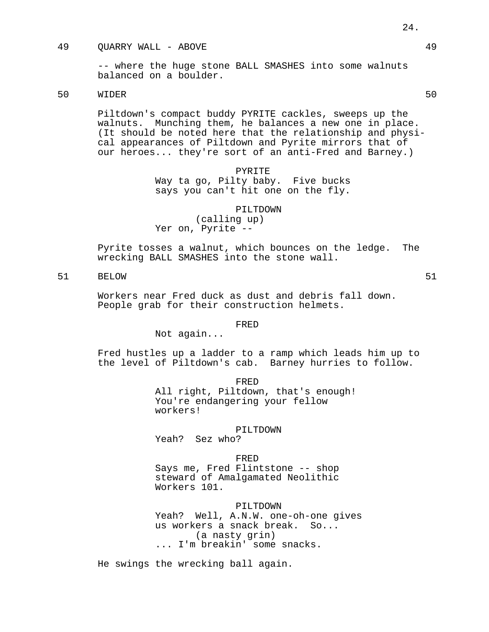## 49 QUARRY WALL - ABOVE 49

-- where the huge stone BALL SMASHES into some walnuts balanced on a boulder.

# 50 WIDER 50

Piltdown's compact buddy PYRITE cackles, sweeps up the walnuts. Munching them, he balances a new one in place. (It should be noted here that the relationship and physical appearances of Piltdown and Pyrite mirrors that of our heroes... they're sort of an anti-Fred and Barney.)

# PYRITE Way ta go, Pilty baby. Five bucks says you can't hit one on the fly.

PILTDOWN (calling up) Yer on, Pyrite --

Pyrite tosses a walnut, which bounces on the ledge. The wrecking BALL SMASHES into the stone wall.

# 51 BELOW 51

Workers near Fred duck as dust and debris fall down. People grab for their construction helmets.

## FRED

Not again...

Fred hustles up a ladder to a ramp which leads him up to the level of Piltdown's cab. Barney hurries to follow.

FRED

All right, Piltdown, that's enough! You're endangering your fellow workers!

## PILTDOWN

Yeah? Sez who?

FRED

Says me, Fred Flintstone -- shop steward of Amalgamated Neolithic Workers 101.

## PILTDOWN

Yeah? Well, A.N.W. one-oh-one gives us workers a snack break. So... (a nasty grin) ... I'm breakin' some snacks.

He swings the wrecking ball again.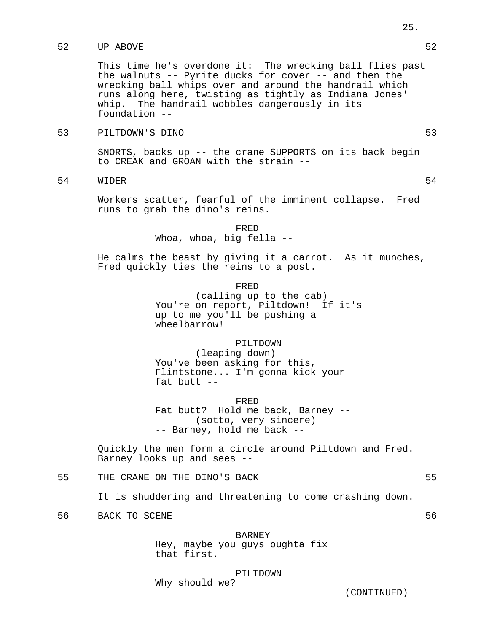# 52 UP ABOVE 52

This time he's overdone it: The wrecking ball flies past the walnuts -- Pyrite ducks for cover -- and then the wrecking ball whips over and around the handrail which runs along here, twisting as tightly as Indiana Jones' whip. The handrail wobbles dangerously in its foundation --

# 53 PILTDOWN'S DINO 53

SNORTS, backs up -- the crane SUPPORTS on its back begin to CREAK and GROAN with the strain --

54 WIDER 54

Workers scatter, fearful of the imminent collapse. Fred runs to grab the dino's reins.

> FRED Whoa, whoa, big fella --

He calms the beast by giving it a carrot. As it munches, Fred quickly ties the reins to a post.

FRED

(calling up to the cab) You're on report, Piltdown! If it's up to me you'll be pushing a wheelbarrow!

PILTDOWN

(leaping down) You've been asking for this, Flintstone... I'm gonna kick your fat butt  $-$ 

FRED

Fat butt? Hold me back, Barney -- (sotto, very sincere) -- Barney, hold me back --

Quickly the men form a circle around Piltdown and Fred. Barney looks up and sees --

55 THE CRANE ON THE DINO'S BACK 655

It is shuddering and threatening to come crashing down.

56 BACK TO SCENE 56

#### BARNEY

Hey, maybe you guys oughta fix that first.

PILTDOWN

Why should we?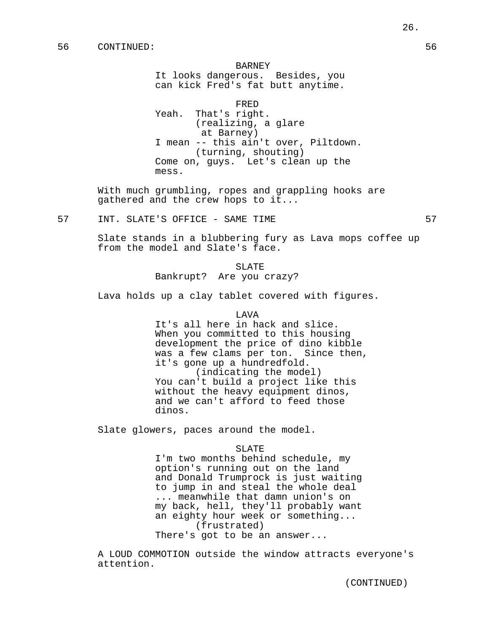It looks dangerous. Besides, you can kick Fred's fat butt anytime.

FRED Yeah. That's right. (realizing, a glare at Barney) I mean -- this ain't over, Piltdown. (turning, shouting) Come on, guys. Let's clean up the mess.

With much grumbling, ropes and grappling hooks are gathered and the crew hops to it...

57 INT. SLATE'S OFFICE - SAME TIME 57

Slate stands in a blubbering fury as Lava mops coffee up from the model and Slate's face.

> SLATE Bankrupt? Are you crazy?

Lava holds up a clay tablet covered with figures.

## LAVA

It's all here in hack and slice. When you committed to this housing development the price of dino kibble was a few clams per ton. Since then, it's gone up a hundredfold. (indicating the model) You can't build a project like this

without the heavy equipment dinos, and we can't afford to feed those dinos.

Slate glowers, paces around the model.

#### SLATE

I'm two months behind schedule, my option's running out on the land and Donald Trumprock is just waiting to jump in and steal the whole deal ... meanwhile that damn union's on my back, hell, they'll probably want an eighty hour week or something... (frustrated) There's got to be an answer...

A LOUD COMMOTION outside the window attracts everyone's attention.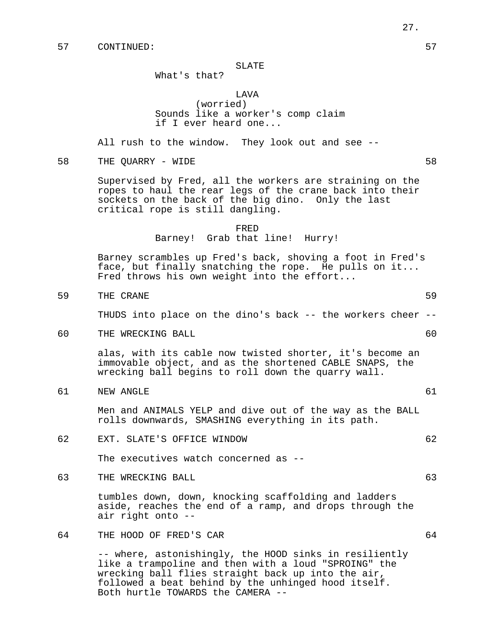## SLATE

# What's that?

## LAVA

(worried) Sounds like a worker's comp claim if I ever heard one...

All rush to the window. They look out and see --

58 THE QUARRY – WIDE 58 S

Supervised by Fred, all the workers are straining on the ropes to haul the rear legs of the crane back into their sockets on the back of the big dino. Only the last critical rope is still dangling.

# FRED Barney! Grab that line! Hurry!

Barney scrambles up Fred's back, shoving a foot in Fred's face, but finally snatching the rope. He pulls on it... Fred throws his own weight into the effort...

59 THE CRANE 59

THUDS into place on the dino's back -- the workers cheer --

60 THE WRECKING BALL 60

alas, with its cable now twisted shorter, it's become an immovable object, and as the shortened CABLE SNAPS, the wrecking ball begins to roll down the quarry wall.

61 NEW ANGLE 61

Men and ANIMALS YELP and dive out of the way as the BALL rolls downwards, SMASHING everything in its path.

62 EXT. SLATE'S OFFICE WINDOW 62

The executives watch concerned as --

63 THE WRECKING BALL 63

tumbles down, down, knocking scaffolding and ladders aside, reaches the end of a ramp, and drops through the air right onto --

# 64 THE HOOD OF FRED'S CAR 64

-- where, astonishingly, the HOOD sinks in resiliently like a trampoline and then with a loud "SPROING" the wrecking ball flies straight back up into the air, followed a beat behind by the unhinged hood itself. Both hurtle TOWARDS the CAMERA --

- 
-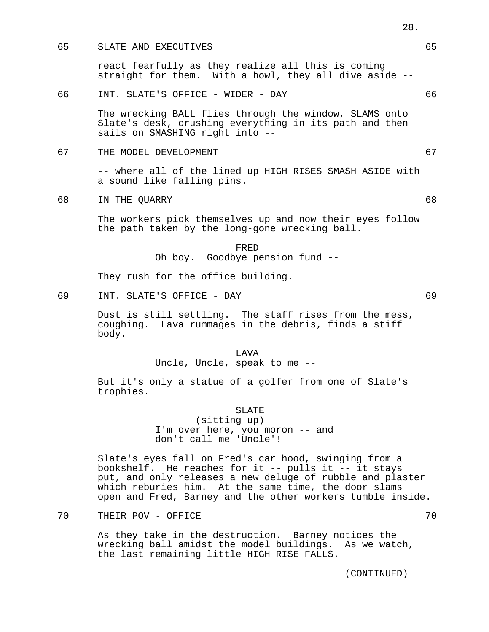## 65 SLATE AND EXECUTIVES 65

react fearfully as they realize all this is coming straight for them. With a howl, they all dive aside --

## 66 INT. SLATE'S OFFICE - WIDER - DAY 66

The wrecking BALL flies through the window, SLAMS onto Slate's desk, crushing everything in its path and then sails on SMASHING right into --

67 THE MODEL DEVELOPMENT 67

-- where all of the lined up HIGH RISES SMASH ASIDE with a sound like falling pins.

68 IN THE QUARRY 68

The workers pick themselves up and now their eyes follow the path taken by the long-gone wrecking ball.

> FRED Oh boy. Goodbye pension fund --

They rush for the office building.

69 INT. SLATE'S OFFICE - DAY 69

Dust is still settling. The staff rises from the mess, coughing. Lava rummages in the debris, finds a stiff body.

LAVA

Uncle, Uncle, speak to me --

But it's only a statue of a golfer from one of Slate's trophies.

SLATE

(sitting up) I'm over here, you moron -- and don't call me 'Uncle'!

Slate's eyes fall on Fred's car hood, swinging from a bookshelf. He reaches for it -- pulls it -- it stays put, and only releases a new deluge of rubble and plaster which reburies him. At the same time, the door slams open and Fred, Barney and the other workers tumble inside.

THEIR POV – OFFICE 70

As they take in the destruction. Barney notices the wrecking ball amidst the model buildings. As we watch, the last remaining little HIGH RISE FALLS.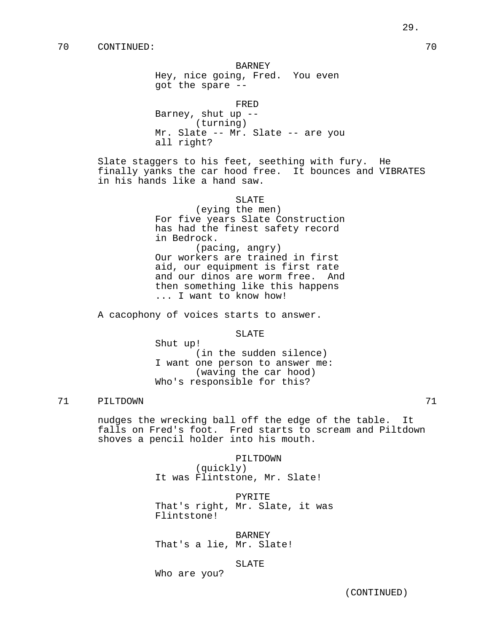Hey, nice going, Fred. You even got the spare --

FRED

Barney, shut up -- (turning) Mr. Slate -- Mr. Slate -- are you all right?

Slate staggers to his feet, seething with fury. He finally yanks the car hood free. It bounces and VIBRATES in his hands like a hand saw.

#### SLATE

(eying the men) For five years Slate Construction has had the finest safety record in Bedrock. (pacing, angry)

Our workers are trained in first aid, our equipment is first rate and our dinos are worm free. And then something like this happens ... I want to know how!

A cacophony of voices starts to answer.

SLATE

Shut up! (in the sudden silence) I want one person to answer me: (waving the car hood) Who's responsible for this?

# 71 PILTDOWN 71

nudges the wrecking ball off the edge of the table. It falls on Fred's foot. Fred starts to scream and Piltdown shoves a pencil holder into his mouth.

> PILTDOWN (quickly) It was Flintstone, Mr. Slate!

PYRITE That's right, Mr. Slate, it was Flintstone!

BARNEY That's a lie, Mr. Slate!

## SLATE

Who are you?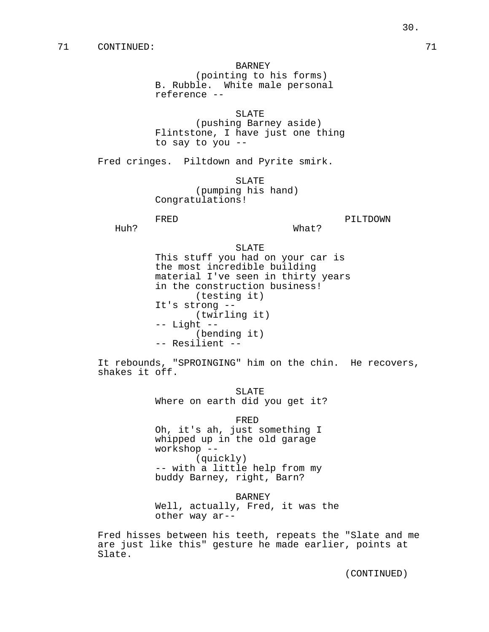(pointing to his forms) B. Rubble. White male personal reference --

SLATE

(pushing Barney aside) Flintstone, I have just one thing to say to you --

Fred cringes. Piltdown and Pyrite smirk.

SLATE (pumping his hand) Congratulations!

```
FRED PILTDOWN
```
Huh? What?

SLATE

This stuff you had on your car is the most incredible building material I've seen in thirty years in the construction business! (testing it) It's strong -- (twirling it) -- Light -- (bending it) -- Resilient --

It rebounds, "SPROINGING" him on the chin. He recovers, shakes it off.

> SLATE Where on earth did you get it?

FRED Oh, it's ah, just something I whipped up in the old garage workshop -- (quickly) -- with a little help from my buddy Barney, right, Barn?

BARNEY

Well, actually, Fred, it was the other way ar--

Fred hisses between his teeth, repeats the "Slate and me are just like this" gesture he made earlier, points at Slate.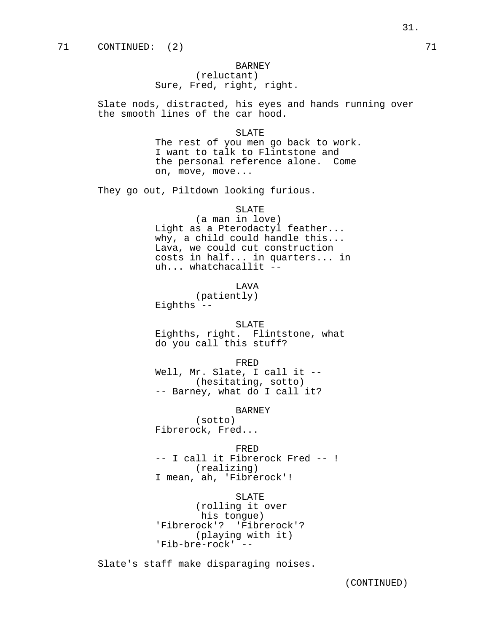(reluctant) Sure, Fred, right, right.

Slate nods, distracted, his eyes and hands running over the smooth lines of the car hood.

SLATE

The rest of you men go back to work. I want to talk to Flintstone and the personal reference alone. Come on, move, move...

They go out, Piltdown looking furious.

SLATE

(a man in love) Light as a Pterodactyl feather... why, a child could handle this... Lava, we could cut construction costs in half... in quarters... in uh... whatchacallit --

LAVA

(patiently) Eighths  $-$ 

SLATE

Eighths, right. Flintstone, what do you call this stuff?

FRED

Well, Mr. Slate, I call it -- (hesitating, sotto) -- Barney, what do I call it?

BARNEY

(sotto) Fibrerock, Fred...

FRED -- I call it Fibrerock Fred -- ! (realizing) I mean, ah, 'Fibrerock'!

SLATE (rolling it over his tongue) 'Fibrerock'? 'Fibrerock'? (playing with it) 'Fib-bre-rock' --

Slate's staff make disparaging noises.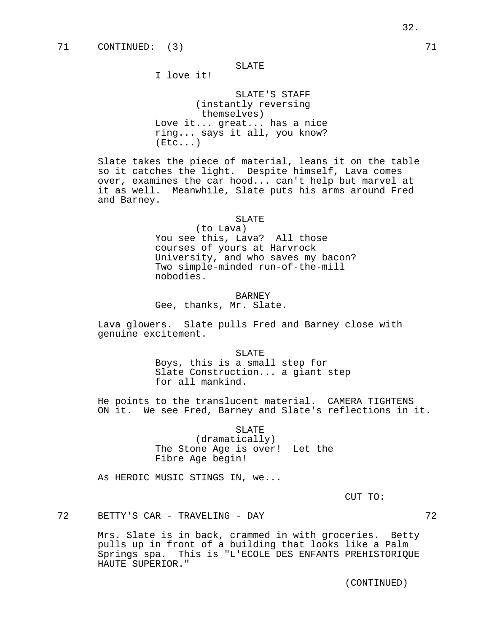# SLATE

I love it!

SLATE'S STAFF (instantly reversing themselves) Love it... great... has a nice ring... says it all, you know?  $(Etc...)$ 

Slate takes the piece of material, leans it on the table so it catches the light. Despite himself, Lava comes over, examines the car hood... can't help but marvel at it as well. Meanwhile, Slate puts his arms around Fred and Barney.

## SLATE

(to Lava) You see this, Lava? All those courses of yours at Harvrock University, and who saves my bacon? Two simple-minded run-of-the-mill nobodies.

#### **BARNEY**

Gee, thanks, Mr. Slate.

Lava glowers. Slate pulls Fred and Barney close with genuine excitement.

SLATE

Boys, this is a small step for Slate Construction... a giant step for all mankind.

He points to the translucent material. CAMERA TIGHTENS ON it. We see Fred, Barney and Slate's reflections in it.

SLATE

(dramatically) The Stone Age is over! Let the Fibre Age begin!

As HEROIC MUSIC STINGS IN, we...

CUT TO:

72 BETTY'S CAR - TRAVELING - DAY 72

Mrs. Slate is in back, crammed in with groceries. Betty pulls up in front of a building that looks like a Palm Springs spa. This is "L'ECOLE DES ENFANTS PREHISTORIQUE HAUTE SUPERIOR."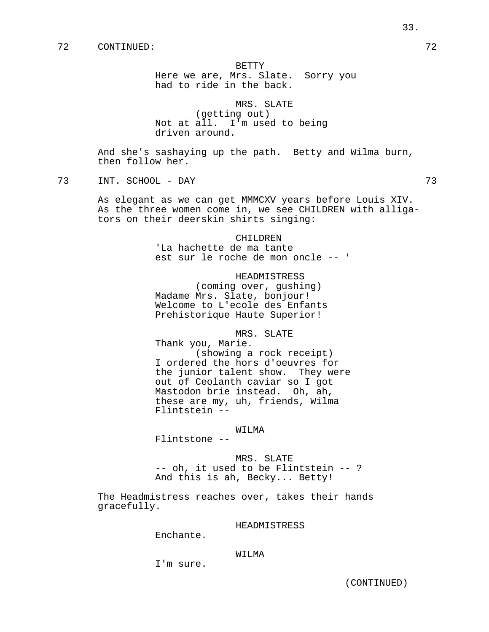#### BETTY

Here we are, Mrs. Slate. Sorry you had to ride in the back.

MRS. SLATE (getting out) Not at all. I'm used to being driven around.

And she's sashaying up the path. Betty and Wilma burn, then follow her.

73 INT. SCHOOL - DAY 73

As elegant as we can get MMMCXV years before Louis XIV. As the three women come in, we see CHILDREN with alligators on their deerskin shirts singing:

> CHILDREN 'La hachette de ma tante est sur le roche de mon oncle -- '

# HEADMISTRESS

(coming over, gushing) Madame Mrs. Slate, bonjour! Welcome to L'ecole des Enfants Prehistorique Haute Superior!

MRS. SLATE

Thank you, Marie. (showing a rock receipt) I ordered the hors d'oeuvres for the junior talent show. They were out of Ceolanth caviar so I got Mastodon brie instead. Oh, ah, these are my, uh, friends, Wilma Flintstein --

## WILMA

Flintstone --

## MRS. SLATE

-- oh, it used to be Flintstein -- ? And this is ah, Becky... Betty!

The Headmistress reaches over, takes their hands gracefully.

#### HEADMISTRESS

Enchante.

## WILMA

I'm sure.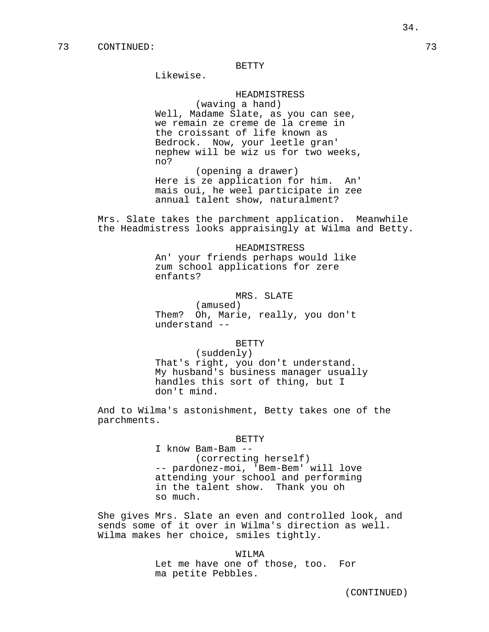## BETTY

Likewise.

## HEADMISTRESS

(waving a hand) Well, Madame Slate, as you can see, we remain ze creme de la creme in the croissant of life known as Bedrock. Now, your leetle gran' nephew will be wiz us for two weeks, no?

(opening a drawer) Here is ze application for him. An' mais oui, he weel participate in zee annual talent show, naturalment?

Mrs. Slate takes the parchment application. Meanwhile the Headmistress looks appraisingly at Wilma and Betty.

> HEADMISTRESS An' your friends perhaps would like zum school applications for zere enfants?

# MRS. SLATE

(amused) Them? Oh, Marie, really, you don't understand --

## BETTY

(suddenly) That's right, you don't understand. My husband's business manager usually handles this sort of thing, but I don't mind.

And to Wilma's astonishment, Betty takes one of the parchments.

#### BETTY

I know Bam-Bam -- (correcting herself) -- pardonez-moi, 'Bem-Bem' will love attending your school and performing in the talent show. Thank you oh so much.

She gives Mrs. Slate an even and controlled look, and sends some of it over in Wilma's direction as well. Wilma makes her choice, smiles tightly.

> WILMA Let me have one of those, too. For ma petite Pebbles.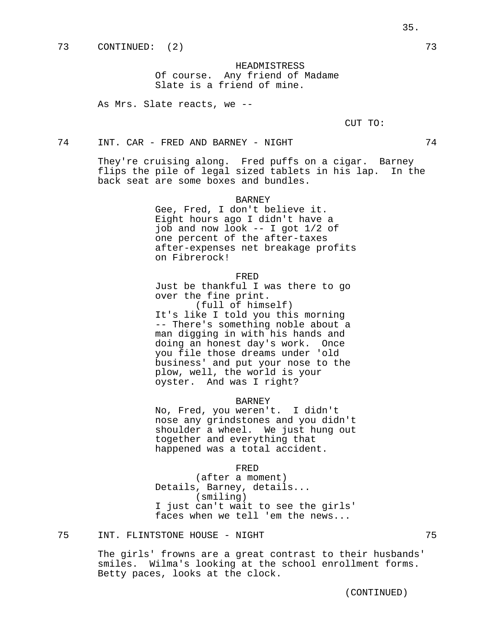HEADMISTRESS Of course. Any friend of Madame Slate is a friend of mine.

As Mrs. Slate reacts, we --

CUT TO:

74 INT. CAR - FRED AND BARNEY - NIGHT 74

They're cruising along. Fred puffs on a cigar. Barney flips the pile of legal sized tablets in his lap. In the back seat are some boxes and bundles.

#### **BARNEY**

Gee, Fred, I don't believe it. Eight hours ago I didn't have a job and now look -- I got 1/2 of one percent of the after-taxes after-expenses net breakage profits on Fibrerock!

#### FRED

Just be thankful I was there to go over the fine print.

(full of himself) It's like I told you this morning -- There's something noble about a man digging in with his hands and doing an honest day's work. Once you file those dreams under 'old business' and put your nose to the plow, well, the world is your oyster. And was I right?

## BARNEY

No, Fred, you weren't. I didn't nose any grindstones and you didn't shoulder a wheel. We just hung out together and everything that happened was a total accident.

#### FRED

(after a moment) Details, Barney, details... (smiling) I just can't wait to see the girls' faces when we tell 'em the news...

# 75 INT. FLINTSTONE HOUSE - NIGHT 75

The girls' frowns are a great contrast to their husbands' smiles. Wilma's looking at the school enrollment forms. Betty paces, looks at the clock.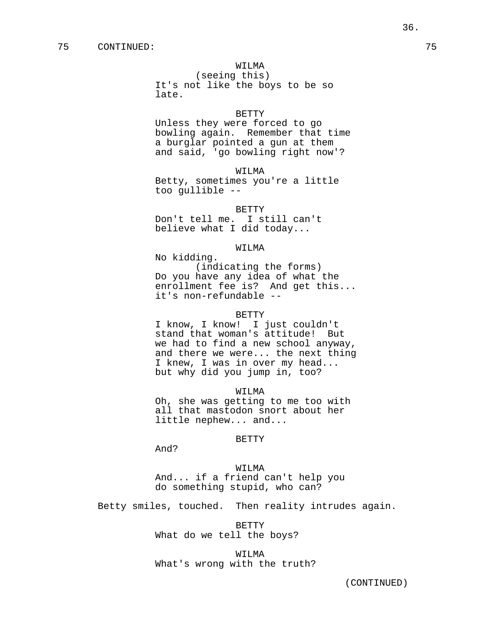### WILMA

(seeing this) It's not like the boys to be so late.

### BETTY

Unless they were forced to go bowling again. Remember that time a burglar pointed a gun at them and said, 'go bowling right now'?

WILMA

Betty, sometimes you're a little too gullible --

BETTY

Don't tell me. I still can't believe what I did today...

#### WILMA

No kidding.

(indicating the forms) Do you have any idea of what the enrollment fee is? And get this... it's non-refundable --

#### BETTY

I know, I know! I just couldn't stand that woman's attitude! But we had to find a new school anyway, and there we were... the next thing I knew, I was in over my head... but why did you jump in, too?

WILMA

Oh, she was getting to me too with all that mastodon snort about her little nephew... and...

### BETTY

And?

WILMA And... if a friend can't help you do something stupid, who can?

Betty smiles, touched. Then reality intrudes again.

BETTY

What do we tell the boys?

WILMA What's wrong with the truth?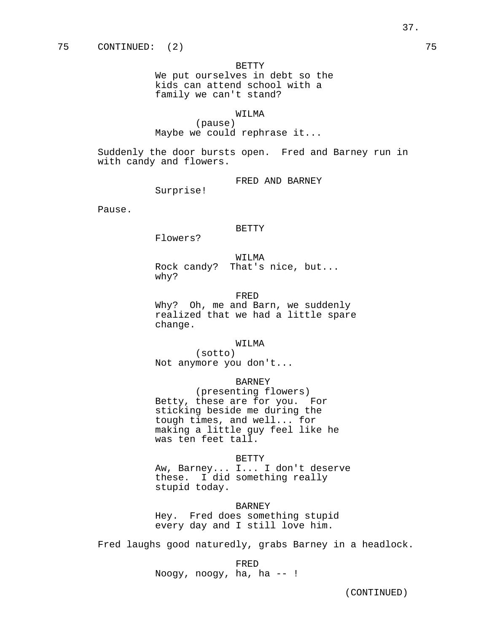#### BETTY

We put ourselves in debt so the kids can attend school with a family we can't stand?

### WILMA

(pause) Maybe we could rephrase it...

Suddenly the door bursts open. Fred and Barney run in with candy and flowers.

FRED AND BARNEY

Surprise!

Pause.

#### BETTY

Flowers?

WILMA Rock candy? That's nice, but... why?

#### FRED

Why? Oh, me and Barn, we suddenly realized that we had a little spare change.

#### WILMA

(sotto) Not anymore you don't...

# BARNEY

(presenting flowers) Betty, these are for you. For sticking beside me during the tough times, and well... for making a little guy feel like he was ten feet tall.

#### BETTY

Aw, Barney... I... I don't deserve these. I did something really stupid today.

#### **BARNEY**

Hey. Fred does something stupid every day and I still love him.

Fred laughs good naturedly, grabs Barney in a headlock.

FRED

Noogy, noogy, ha, ha -- !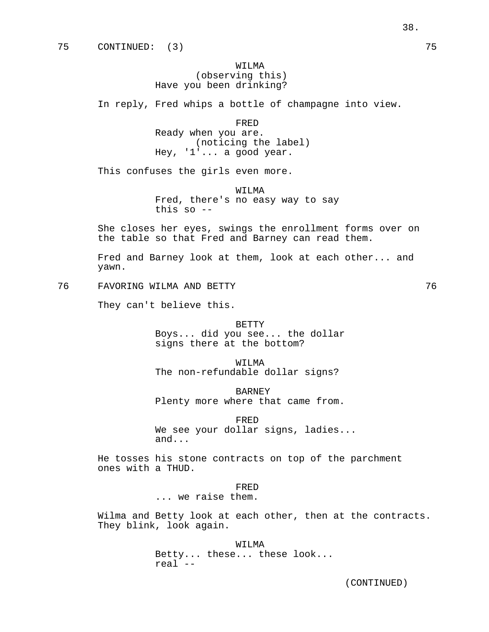# WILMA (observing this) Have you been drinking?

In reply, Fred whips a bottle of champagne into view.

FRED Ready when you are. (noticing the label) Hey, '1'... a good year.

This confuses the girls even more.

WILMA Fred, there's no easy way to say this so --

She closes her eyes, swings the enrollment forms over on the table so that Fred and Barney can read them.

Fred and Barney look at them, look at each other... and yawn.

76 FAVORING WILMA AND BETTY 76

They can't believe this.

BETTY Boys... did you see... the dollar signs there at the bottom?

WTT.MA The non-refundable dollar signs?

BARNEY

Plenty more where that came from.

FRED

We see your dollar signs, ladies... and...

He tosses his stone contracts on top of the parchment ones with a THUD.

### FRED

... we raise them.

Wilma and Betty look at each other, then at the contracts. They blink, look again.

> WILMA Betty... these... these look... real --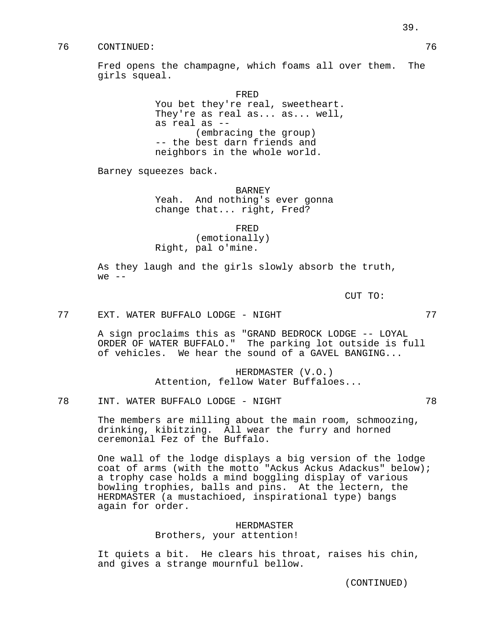# 76 CONTINUED: 76

Fred opens the champagne, which foams all over them. The girls squeal.

> FRED You bet they're real, sweetheart. They're as real as... as... well, as real as -- (embracing the group) -- the best darn friends and neighbors in the whole world.

Barney squeezes back.

BARNEY Yeah. And nothing's ever gonna change that... right, Fred?

FRED (emotionally) Right, pal o'mine.

As they laugh and the girls slowly absorb the truth, we  $--$ 

CUT TO:

77 EXT. WATER BUFFALO LODGE - NIGHT 77

A sign proclaims this as "GRAND BEDROCK LODGE -- LOYAL ORDER OF WATER BUFFALO." The parking lot outside is full of vehicles. We hear the sound of a GAVEL BANGING...

> HERDMASTER (V.O.) Attention, fellow Water Buffaloes...

78 INT. WATER BUFFALO LODGE - NIGHT 78

The members are milling about the main room, schmoozing, drinking, kibitzing. All wear the furry and horned ceremonial Fez of the Buffalo.

One wall of the lodge displays a big version of the lodge coat of arms (with the motto "Ackus Ackus Adackus" below); a trophy case holds a mind boggling display of various bowling trophies, balls and pins. At the lectern, the HERDMASTER (a mustachioed, inspirational type) bangs again for order.

> HERDMASTER Brothers, your attention!

It quiets a bit. He clears his throat, raises his chin, and gives a strange mournful bellow.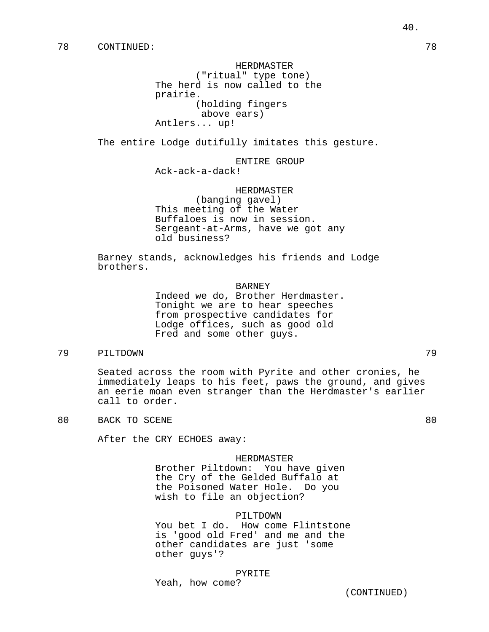HERDMASTER ("ritual" type tone) The herd is now called to the prairie. (holding fingers above ears) Antlers... up!

The entire Lodge dutifully imitates this gesture.

ENTIRE GROUP

Ack-ack-a-dack!

HERDMASTER

(banging gavel) This meeting of the Water Buffaloes is now in session. Sergeant-at-Arms, have we got any old business?

Barney stands, acknowledges his friends and Lodge brothers.

BARNEY

Indeed we do, Brother Herdmaster. Tonight we are to hear speeches from prospective candidates for Lodge offices, such as good old Fred and some other guys.

# 79 PILTDOWN 79

Seated across the room with Pyrite and other cronies, he immediately leaps to his feet, paws the ground, and gives an eerie moan even stranger than the Herdmaster's earlier call to order.

80 BACK TO SCENE 80

After the CRY ECHOES away:

#### HERDMASTER

Brother Piltdown: You have given the Cry of the Gelded Buffalo at the Poisoned Water Hole. Do you wish to file an objection?

### PILTDOWN

You bet I do. How come Flintstone is 'good old Fred' and me and the other candidates are just 'some other guys'?

### PYRITE

Yeah, how come?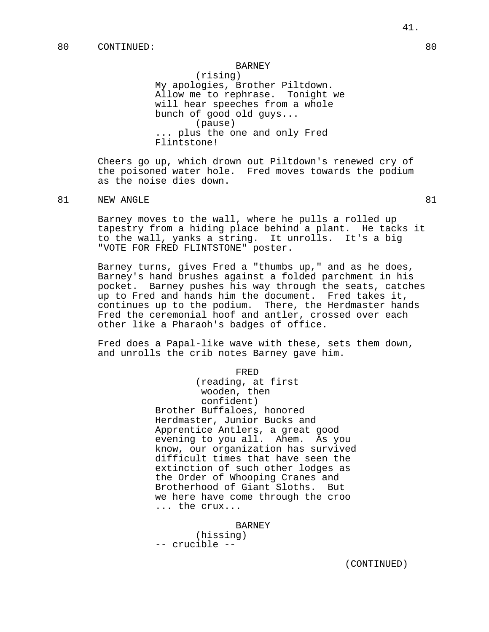### BARNEY

(rising) My apologies, Brother Piltdown. Allow me to rephrase. Tonight we will hear speeches from a whole bunch of good old guys... (pause) ... plus the one and only Fred Flintstone!

Cheers go up, which drown out Piltdown's renewed cry of the poisoned water hole. Fred moves towards the podium as the noise dies down.

# 81 NEW ANGLE 81

Barney moves to the wall, where he pulls a rolled up tapestry from a hiding place behind a plant. He tacks it to the wall, yanks a string. It unrolls. It's a big "VOTE FOR FRED FLINTSTONE" poster.

Barney turns, gives Fred a "thumbs up," and as he does, Barney's hand brushes against a folded parchment in his pocket. Barney pushes his way through the seats, catches up to Fred and hands him the document. Fred takes it, continues up to the podium. There, the Herdmaster hands Fred the ceremonial hoof and antler, crossed over each other like a Pharaoh's badges of office.

Fred does a Papal-like wave with these, sets them down, and unrolls the crib notes Barney gave him.

FRED

(reading, at first wooden, then confident) Brother Buffaloes, honored Herdmaster, Junior Bucks and Apprentice Antlers, a great good evening to you all. Ahem. As you know, our organization has survived difficult times that have seen the extinction of such other lodges as the Order of Whooping Cranes and Brotherhood of Giant Sloths. But we here have come through the croo ... the crux...

BARNEY (hissing) -- crucible --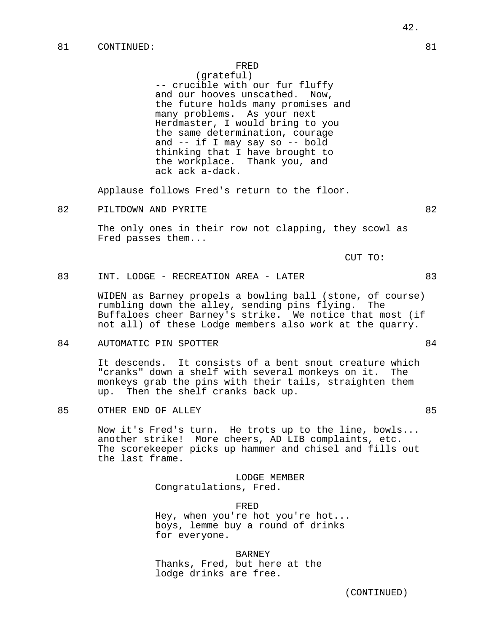(grateful) -- crucible with our fur fluffy and our hooves unscathed. Now, the future holds many promises and many problems. As your next Herdmaster, I would bring to you the same determination, courage and -- if I may say so -- bold thinking that I have brought to the workplace. Thank you, and ack ack a-dack.

Applause follows Fred's return to the floor.

82 PILTDOWN AND PYRITE 82

The only ones in their row not clapping, they scowl as Fred passes them...

CUT TO:

# 83 INT. LODGE - RECREATION AREA - LATER 83

WIDEN as Barney propels a bowling ball (stone, of course) rumbling down the alley, sending pins flying. The Buffaloes cheer Barney's strike. We notice that most (if not all) of these Lodge members also work at the quarry.

### 84 AUTOMATIC PIN SPOTTER 84

It descends. It consists of a bent snout creature which "cranks" down a shelf with several monkeys on it. The monkeys grab the pins with their tails, straighten them up. Then the shelf cranks back up.

85 OTHER END OF ALLEY **85** 

Now it's Fred's turn. He trots up to the line, bowls... another strike! More cheers, AD LIB complaints, etc. The scorekeeper picks up hammer and chisel and fills out the last frame.

> LODGE MEMBER Congratulations, Fred.

> > FRED

Hey, when you're hot you're hot... boys, lemme buy a round of drinks for everyone.

BARNEY Thanks, Fred, but here at the lodge drinks are free.

42.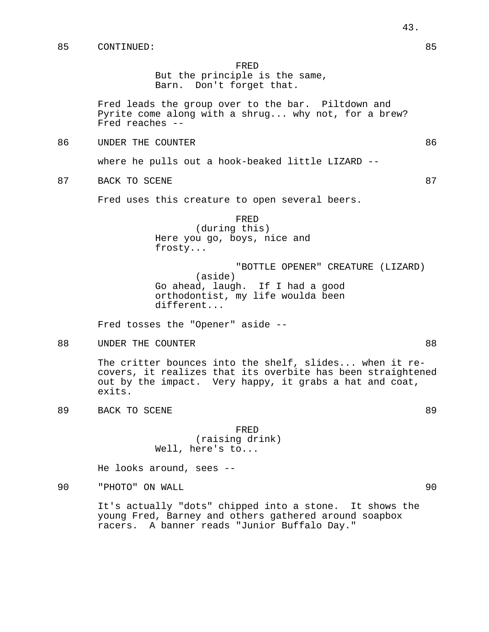But the principle is the same, Barn. Don't forget that.

Fred leads the group over to the bar. Piltdown and Pyrite come along with a shrug... why not, for a brew? Fred reaches --

86 UNDER THE COUNTER **EXECUTER** 86

where he pulls out a hook-beaked little LIZARD --

87 BACK TO SCENE 87

Fred uses this creature to open several beers.

(during this) Here you go, boys, nice and frosty...

"BOTTLE OPENER" CREATURE (LIZARD) (aside) Go ahead, laugh. If I had a good orthodontist, my life woulda been different...

Fred tosses the "Opener" aside --

88 UNDER THE COUNTER **EXECUTER** 88

The critter bounces into the shelf, slides... when it recovers, it realizes that its overbite has been straightened out by the impact. Very happy, it grabs a hat and coat, exits.

89 BACK TO SCENE 89

FRED (raising drink) Well, here's to...

He looks around, sees --

90 "PHOTO" ON WALL 90

It's actually "dots" chipped into a stone. It shows the young Fred, Barney and others gathered around soapbox racers. A banner reads "Junior Buffalo Day."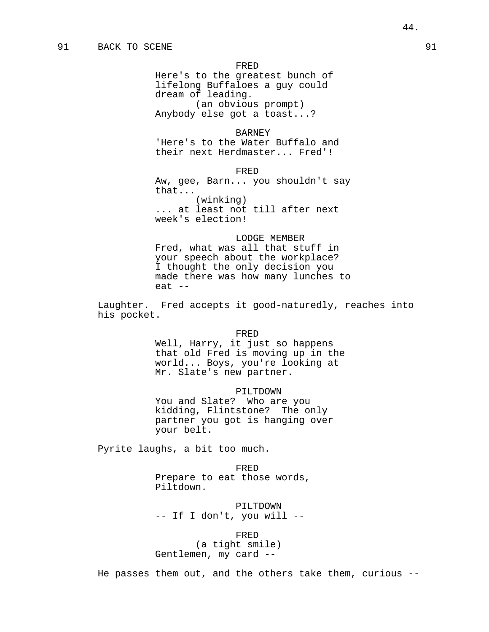Here's to the greatest bunch of lifelong Buffaloes a guy could dream of leading. (an obvious prompt) Anybody else got a toast...?

### BARNEY

'Here's to the Water Buffalo and their next Herdmaster... Fred'!

#### FRED

Aw, gee, Barn... you shouldn't say that... (winking) ... at least not till after next week's election!

# LODGE MEMBER

Fred, what was all that stuff in your speech about the workplace? I thought the only decision you made there was how many lunches to eat --

Laughter. Fred accepts it good-naturedly, reaches into his pocket.

#### FRED

Well, Harry, it just so happens that old Fred is moving up in the world... Boys, you're looking at Mr. Slate's new partner.

### PILTDOWN

You and Slate? Who are you kidding, Flintstone? The only partner you got is hanging over your belt.

Pyrite laughs, a bit too much.

FRED Prepare to eat those words, Piltdown.

PILTDOWN -- If I don't, you will --

#### FRED

(a tight smile) Gentlemen, my card --

He passes them out, and the others take them, curious --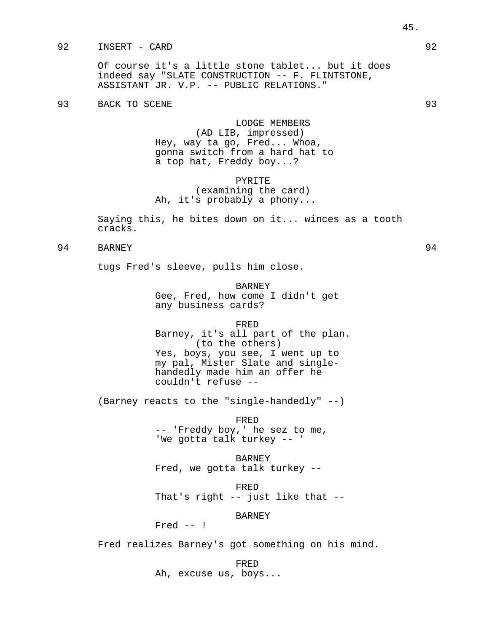# 92 INSERT - CARD 92

Of course it's a little stone tablet... but it does indeed say "SLATE CONSTRUCTION -- F. FLINTSTONE, ASSISTANT JR. V.P. -- PUBLIC RELATIONS."

93 BACK TO SCENE 2008 93

LODGE MEMBERS (AD LIB, impressed) Hey, way ta go, Fred... Whoa, gonna switch from a hard hat to a top hat, Freddy boy...?

# PYRITE (examining the card) Ah, it's probably a phony...

Saying this, he bites down on it... winces as a tooth cracks.

# 94 BARNEY 94

tugs Fred's sleeve, pulls him close.

BARNEY Gee, Fred, how come I didn't get any business cards?

#### FRED

Barney, it's all part of the plan. (to the others) Yes, boys, you see, I went up to my pal, Mister Slate and singlehandedly made him an offer he couldn't refuse --

(Barney reacts to the "single-handedly" --)

FRED -- 'Freddy boy,' he sez to me, 'We gotta talk turkey -- '

BARNEY Fred, we gotta talk turkey --

FRED That's right -- just like that --

BARNEY

Fred -- !

Fred realizes Barney's got something on his mind.

FRED

Ah, excuse us, boys...

45.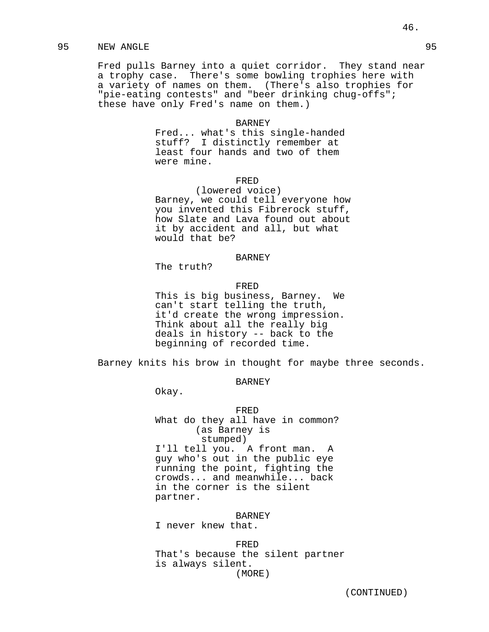# 95 NEW ANGLE 95

Fred pulls Barney into a quiet corridor. They stand near a trophy case. There's some bowling trophies here with a variety of names on them. (There's also trophies for "pie-eating contests" and "beer drinking chug-offs"; these have only Fred's name on them.)

#### BARNEY

Fred... what's this single-handed stuff? I distinctly remember at least four hands and two of them were mine.

# FRED

(lowered voice) Barney, we could tell everyone how you invented this Fibrerock stuff, how Slate and Lava found out about it by accident and all, but what would that be?

### **BARNEY**

The truth?

#### FRED

This is big business, Barney. We can't start telling the truth, it'd create the wrong impression. Think about all the really big deals in history -- back to the beginning of recorded time.

Barney knits his brow in thought for maybe three seconds.

# BARNEY

Okay.

FRED What do they all have in common? (as Barney is stumped) I'll tell you. A front man. A guy who's out in the public eye running the point, fighting the crowds... and meanwhile... back in the corner is the silent partner.

**BARNEY** 

I never knew that.

FRED That's because the silent partner is always silent. (MORE)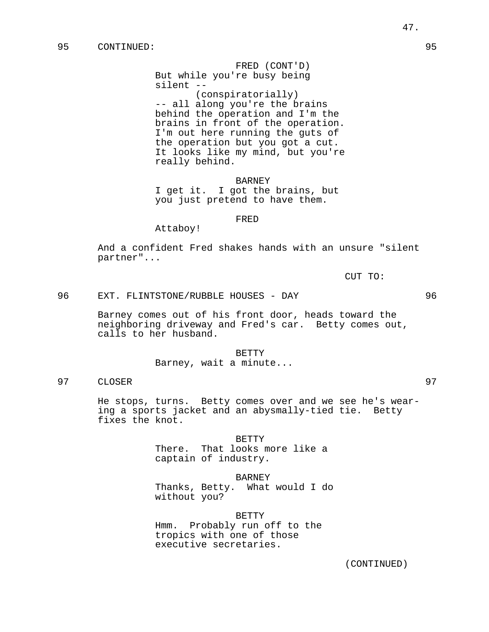FRED (CONT'D) But while you're busy being silent -- (conspiratorially) -- all along you're the brains behind the operation and I'm the brains in front of the operation. I'm out here running the guts of the operation but you got a cut. It looks like my mind, but you're really behind.

BARNEY I get it. I got the brains, but you just pretend to have them.

### FRED

Attaboy!

And a confident Fred shakes hands with an unsure "silent partner"...

CUT TO:

# 96 EXT. FLINTSTONE/RUBBLE HOUSES - DAY 96

Barney comes out of his front door, heads toward the neighboring driveway and Fred's car. Betty comes out, calls to her husband.

BETTY

Barney, wait a minute...

97 CLOSER 97

He stops, turns. Betty comes over and we see he's wearing a sports jacket and an abysmally-tied tie. Betty fixes the knot.

> BETTY There. That looks more like a captain of industry.

> > BARNEY

Thanks, Betty. What would I do without you?

BETTY Hmm. Probably run off to the tropics with one of those executive secretaries.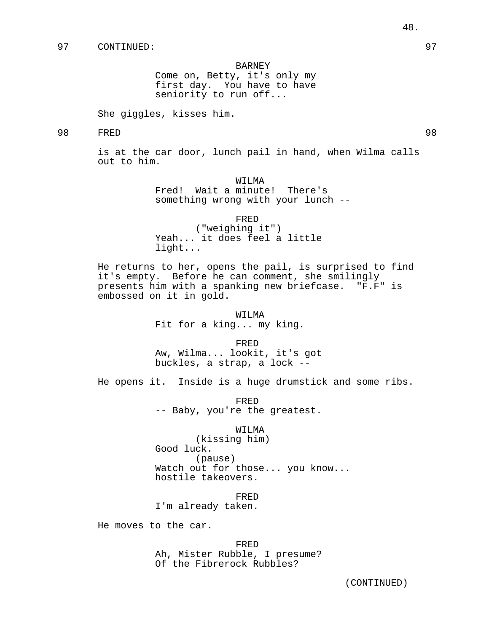#### BARNEY

Come on, Betty, it's only my first day. You have to have seniority to run off...

She giggles, kisses him.

# 98 FRED 98

is at the car door, lunch pail in hand, when Wilma calls out to him.

> WILMA Fred! Wait a minute! There's something wrong with your lunch --

> > FRED

("weighing it") Yeah... it does feel a little light...

He returns to her, opens the pail, is surprised to find it's empty. Before he can comment, she smilingly presents him with a spanking new briefcase. "F.F" is embossed on it in gold.

> WILMA Fit for a king... my king.

> > FRED

Aw, Wilma... lookit, it's got buckles, a strap, a lock --

He opens it. Inside is a huge drumstick and some ribs.

FRED -- Baby, you're the greatest.

### WILMA

(kissing him) Good luck. (pause) Watch out for those... you know... hostile takeovers.

FRED

I'm already taken.

He moves to the car.

FRED Ah, Mister Rubble, I presume? Of the Fibrerock Rubbles?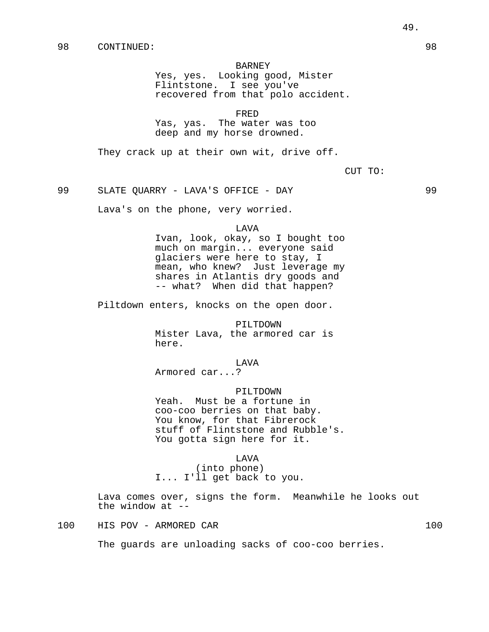#### BARNEY

Yes, yes. Looking good, Mister Flintstone. I see you've recovered from that polo accident.

FRED

Yas, yas. The water was too deep and my horse drowned.

They crack up at their own wit, drive off.

CUT TO:

99 SLATE QUARRY - LAVA'S OFFICE - DAY 99

Lava's on the phone, very worried.

LAVA

Ivan, look, okay, so I bought too much on margin... everyone said glaciers were here to stay, I mean, who knew? Just leverage my shares in Atlantis dry goods and -- what? When did that happen?

Piltdown enters, knocks on the open door.

PILTDOWN Mister Lava, the armored car is here.

LAVA

Armored car...?

PILTDOWN

Yeah. Must be a fortune in coo-coo berries on that baby. You know, for that Fibrerock stuff of Flintstone and Rubble's. You gotta sign here for it.

#### LAVA

(into phone) I... I'll get back to you.

Lava comes over, signs the form. Meanwhile he looks out the window at  $-$ -

100 HIS POV - ARMORED CAR 100

The guards are unloading sacks of coo-coo berries.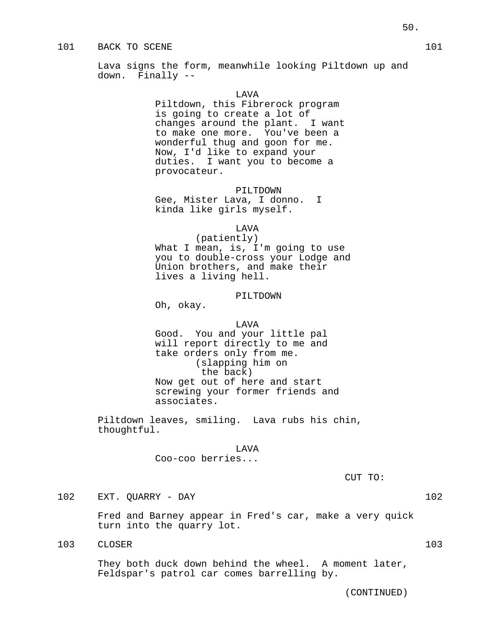# 101 BACK TO SCENE 101 and the set of the set of the set of the set of the set of the set of the set of the set of the set of the set of the set of the set of the set of the set of the set of the set of the set of the set o

Lava signs the form, meanwhile looking Piltdown up and down. Finally --

### LAVA

Piltdown, this Fibrerock program is going to create a lot of changes around the plant. I want to make one more. You've been a wonderful thug and goon for me. Now, I'd like to expand your duties. I want you to become a provocateur.

### PILTDOWN

Gee, Mister Lava, I donno. I kinda like girls myself.

### LAVA

(patiently) What I mean, is, I'm going to use you to double-cross your Lodge and Union brothers, and make their lives a living hell.

# PILTDOWN

Oh, okay.

#### LAVA

Good. You and your little pal will report directly to me and take orders only from me. (slapping him on the back) Now get out of here and start screwing your former friends and associates.

Piltdown leaves, smiling. Lava rubs his chin, thoughtful.

### LAVA

Coo-coo berries...

CUT TO:

(CONTINUED)

# 102 EXT. QUARRY - DAY 102

Fred and Barney appear in Fred's car, make a very quick turn into the quarry lot.

103 CLOSER 103

They both duck down behind the wheel. A moment later, Feldspar's patrol car comes barrelling by.

50.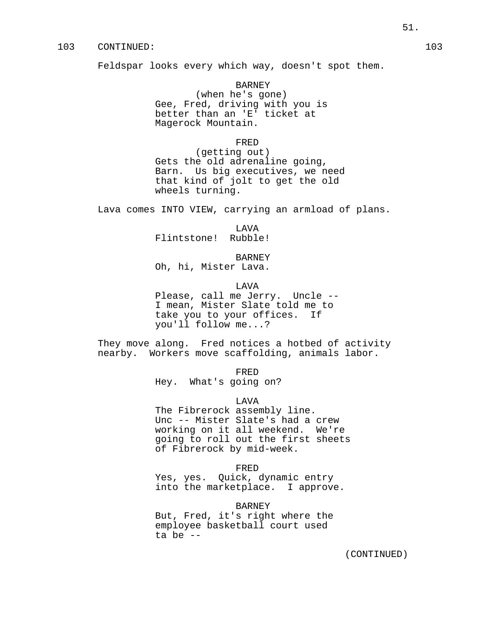# 103 CONTINUED: 103

Feldspar looks every which way, doesn't spot them.

BARNEY (when he's gone) Gee, Fred, driving with you is better than an 'E' ticket at Magerock Mountain.

### FRED

(getting out) Gets the old adrenaline going, Barn. Us big executives, we need that kind of jolt to get the old wheels turning.

Lava comes INTO VIEW, carrying an armload of plans.

LAVA

Flintstone! Rubble!

BARNEY

Oh, hi, Mister Lava.

LAVA

Please, call me Jerry. Uncle -- I mean, Mister Slate told me to take you to your offices. If you'll follow me...?

They move along. Fred notices a hotbed of activity nearby. Workers move scaffolding, animals labor.

FRED

Hey. What's going on?

LAVA

The Fibrerock assembly line. Unc -- Mister Slate's had a crew working on it all weekend. We're going to roll out the first sheets of Fibrerock by mid-week.

FRED

Yes, yes. Quick, dynamic entry into the marketplace. I approve.

BARNEY

But, Fred, it's right where the employee basketball court used ta be --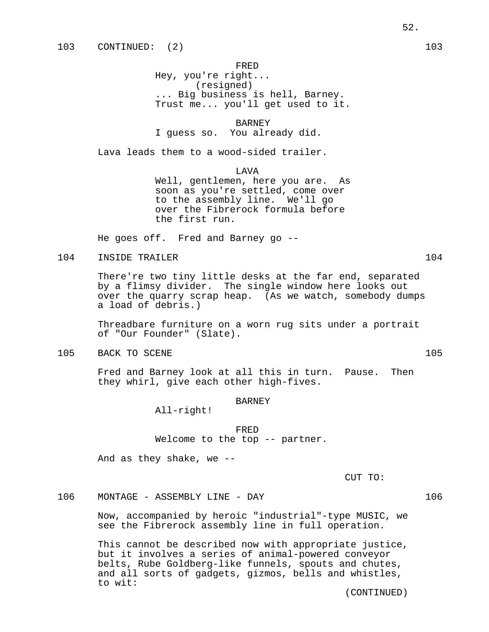Hey, you're right... (resigned) ... Big business is hell, Barney. Trust me... you'll get used to it.

BARNEY

I guess so. You already did.

Lava leads them to a wood-sided trailer.

LAVA

Well, gentlemen, here you are. As soon as you're settled, come over to the assembly line. We'll go over the Fibrerock formula before the first run.

He goes off. Fred and Barney go --

# 104 INSIDE TRAILER 104 104

There're two tiny little desks at the far end, separated by a flimsy divider. The single window here looks out over the quarry scrap heap. (As we watch, somebody dumps a load of debris.)

Threadbare furniture on a worn rug sits under a portrait of "Our Founder" (Slate).

105 BACK TO SCENE 105

Fred and Barney look at all this in turn. Pause. Then they whirl, give each other high-fives.

### **BARNEY**

All-right!

FRED Welcome to the top -- partner.

And as they shake, we --

CUT TO:

106 MONTAGE - ASSEMBLY LINE - DAY 106

Now, accompanied by heroic "industrial"-type MUSIC, we see the Fibrerock assembly line in full operation.

This cannot be described now with appropriate justice, but it involves a series of animal-powered conveyor belts, Rube Goldberg-like funnels, spouts and chutes, and all sorts of gadgets, gizmos, bells and whistles, to wit: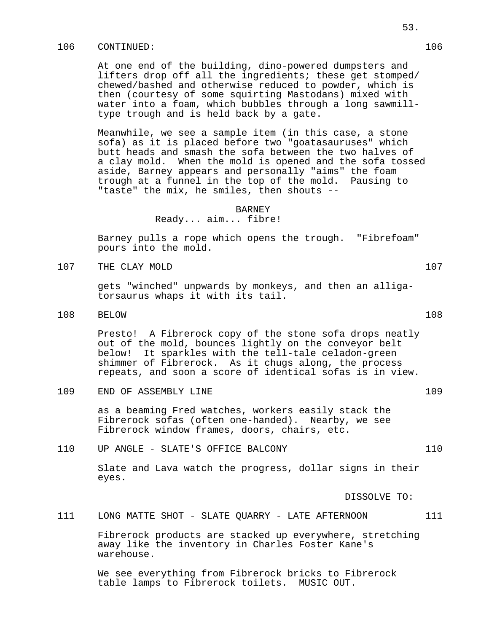# 106 CONTINUED: 106

At one end of the building, dino-powered dumpsters and lifters drop off all the ingredients; these get stomped/ chewed/bashed and otherwise reduced to powder, which is then (courtesy of some squirting Mastodans) mixed with water into a foam, which bubbles through a long sawmilltype trough and is held back by a gate.

Meanwhile, we see a sample item (in this case, a stone sofa) as it is placed before two "goatasauruses" which butt heads and smash the sofa between the two halves of a clay mold. When the mold is opened and the sofa tossed aside, Barney appears and personally "aims" the foam trough at a funnel in the top of the mold. Pausing to "taste" the mix, he smiles, then shouts --

#### BARNEY

Ready... aim... fibre!

Barney pulls a rope which opens the trough. "Fibrefoam" pours into the mold.

107 THE CLAY MOLD 107 107

gets "winched" unpwards by monkeys, and then an alligatorsaurus whaps it with its tail.

108 BELOW 108

Presto! A Fibrerock copy of the stone sofa drops neatly out of the mold, bounces lightly on the conveyor belt below! It sparkles with the tell-tale celadon-green shimmer of Fibrerock. As it chugs along, the process repeats, and soon a score of identical sofas is in view.

109 END OF ASSEMBLY LINE 109

as a beaming Fred watches, workers easily stack the Fibrerock sofas (often one-handed). Nearby, we see Fibrerock window frames, doors, chairs, etc.

110 UP ANGLE - SLATE'S OFFICE BALCONY 110

Slate and Lava watch the progress, dollar signs in their eyes.

DISSOLVE TO:

111 LONG MATTE SHOT - SLATE QUARRY - LATE AFTERNOON 111

Fibrerock products are stacked up everywhere, stretching away like the inventory in Charles Foster Kane's warehouse.

We see everything from Fibrerock bricks to Fibrerock table lamps to Fibrerock toilets. MUSIC OUT.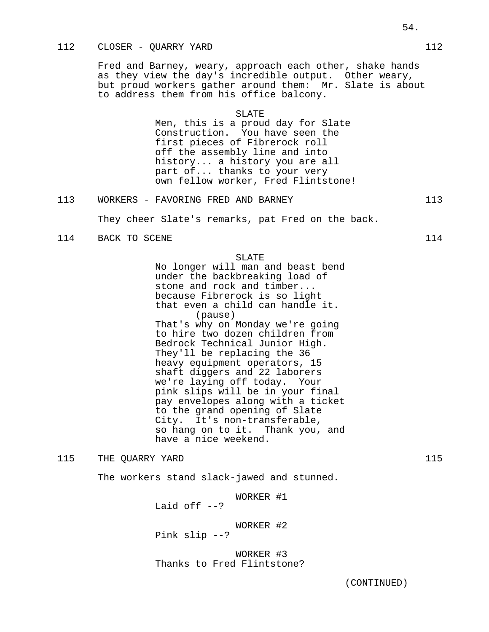# 112 CLOSER - QUARRY YARD 112

Fred and Barney, weary, approach each other, shake hands as they view the day's incredible output. Other weary, but proud workers gather around them: Mr. Slate is about to address them from his office balcony.

#### SLATE

Men, this is a proud day for Slate Construction. You have seen the first pieces of Fibrerock roll off the assembly line and into history... a history you are all part of... thanks to your very own fellow worker, Fred Flintstone!

# 113 WORKERS - FAVORING FRED AND BARNEY 113

They cheer Slate's remarks, pat Fred on the back.

# 114 BACK TO SCENE 114

#### SLATE

No longer will man and beast bend under the backbreaking load of stone and rock and timber... because Fibrerock is so light that even a child can handle it. (pause) That's why on Monday we're going to hire two dozen children from Bedrock Technical Junior High. They'll be replacing the 36 heavy equipment operators, 15 shaft diggers and 22 laborers we're laying off today. Your pink slips will be in your final pay envelopes along with a ticket to the grand opening of Slate City. It's non-transferable, so hang on to it. Thank you, and have a nice weekend.

# 115 THE QUARRY YARD 115

The workers stand slack-jawed and stunned.

WORKER #1

Laid off  $-2$ ?

Pink slip --?

WORKER #2

WORKER #3 Thanks to Fred Flintstone?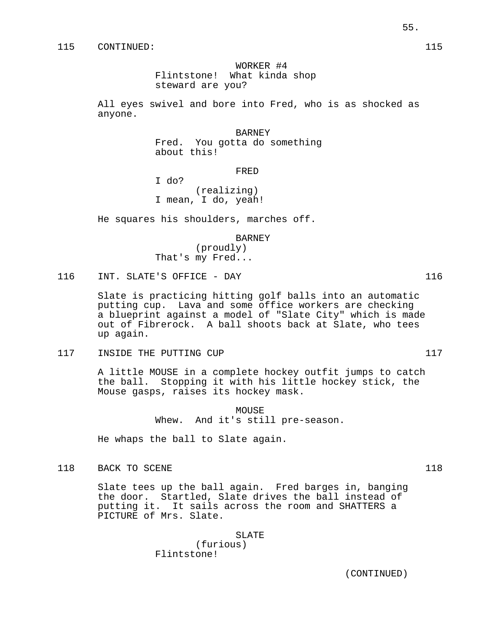WORKER #4 Flintstone! What kinda shop steward are you?

All eyes swivel and bore into Fred, who is as shocked as anyone.

> BARNEY Fred. You gotta do something about this!

> > FRED

I do? (realizing) I mean, I do, yeah!

He squares his shoulders, marches off.

BARNEY

(proudly) That's my Fred...

116 INT. SLATE'S OFFICE - DAY 116

Slate is practicing hitting golf balls into an automatic putting cup. Lava and some office workers are checking a blueprint against a model of "Slate City" which is made out of Fibrerock. A ball shoots back at Slate, who tees up again.

117 INSIDE THE PUTTING CUP 117

A little MOUSE in a complete hockey outfit jumps to catch the ball. Stopping it with his little hockey stick, the Mouse gasps, raises its hockey mask.

> MOUSE Whew. And it's still pre-season.

He whaps the ball to Slate again.

118 BACK TO SCENE 118 and 118

Slate tees up the ball again. Fred barges in, banging the door. Startled, Slate drives the ball instead of putting it. It sails across the room and SHATTERS a PICTURE of Mrs. Slate.

> SLATE (furious) Flintstone!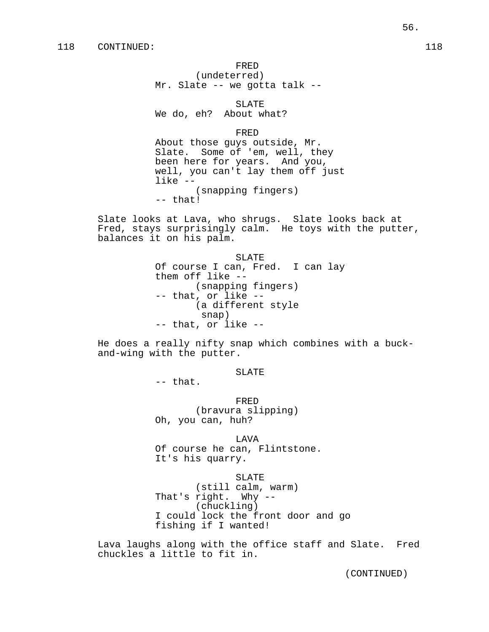(undeterred) Mr. Slate -- we gotta talk --

SLATE

We do, eh? About what?

FRED

About those guys outside, Mr. Slate. Some of 'em, well, they been here for years. And you, well, you can't lay them off just like -- (snapping fingers) -- that!

Slate looks at Lava, who shrugs. Slate looks back at Fred, stays surprisingly calm. He toys with the putter, balances it on his palm.

> SLATE Of course I can, Fred. I can lay them off like -- (snapping fingers) -- that, or like -- (a different style snap) -- that, or like --

He does a really nifty snap which combines with a buckand-wing with the putter.

SLATE

-- that.

FRED (bravura slipping) Oh, you can, huh?

LAVA Of course he can, Flintstone. It's his quarry.

SLATE

(still calm, warm) That's right. Why -- (chuckling) I could lock the front door and go fishing if I wanted!

Lava laughs along with the office staff and Slate. Fred chuckles a little to fit in.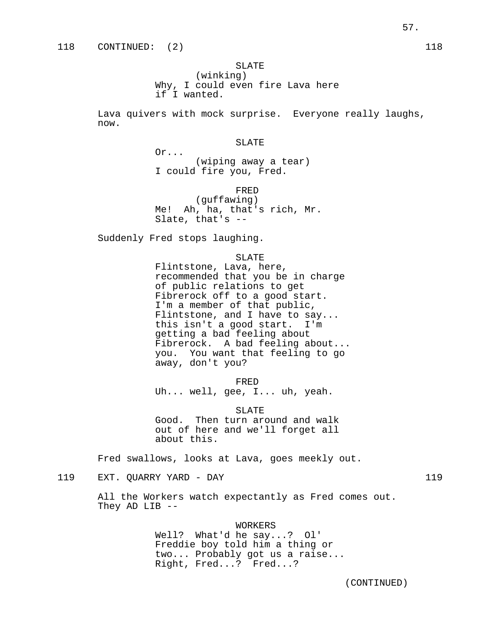# SLATE

(winking) Why, I could even fire Lava here if I wanted.

Lava quivers with mock surprise. Everyone really laughs, now.

#### SLATE

(wiping away a tear) I could fire you, Fred.

FRED

(guffawing) Me! Ah, ha, that's rich, Mr. Slate, that's --

Suddenly Fred stops laughing.

Or...

#### SLATE

Flintstone, Lava, here, recommended that you be in charge of public relations to get Fibrerock off to a good start. I'm a member of that public, Flintstone, and I have to say... this isn't a good start. I'm getting a bad feeling about Fibrerock. A bad feeling about... you. You want that feeling to go away, don't you?

FRED

Uh... well, gee, I... uh, yeah.

SLATE

Good. Then turn around and walk out of here and we'll forget all about this.

Fred swallows, looks at Lava, goes meekly out.

119 EXT. QUARRY YARD - DAY 119

All the Workers watch expectantly as Fred comes out. They AD LIB --

### WORKERS

Well? What'd he say...? Ol' Freddie boy told him a thing or two... Probably got us a raise... Right, Fred...? Fred...?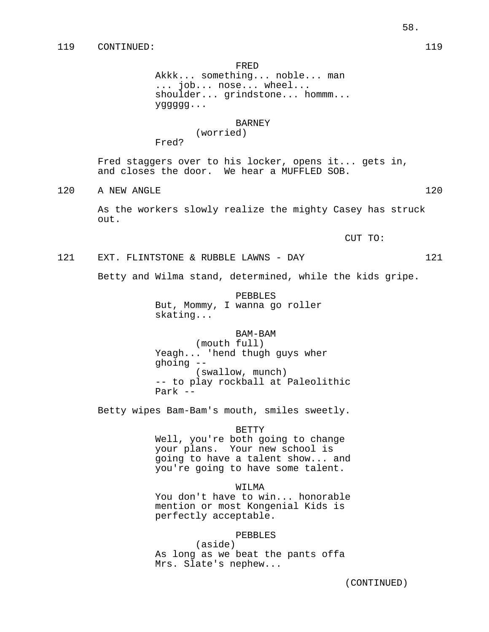Akkk... something... noble... man ... job... nose... wheel... shoulder... grindstone... hommm... yggggg...

### BARNEY

(worried)

Fred?

Fred staggers over to his locker, opens it... gets in, and closes the door. We hear a MUFFLED SOB.

120 A NEW ANGLE 120 120

As the workers slowly realize the mighty Casey has struck out.

CUT TO:

121 EXT. FLINTSTONE & RUBBLE LAWNS - DAY 121

Betty and Wilma stand, determined, while the kids gripe.

PEBBLES But, Mommy, I wanna go roller skating...

BAM-BAM (mouth full) Yeagh... 'hend thugh guys wher ghoing -- (swallow, munch) -- to play rockball at Paleolithic Park --

Betty wipes Bam-Bam's mouth, smiles sweetly.

### BETTY

Well, you're both going to change your plans. Your new school is going to have a talent show... and you're going to have some talent.

### WITMA

You don't have to win... honorable mention or most Kongenial Kids is perfectly acceptable.

### PEBBLES

(aside) As long as we beat the pants offa Mrs. Slate's nephew...

(CONTINUED)

58.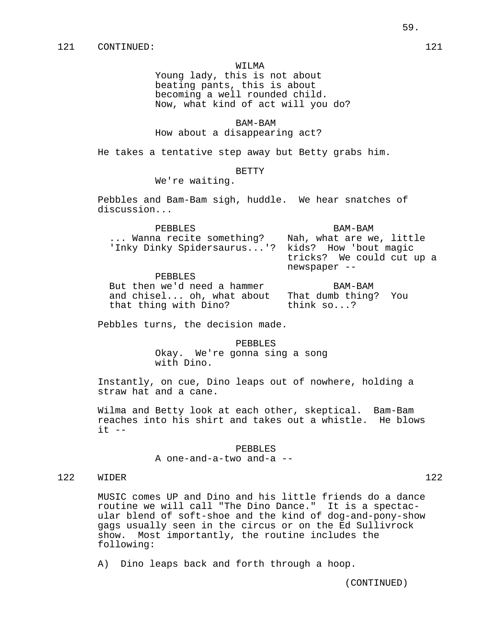#### WILMA

Young lady, this is not about beating pants, this is about becoming a well rounded child. Now, what kind of act will you do?

BAM-BAM

How about a disappearing act?

He takes a tentative step away but Betty grabs him.

# BETTY

We're waiting.

Pebbles and Bam-Bam sigh, huddle. We hear snatches of discussion...

| PEBBLES                                          | BAM-BAM                                   |
|--------------------------------------------------|-------------------------------------------|
| Wanna recite something?                          | Nah, what are we, little                  |
| 'Inky Dinky Spidersaurus'? kids? How 'bout magic | tricks? We could cut up a<br>newspaper -- |
| סה זממהת                                         |                                           |

PEBBLES But then we'd need a hammer BAM-BAM and chisel... oh, what about That dumb thing? You that thing with Dino? think so...?

Pebbles turns, the decision made.

PEBBLES Okay. We're gonna sing a song with Dino.

Instantly, on cue, Dino leaps out of nowhere, holding a straw hat and a cane.

Wilma and Betty look at each other, skeptical. Bam-Bam reaches into his shirt and takes out a whistle. He blows  $it$   $--$ 

> PEBBLES A one-and-a-two and-a --

# 122 WIDER 122

MUSIC comes UP and Dino and his little friends do a dance routine we will call "The Dino Dance." It is a spectacular blend of soft-shoe and the kind of dog-and-pony-show gags usually seen in the circus or on the Ed Sullivrock show. Most importantly, the routine includes the following:

A) Dino leaps back and forth through a hoop.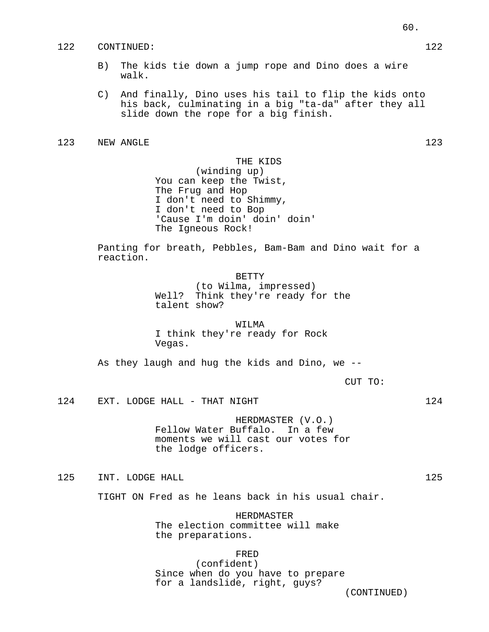### 122 CONTINUED: 122

- B) The kids tie down a jump rope and Dino does a wire walk.
- C) And finally, Dino uses his tail to flip the kids onto his back, culminating in a big "ta-da" after they all slide down the rope for a big finish.

# 123 NEW ANGLE 123

THE KIDS (winding up) You can keep the Twist, The Frug and Hop I don't need to Shimmy, I don't need to Bop 'Cause I'm doin' doin' doin' The Igneous Rock!

Panting for breath, Pebbles, Bam-Bam and Dino wait for a reaction.

BETTY

(to Wilma, impressed) Well? Think they're ready for the talent show?

#### WILMA

I think they're ready for Rock Vegas.

As they laugh and hug the kids and Dino, we --

CUT TO:

124 EXT. LODGE HALL - THAT NIGHT 124 124

HERDMASTER (V.O.) Fellow Water Buffalo. In a few moments we will cast our votes for the lodge officers.

125 INT. LODGE HALL 125 2125

TIGHT ON Fred as he leans back in his usual chair.

HERDMASTER The election committee will make the preparations.

FRED (confident) Since when do you have to prepare for a landslide, right, guys?

(CONTINUED)

60.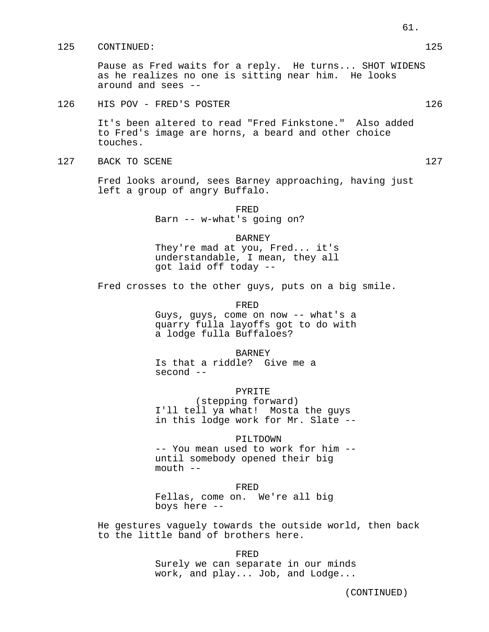### 125 CONTINUED: 125

Pause as Fred waits for a reply. He turns... SHOT WIDENS as he realizes no one is sitting near him. He looks around and sees --

# 126 HIS POV - FRED'S POSTER 126 126

It's been altered to read "Fred Finkstone." Also added to Fred's image are horns, a beard and other choice touches.

### 127 BACK TO SCENE 127 and 127

Fred looks around, sees Barney approaching, having just left a group of angry Buffalo.

> FRED Barn -- w-what's going on?

#### BARNEY

They're mad at you, Fred... it's understandable, I mean, they all got laid off today --

Fred crosses to the other guys, puts on a big smile.

FRED

Guys, guys, come on now -- what's a quarry fulla layoffs got to do with a lodge fulla Buffaloes?

BARNEY

Is that a riddle? Give me a second --

PYRITE (stepping forward) I'll tell ya what! Mosta the guys in this lodge work for Mr. Slate --

# PILTDOWN

-- You mean used to work for him - until somebody opened their big  $mouth$   $--$ 

#### FRED

Fellas, come on. We're all big boys here --

He gestures vaguely towards the outside world, then back to the little band of brothers here.

> FRED Surely we can separate in our minds work, and play... Job, and Lodge...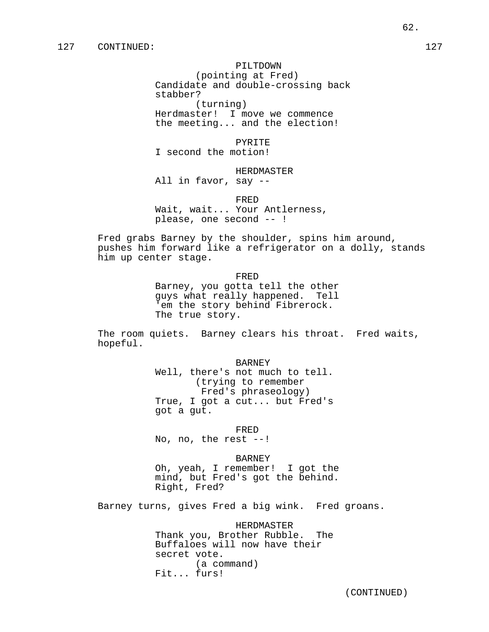### PILTDOWN

(pointing at Fred) Candidate and double-crossing back stabber? (turning) Herdmaster! I move we commence

the meeting... and the election!

### PYRITE

I second the motion!

#### HERDMASTER

All in favor, say --

#### FRED

Wait, wait... Your Antlerness, please, one second -- !

Fred grabs Barney by the shoulder, spins him around, pushes him forward like a refrigerator on a dolly, stands him up center stage.

FRED

Barney, you gotta tell the other guys what really happened. Tell 'em the story behind Fibrerock. The true story.

The room quiets. Barney clears his throat. Fred waits, hopeful.

BARNEY

Well, there's not much to tell. (trying to remember Fred's phraseology) True, I got a cut... but Fred's got a gut.

FRED

No, no, the rest --!

#### BARNEY

Oh, yeah, I remember! I got the mind, but Fred's got the behind. Right, Fred?

Barney turns, gives Fred a big wink. Fred groans.

HERDMASTER Thank you, Brother Rubble. The Buffaloes will now have their secret vote. (a command) Fit... furs!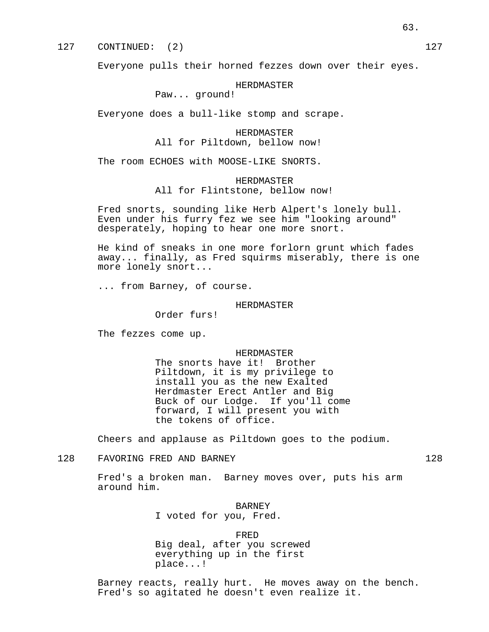Everyone pulls their horned fezzes down over their eyes.

### HERDMASTER

Paw... ground!

Everyone does a bull-like stomp and scrape.

HERDMASTER All for Piltdown, bellow now!

The room ECHOES with MOOSE-LIKE SNORTS.

HERDMASTER All for Flintstone, bellow now!

Fred snorts, sounding like Herb Alpert's lonely bull. Even under his furry fez we see him "looking around" desperately, hoping to hear one more snort.

He kind of sneaks in one more forlorn grunt which fades away... finally, as Fred squirms miserably, there is one more lonely snort...

... from Barney, of course.

# HERDMASTER

Order furs!

The fezzes come up.

#### HERDMASTER

The snorts have it! Brother Piltdown, it is my privilege to install you as the new Exalted Herdmaster Erect Antler and Big Buck of our Lodge. If you'll come forward, I will present you with the tokens of office.

Cheers and applause as Piltdown goes to the podium.

# 128 FAVORING FRED AND BARNEY 128 128

Fred's a broken man. Barney moves over, puts his arm around him.

BARNEY

I voted for you, Fred.

#### FRED

Big deal, after you screwed everything up in the first place...!

Barney reacts, really hurt. He moves away on the bench. Fred's so agitated he doesn't even realize it.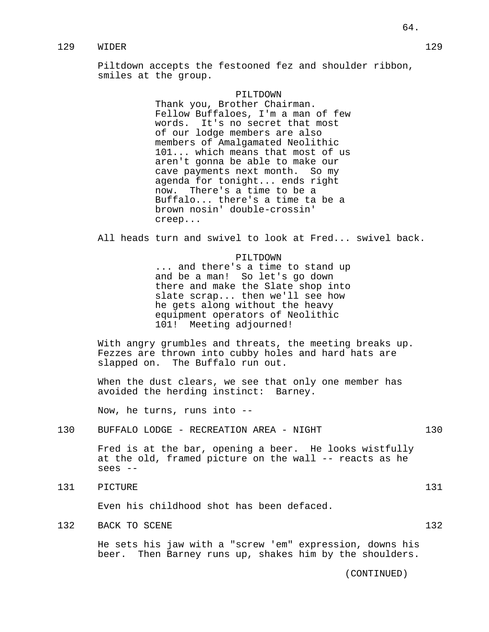# 129 WIDER 129

Piltdown accepts the festooned fez and shoulder ribbon, smiles at the group.

#### PILTDOWN

Thank you, Brother Chairman. Fellow Buffaloes, I'm a man of few words. It's no secret that most of our lodge members are also members of Amalgamated Neolithic 101... which means that most of us aren't gonna be able to make our cave payments next month. So my agenda for tonight... ends right now. There's a time to be a Buffalo... there's a time ta be a brown nosin' double-crossin' creep...

All heads turn and swivel to look at Fred... swivel back.

#### PILTDOWN

... and there's a time to stand up and be a man! So let's go down there and make the Slate shop into slate scrap... then we'll see how he gets along without the heavy equipment operators of Neolithic 101! Meeting adjourned!

With angry grumbles and threats, the meeting breaks up. Fezzes are thrown into cubby holes and hard hats are slapped on. The Buffalo run out.

When the dust clears, we see that only one member has avoided the herding instinct: Barney.

Now, he turns, runs into --

### 130 BUFFALO LODGE - RECREATION AREA - NIGHT 130

Fred is at the bar, opening a beer. He looks wistfully at the old, framed picture on the wall -- reacts as he sees --

131 PICTURE 131

Even his childhood shot has been defaced.

132 BACK TO SCENE 132 132

He sets his jaw with a "screw 'em" expression, downs his beer. Then Barney runs up, shakes him by the shoulders.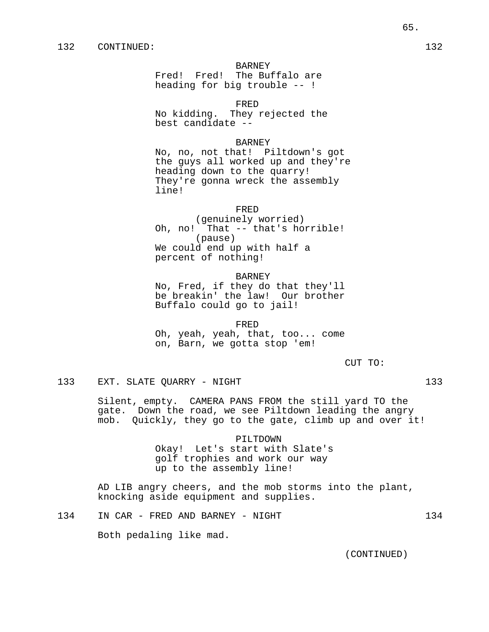# BARNEY

Fred! Fred! The Buffalo are heading for big trouble -- !

FRED

No kidding. They rejected the best candidate --

### BARNEY

No, no, not that! Piltdown's got the guys all worked up and they're heading down to the quarry! They're gonna wreck the assembly line!

#### FRED

(genuinely worried) Oh, no! That -- that's horrible! (pause) We could end up with half a percent of nothing!

# BARNEY

No, Fred, if they do that they'll be breakin' the law! Our brother Buffalo could go to jail!

FRED Oh, yeah, yeah, that, too... come on, Barn, we gotta stop 'em!

CUT TO:

133 EXT. SLATE QUARRY - NIGHT 133

Silent, empty. CAMERA PANS FROM the still yard TO the gate. Down the road, we see Piltdown leading the angry mob. Quickly, they go to the gate, climb up and over it!

> PILTDOWN Okay! Let's start with Slate's golf trophies and work our way up to the assembly line!

AD LIB angry cheers, and the mob storms into the plant, knocking aside equipment and supplies.

134 IN CAR - FRED AND BARNEY - NIGHT 134

Both pedaling like mad.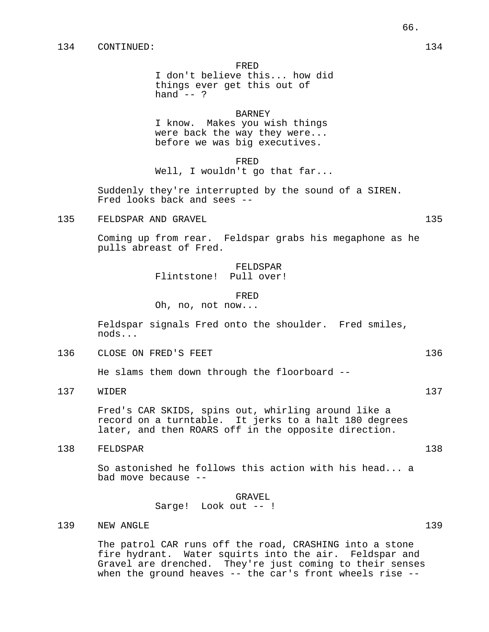I don't believe this... how did things ever get this out of hand  $--$  ?

# BARNEY

I know. Makes you wish things were back the way they were... before we was big executives.

FRED

Well, I wouldn't go that far...

Suddenly they're interrupted by the sound of a SIREN. Fred looks back and sees --

135 FELDSPAR AND GRAVEL 135 (135)

Coming up from rear. Feldspar grabs his megaphone as he pulls abreast of Fred.

# FELDSPAR Flintstone! Pull over!

#### FRED

Oh, no, not now...

Feldspar signals Fred onto the shoulder. Fred smiles, nods...

136 CLOSE ON FRED'S FEET 136 136

He slams them down through the floorboard --

137 WIDER 137

Fred's CAR SKIDS, spins out, whirling around like a record on a turntable. It jerks to a halt 180 degrees later, and then ROARS off in the opposite direction.

138 FELDSPAR 138

So astonished he follows this action with his head... a bad move because --

> GRAVEL Sarge! Look out -- !

139 NEW ANGLE 139 139

The patrol CAR runs off the road, CRASHING into a stone fire hydrant. Water squirts into the air. Feldspar and Gravel are drenched. They're just coming to their senses when the ground heaves -- the car's front wheels rise --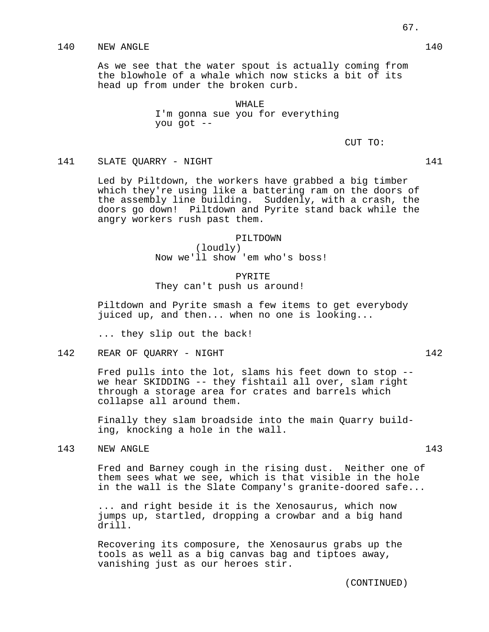# 140 NEW ANGLE 140

As we see that the water spout is actually coming from the blowhole of a whale which now sticks a bit of its head up from under the broken curb.

> WHALE. I'm gonna sue you for everything you got --

> > CUT TO:

### 141 SLATE QUARRY - NIGHT 141 141

Led by Piltdown, the workers have grabbed a big timber which they're using like a battering ram on the doors of the assembly line building. Suddenly, with a crash, the doors go down! Piltdown and Pyrite stand back while the angry workers rush past them.

# PILTDOWN (loudly) Now we'll show 'em who's boss!

# PYRITE They can't push us around!

Piltdown and Pyrite smash a few items to get everybody juiced up, and then... when no one is looking...

... they slip out the back!

142 REAR OF QUARRY - NIGHT 142 142

Fred pulls into the lot, slams his feet down to stop - we hear SKIDDING -- they fishtail all over, slam right through a storage area for crates and barrels which collapse all around them.

Finally they slam broadside into the main Quarry building, knocking a hole in the wall.

143 NEW ANGLE 143

Fred and Barney cough in the rising dust. Neither one of them sees what we see, which is that visible in the hole in the wall is the Slate Company's granite-doored safe...

... and right beside it is the Xenosaurus, which now jumps up, startled, dropping a crowbar and a big hand drill.

Recovering its composure, the Xenosaurus grabs up the tools as well as a big canvas bag and tiptoes away, vanishing just as our heroes stir.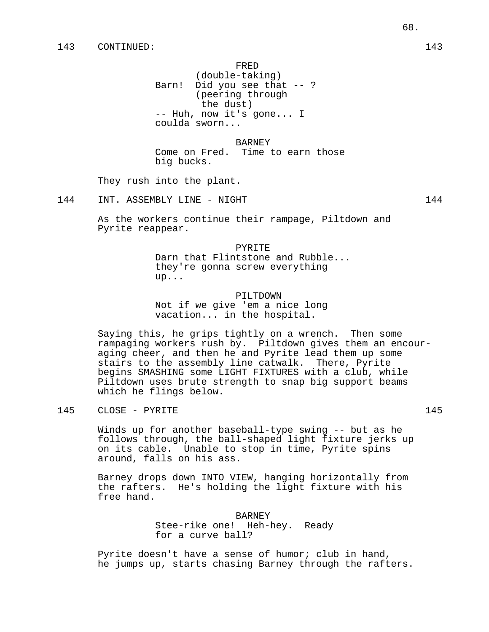(double-taking) Barn! Did you see that -- ? (peering through the dust) -- Huh, now it's gone... I coulda sworn...

BARNEY

Come on Fred. Time to earn those big bucks.

They rush into the plant.

144 INT. ASSEMBLY LINE - NIGHT 144

As the workers continue their rampage, Piltdown and Pyrite reappear.

PYRITE

Darn that Flintstone and Rubble... they're gonna screw everything up...

PILTDOWN

Not if we give 'em a nice long vacation... in the hospital.

Saying this, he grips tightly on a wrench. Then some rampaging workers rush by. Piltdown gives them an encouraging cheer, and then he and Pyrite lead them up some stairs to the assembly line catwalk. There, Pyrite begins SMASHING some LIGHT FIXTURES with a club, while Piltdown uses brute strength to snap big support beams which he flings below.

145 CLOSE – PYRITE 145

Winds up for another baseball-type swing -- but as he follows through, the ball-shaped light fixture jerks up on its cable. Unable to stop in time, Pyrite spins around, falls on his ass.

Barney drops down INTO VIEW, hanging horizontally from the rafters. He's holding the light fixture with his free hand.

> BARNEY Stee-rike one! Heh-hey. Ready for a curve ball?

Pyrite doesn't have a sense of humor; club in hand, he jumps up, starts chasing Barney through the rafters.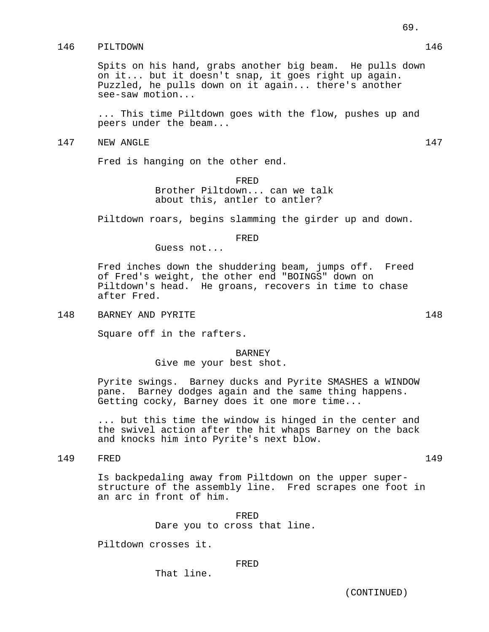# 146 PILTDOWN 146

Spits on his hand, grabs another big beam. He pulls down on it... but it doesn't snap, it goes right up again. Puzzled, he pulls down on it again... there's another see-saw motion...

... This time Piltdown goes with the flow, pushes up and peers under the beam...

147 NEW ANGLE 2008 147

Fred is hanging on the other end.

FRED Brother Piltdown... can we talk about this, antler to antler?

Piltdown roars, begins slamming the girder up and down.

# FRED

Guess not...

Fred inches down the shuddering beam, jumps off. Freed of Fred's weight, the other end "BOINGS" down on Piltdown's head. He groans, recovers in time to chase after Fred.

148 BARNEY AND PYRITE 148 148

Square off in the rafters.

#### BARNEY

Give me your best shot.

Pyrite swings. Barney ducks and Pyrite SMASHES a WINDOW pane. Barney dodges again and the same thing happens. Getting cocky, Barney does it one more time...

... but this time the window is hinged in the center and the swivel action after the hit whaps Barney on the back and knocks him into Pyrite's next blow.

149 FRED 149

Is backpedaling away from Piltdown on the upper superstructure of the assembly line. Fred scrapes one foot in

> FRED Dare you to cross that line.

Piltdown crosses it.

an arc in front of him.

### FRED

That line.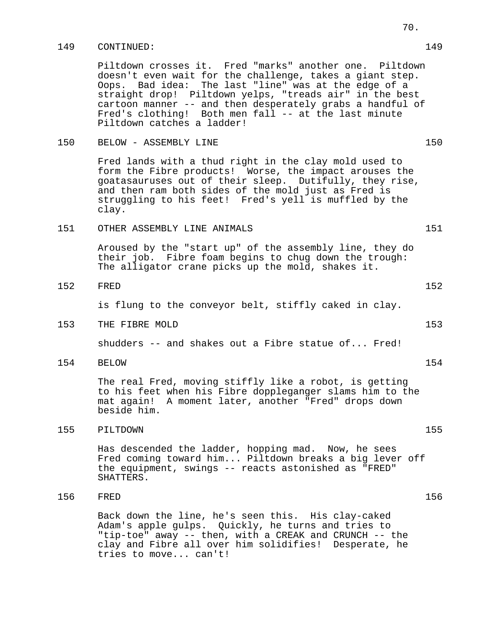### 149 CONTINUED: 149

Piltdown crosses it. Fred "marks" another one. Piltdown doesn't even wait for the challenge, takes a giant step. Oops. Bad idea: The last "line" was at the edge of a straight drop! Piltdown yelps, "treads air" in the best cartoon manner -- and then desperately grabs a handful of Fred's clothing! Both men fall -- at the last minute Piltdown catches a ladder!

# 150 BELOW - ASSEMBLY LINE 150

Fred lands with a thud right in the clay mold used to form the Fibre products! Worse, the impact arouses the goatasauruses out of their sleep. Dutifully, they rise, and then ram both sides of the mold just as Fred is struggling to his feet! Fred's yell is muffled by the clay.

# 151 OTHER ASSEMBLY LINE ANIMALS 151 151

Aroused by the "start up" of the assembly line, they do their job. Fibre foam begins to chug down the trough: The alligator crane picks up the mold, shakes it.

152 FRED 152

is flung to the conveyor belt, stiffly caked in clay.

153 THE FIBRE MOLD 153

shudders -- and shakes out a Fibre statue of... Fred!

154 BELOW 154

The real Fred, moving stiffly like a robot, is getting to his feet when his Fibre doppleganger slams him to the mat again! A moment later, another "Fred" drops down beside him.

# 155 PILTDOWN 155

Has descended the ladder, hopping mad. Now, he sees Fred coming toward him... Piltdown breaks a big lever off the equipment, swings -- reacts astonished as "FRED" SHATTERS.

# 156 FRED 156

Back down the line, he's seen this. His clay-caked Adam's apple gulps. Quickly, he turns and tries to "tip-toe" away -- then, with a CREAK and CRUNCH -- the clay and Fibre all over him solidifies! Desperate, he tries to move... can't!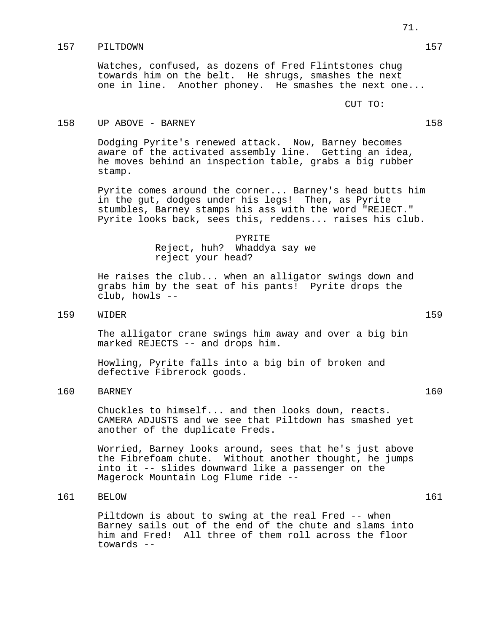# 157 PILTDOWN 157

Watches, confused, as dozens of Fred Flintstones chug towards him on the belt. He shrugs, smashes the next one in line. Another phoney. He smashes the next one...

CUT TO:

# 158 UP ABOVE - BARNEY 158 158

Dodging Pyrite's renewed attack. Now, Barney becomes aware of the activated assembly line. Getting an idea, he moves behind an inspection table, grabs a big rubber stamp.

Pyrite comes around the corner... Barney's head butts him in the gut, dodges under his legs! Then, as Pyrite stumbles, Barney stamps his ass with the word "REJECT." Pyrite looks back, sees this, reddens... raises his club.

> PYRITE Reject, huh? Whaddya say we reject your head?

He raises the club... when an alligator swings down and grabs him by the seat of his pants! Pyrite drops the club, howls --

# 159 WIDER 159

The alligator crane swings him away and over a big bin marked REJECTS -- and drops him.

Howling, Pyrite falls into a big bin of broken and defective Fibrerock goods.

# 160 BARNEY 160

Chuckles to himself... and then looks down, reacts. CAMERA ADJUSTS and we see that Piltdown has smashed yet another of the duplicate Freds.

Worried, Barney looks around, sees that he's just above the Fibrefoam chute. Without another thought, he jumps into it -- slides downward like a passenger on the Magerock Mountain Log Flume ride --

# 161 BELOW 161

Piltdown is about to swing at the real Fred -- when Barney sails out of the end of the chute and slams into him and Fred! All three of them roll across the floor towards --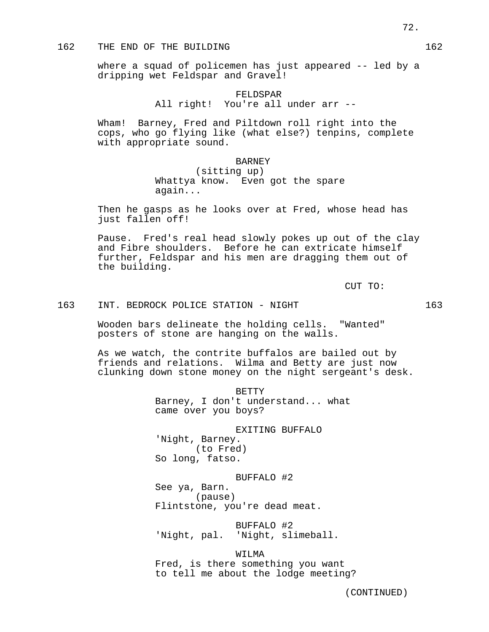# 162 THE END OF THE BUILDING 162

where a squad of policemen has just appeared -- led by a dripping wet Feldspar and Gravel!

# FELDSPAR All right! You're all under arr --

Wham! Barney, Fred and Piltdown roll right into the cops, who go flying like (what else?) tenpins, complete with appropriate sound.

## BARNEY

(sitting up) Whattya know. Even got the spare again...

Then he gasps as he looks over at Fred, whose head has just fallen off!

Pause. Fred's real head slowly pokes up out of the clay and Fibre shoulders. Before he can extricate himself further, Feldspar and his men are dragging them out of the building.

CUT TO:

## 163 INT. BEDROCK POLICE STATION - NIGHT 163

Wooden bars delineate the holding cells. "Wanted" posters of stone are hanging on the walls.

As we watch, the contrite buffalos are bailed out by friends and relations. Wilma and Betty are just now clunking down stone money on the night sergeant's desk.

> BETTY Barney, I don't understand... what came over you boys?

## EXITING BUFFALO

'Night, Barney. (to Fred) So long, fatso.

## BUFFALO #2

See ya, Barn. (pause) Flintstone, you're dead meat.

## BUFFALO #2

'Night, pal. 'Night, slimeball.

WILMA Fred, is there something you want to tell me about the lodge meeting?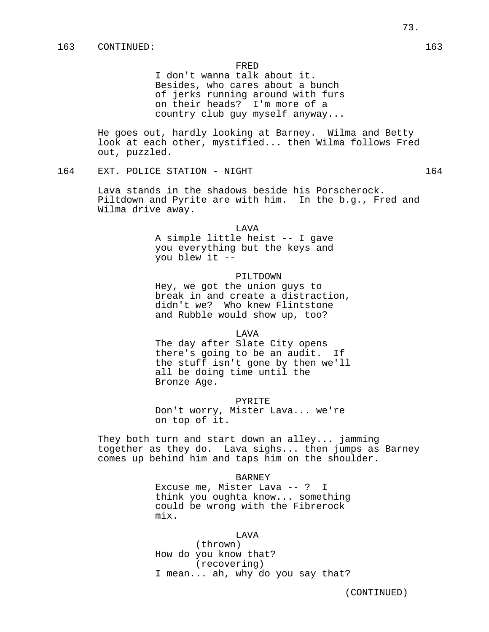I don't wanna talk about it. Besides, who cares about a bunch of jerks running around with furs on their heads? I'm more of a country club guy myself anyway...

He goes out, hardly looking at Barney. Wilma and Betty look at each other, mystified... then Wilma follows Fred out, puzzled.

164 EXT. POLICE STATION - NIGHT 164 164

Lava stands in the shadows beside his Porscherock. Piltdown and Pyrite are with him. In the b.g., Fred and Wilma drive away.

LAVA

A simple little heist -- I gave you everything but the keys and you blew it --

## PILTDOWN

Hey, we got the union guys to break in and create a distraction, didn't we? Who knew Flintstone and Rubble would show up, too?

LAVA

The day after Slate City opens there's going to be an audit. If the stuff isn't gone by then we'll all be doing time until the Bronze Age.

PYRITE

Don't worry, Mister Lava... we're on top of it.

They both turn and start down an alley... jamming together as they do. Lava sighs... then jumps as Barney comes up behind him and taps him on the shoulder.

#### BARNEY

Excuse me, Mister Lava -- ? I think you oughta know... something could be wrong with the Fibrerock mix.

#### LAVA

(thrown) How do you know that? (recovering) I mean... ah, why do you say that?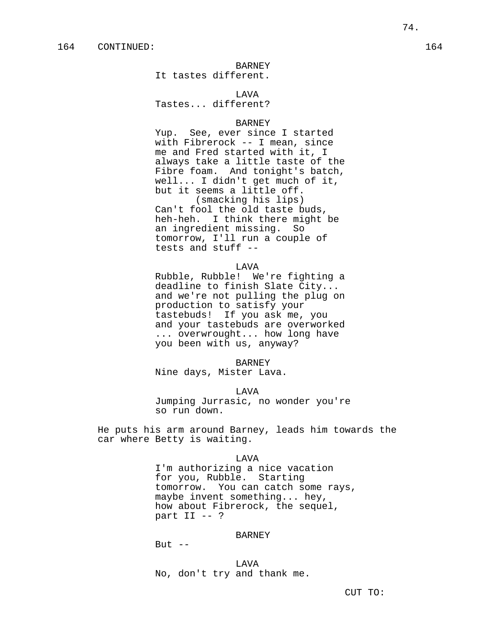## BARNEY

It tastes different.

# **T.AVA**

Tastes... different?

## BARNEY

Yup. See, ever since I started with Fibrerock -- I mean, since me and Fred started with it, I always take a little taste of the Fibre foam. And tonight's batch, well... I didn't get much of it, but it seems a little off. (smacking his lips) Can't fool the old taste buds, heh-heh. I think there might be an ingredient missing. So tomorrow, I'll run a couple of tests and stuff --

#### LAVA

Rubble, Rubble! We're fighting a deadline to finish Slate City... and we're not pulling the plug on production to satisfy your tastebuds! If you ask me, you and your tastebuds are overworked ... overwrought... how long have you been with us, anyway?

#### BARNEY

Nine days, Mister Lava.

#### LAVA

Jumping Jurrasic, no wonder you're so run down.

He puts his arm around Barney, leads him towards the car where Betty is waiting.

#### LAVA

I'm authorizing a nice vacation for you, Rubble. Starting tomorrow. You can catch some rays, maybe invent something... hey, how about Fibrerock, the sequel, part II -- ?

## BARNEY

But  $--$ 

LAVA No, don't try and thank me.

CUT TO: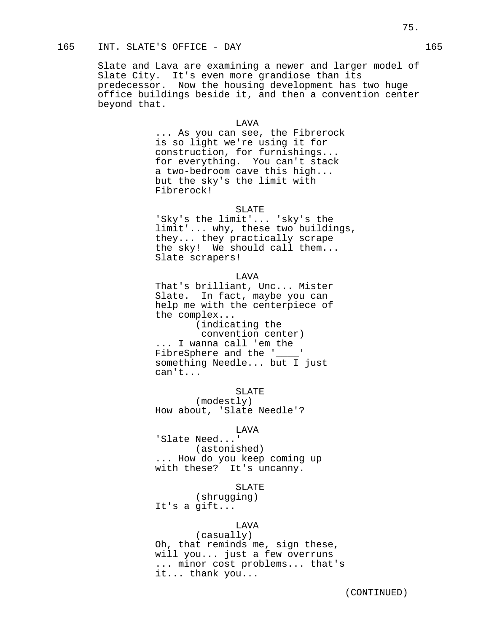Slate and Lava are examining a newer and larger model of Slate City. It's even more grandiose than its predecessor. Now the housing development has two huge office buildings beside it, and then a convention center beyond that.

# LAVA

... As you can see, the Fibrerock is so light we're using it for construction, for furnishings... for everything. You can't stack a two-bedroom cave this high... but the sky's the limit with Fibrerock!

#### SLATE

'Sky's the limit'... 'sky's the limit'... why, these two buildings, they... they practically scrape the sky! We should call them... Slate scrapers!

#### LAVA

That's brilliant, Unc... Mister Slate. In fact, maybe you can help me with the centerpiece of the complex...

(indicating the convention center) ... I wanna call 'em the FibreSphere and the '\_\_\_\_ something Needle... but I just can't...

SLATE (modestly) How about, 'Slate Needle'?

#### LAVA

'Slate Need...' (astonished) ... How do you keep coming up with these? It's uncanny.

## SLATE

(shrugging) It's a gift...

# LAVA

(casually) Oh, that reminds me, sign these, will you... just a few overruns ... minor cost problems... that's it... thank you...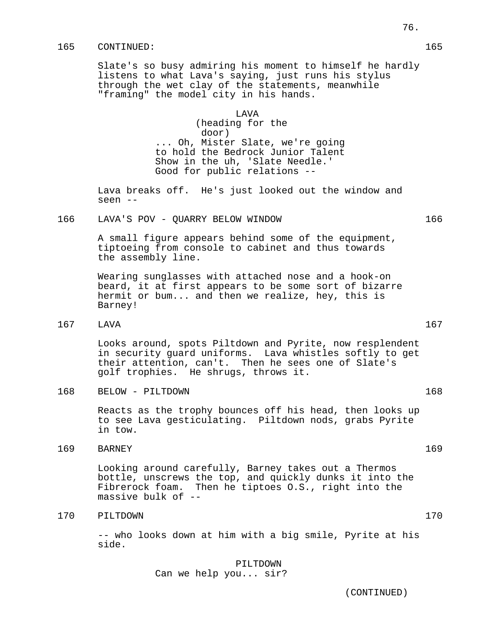## 165 CONTINUED: 165

Slate's so busy admiring his moment to himself he hardly listens to what Lava's saying, just runs his stylus through the wet clay of the statements, meanwhile "framing" the model city in his hands.

## LAVA

(heading for the door) ... Oh, Mister Slate, we're going to hold the Bedrock Junior Talent Show in the uh, 'Slate Needle.' Good for public relations --

Lava breaks off. He's just looked out the window and seen --

# 166 LAVA'S POV - QUARRY BELOW WINDOW 166

A small figure appears behind some of the equipment, tiptoeing from console to cabinet and thus towards the assembly line.

Wearing sunglasses with attached nose and a hook-on beard, it at first appears to be some sort of bizarre hermit or bum... and then we realize, hey, this is Barney!

167 LAVA 167

Looks around, spots Piltdown and Pyrite, now resplendent in security guard uniforms. Lava whistles softly to get their attention, can't. Then he sees one of Slate's golf trophies. He shrugs, throws it.

168 BELOW - PILTDOWN 168

Reacts as the trophy bounces off his head, then looks up to see Lava gesticulating. Piltdown nods, grabs Pyrite in tow.

169 BARNEY 169

Looking around carefully, Barney takes out a Thermos bottle, unscrews the top, and quickly dunks it into the Fibrerock foam. Then he tiptoes O.S., right into the massive bulk of --

# 170 PILTDOWN 170

-- who looks down at him with a big smile, Pyrite at his side.

PILTDOWN

Can we help you... sir?

(CONTINUED)

76.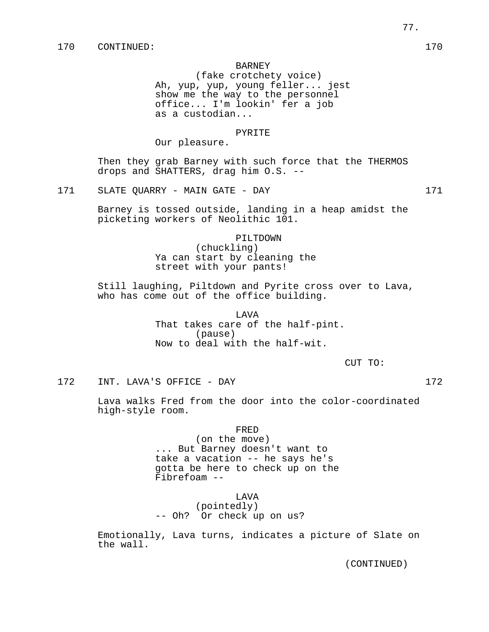### BARNEY

(fake crotchety voice) Ah, yup, yup, young feller... jest show me the way to the personnel office... I'm lookin' fer a job as a custodian...

## PYRITE

Our pleasure.

Then they grab Barney with such force that the THERMOS drops and SHATTERS, drag him O.S. --

171 SLATE QUARRY - MAIN GATE - DAY 171

Barney is tossed outside, landing in a heap amidst the picketing workers of Neolithic 101.

# PILTDOWN (chuckling) Ya can start by cleaning the street with your pants!

Still laughing, Piltdown and Pyrite cross over to Lava, who has come out of the office building.

> LAVA That takes care of the half-pint. (pause) Now to deal with the half-wit.

> > CUT TO:

172 INT. LAVA'S OFFICE - DAY 172

Lava walks Fred from the door into the color-coordinated high-style room.

(on the move) ... But Barney doesn't want to take a vacation -- he says he's gotta be here to check up on the Fibrefoam --

LAVA

(pointedly) -- Oh? Or check up on us?

Emotionally, Lava turns, indicates a picture of Slate on the wall.

(CONTINUED)

77.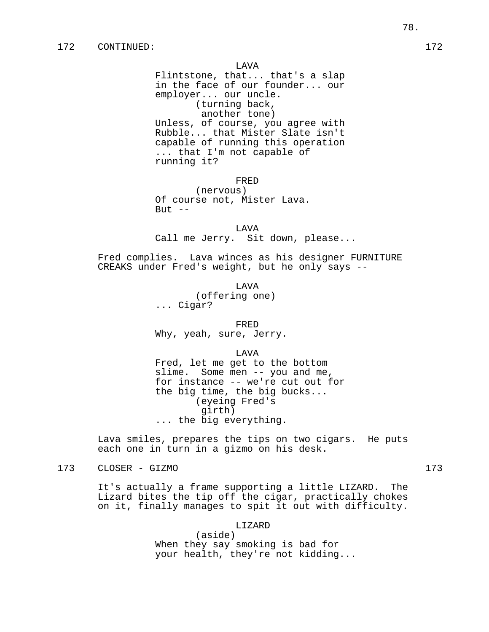Flintstone, that... that's a slap in the face of our founder... our employer... our uncle. (turning back, another tone) Unless, of course, you agree with Rubble... that Mister Slate isn't capable of running this operation ... that I'm not capable of running it?

FRED

(nervous) Of course not, Mister Lava. But  $--$ 

LAVA Call me Jerry. Sit down, please...

Fred complies. Lava winces as his designer FURNITURE CREAKS under Fred's weight, but he only says --

LAVA

(offering one) ... Cigar?

FRED

Why, yeah, sure, Jerry.

LAVA

Fred, let me get to the bottom slime. Some men -- you and me, for instance -- we're cut out for the big time, the big bucks... (eyeing Fred's girth) ... the big everything.

Lava smiles, prepares the tips on two cigars. He puts each one in turn in a gizmo on his desk.

# 173 CLOSER - GIZMO 173

It's actually a frame supporting a little LIZARD. The Lizard bites the tip off the cigar, practically chokes on it, finally manages to spit it out with difficulty.

LIZARD

(aside) When they say smoking is bad for your health, they're not kidding...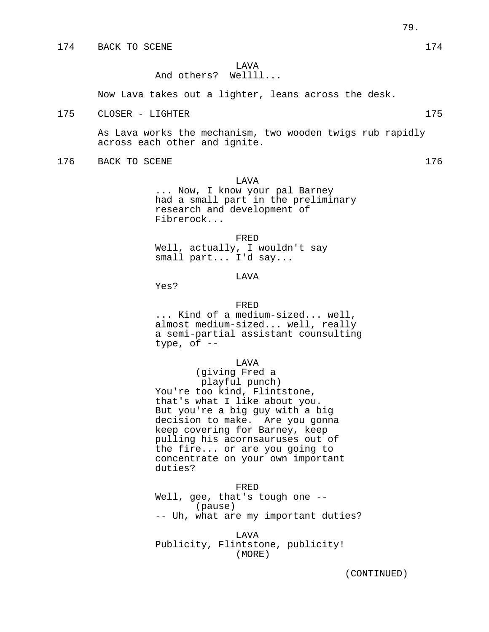LAVA

## And others? Wellll...

Now Lava takes out a lighter, leans across the desk.

175 CLOSER – LIGHTER 175 175

As Lava works the mechanism, two wooden twigs rub rapidly across each other and ignite.

176 BACK TO SCENE 176 176

#### LAVA

... Now, I know your pal Barney had a small part in the preliminary research and development of Fibrerock...

FRED

Well, actually, I wouldn't say small part... I'd say...

# LAVA

Yes?

#### FRED

... Kind of a medium-sized... well, almost medium-sized... well, really a semi-partial assistant counsulting type, of  $-$ 

#### LAVA

(giving Fred a playful punch) You're too kind, Flintstone, that's what I like about you. But you're a big guy with a big decision to make. Are you gonna keep covering for Barney, keep pulling his acornsauruses out of the fire... or are you going to concentrate on your own important duties?

#### FRED

Well, gee, that's tough one --(pause) -- Uh, what are my important duties?

LAVA Publicity, Flintstone, publicity! (MORE)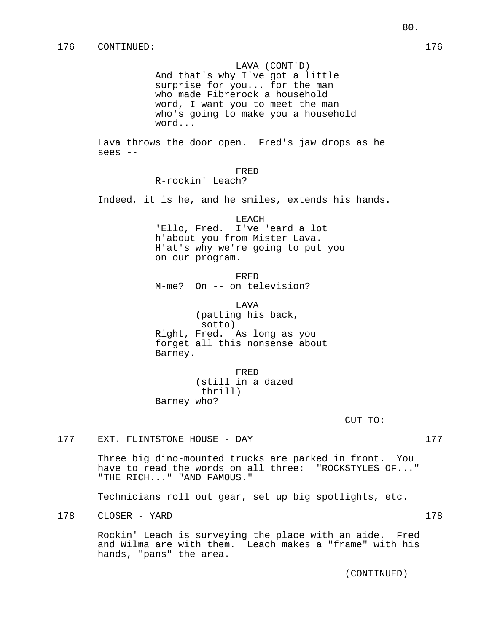## LAVA (CONT'D)

And that's why I've got a little surprise for you... for the man who made Fibrerock a household word, I want you to meet the man who's going to make you a household word...

Lava throws the door open. Fred's jaw drops as he sees --

## FRED

R-rockin' Leach?

Indeed, it is he, and he smiles, extends his hands.

#### LEACH

'Ello, Fred. I've 'eard a lot h'about you from Mister Lava. H'at's why we're going to put you on our program.

FRED M-me? On -- on television?

LAVA (patting his back, sotto) Right, Fred. As long as you forget all this nonsense about Barney.

FRED (still in a dazed thrill) Barney who?

CUT TO:

177 EXT. FLINTSTONE HOUSE - DAY 177

Three big dino-mounted trucks are parked in front. You have to read the words on all three: "ROCKSTYLES OF..." "THE RICH..." "AND FAMOUS."

Technicians roll out gear, set up big spotlights, etc.

178 CLOSER - YARD 178

Rockin' Leach is surveying the place with an aide. Fred and Wilma are with them. Leach makes a "frame" with his hands, "pans" the area.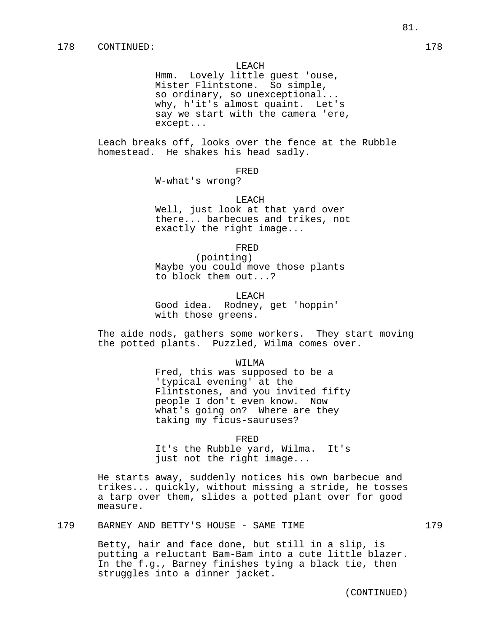#### LEACH

Hmm. Lovely little guest 'ouse, Mister Flintstone. So simple, so ordinary, so unexceptional... why, h'it's almost quaint. Let's say we start with the camera 'ere, except...

Leach breaks off, looks over the fence at the Rubble homestead. He shakes his head sadly.

#### FRED

W-what's wrong?

#### LEACH

Well, just look at that yard over there... barbecues and trikes, not exactly the right image...

#### FRED

(pointing) Maybe you could move those plants to block them out...?

**LEACH** 

Good idea. Rodney, get 'hoppin' with those greens.

The aide nods, gathers some workers. They start moving the potted plants. Puzzled, Wilma comes over.

#### WILMA

Fred, this was supposed to be a 'typical evening' at the Flintstones, and you invited fifty people I don't even know. Now what's going on? Where are they taking my ficus-sauruses?

#### FRED

It's the Rubble yard, Wilma. It's just not the right image...

He starts away, suddenly notices his own barbecue and trikes... quickly, without missing a stride, he tosses a tarp over them, slides a potted plant over for good measure.

## 179 BARNEY AND BETTY'S HOUSE - SAME TIME 179

Betty, hair and face done, but still in a slip, is putting a reluctant Bam-Bam into a cute little blazer. In the f.g., Barney finishes tying a black tie, then struggles into a dinner jacket.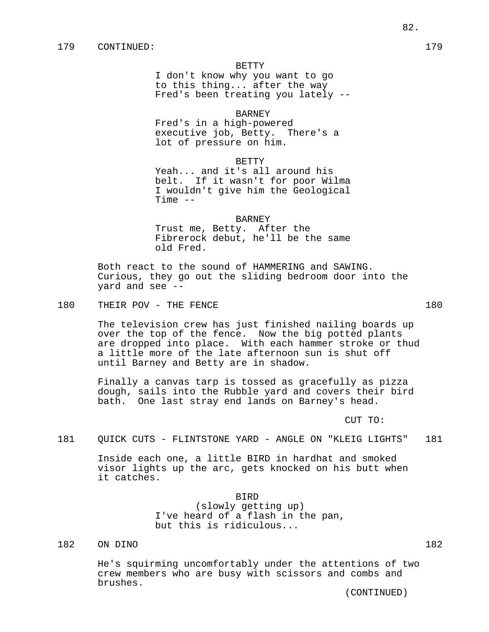#### BETTY

I don't know why you want to go to this thing... after the way Fred's been treating you lately --

## BARNEY

Fred's in a high-powered executive job, Betty. There's a lot of pressure on him.

BETTY

Yeah... and it's all around his belt. If it wasn't for poor Wilma I wouldn't give him the Geological Time  $--$ 

#### BARNEY

Trust me, Betty. After the Fibrerock debut, he'll be the same old Fred.

Both react to the sound of HAMMERING and SAWING. Curious, they go out the sliding bedroom door into the yard and see --

180 THEIR POV - THE FENCE 180

The television crew has just finished nailing boards up over the top of the fence. Now the big potted plants are dropped into place. With each hammer stroke or thud a little more of the late afternoon sun is shut off until Barney and Betty are in shadow.

Finally a canvas tarp is tossed as gracefully as pizza dough, sails into the Rubble yard and covers their bird bath. One last stray end lands on Barney's head.

CUT TO:

181 QUICK CUTS - FLINTSTONE YARD - ANGLE ON "KLEIG LIGHTS" 181

Inside each one, a little BIRD in hardhat and smoked visor lights up the arc, gets knocked on his butt when it catches.

> BIRD (slowly getting up) I've heard of a flash in the pan, but this is ridiculous...

# 182 ON DINO 182

He's squirming uncomfortably under the attentions of two crew members who are busy with scissors and combs and brushes.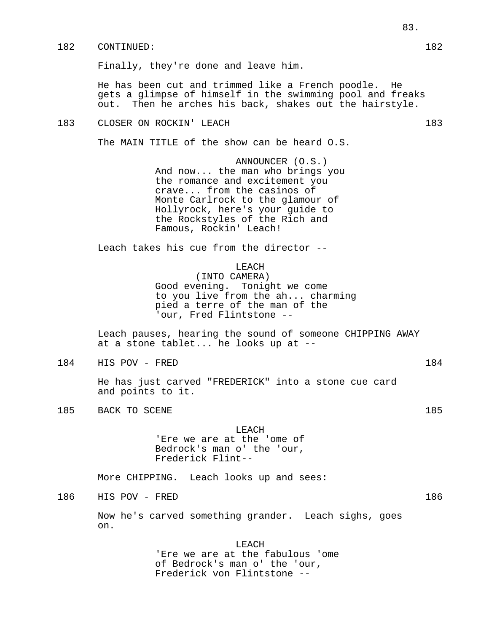# 182 CONTINUED: 182

Finally, they're done and leave him.

He has been cut and trimmed like a French poodle. He gets a glimpse of himself in the swimming pool and freaks out. Then he arches his back, shakes out the hairstyle.

# 183 CLOSER ON ROCKIN' LEACH 183 2001 183

The MAIN TITLE of the show can be heard O.S.

ANNOUNCER (O.S.) And now... the man who brings you the romance and excitement you crave... from the casinos of Monte Carlrock to the glamour of Hollyrock, here's your guide to the Rockstyles of the Rich and Famous, Rockin' Leach!

Leach takes his cue from the director --

# LEACH

(INTO CAMERA) Good evening. Tonight we come to you live from the ah... charming pied a terre of the man of the 'our, Fred Flintstone --

Leach pauses, hearing the sound of someone CHIPPING AWAY at a stone tablet... he looks up at --

184 HIS POV - FRED 184

He has just carved "FREDERICK" into a stone cue card and points to it.

185 BACK TO SCENE 185

LEACH 'Ere we are at the 'ome of Bedrock's man o' the 'our, Frederick Flint--

More CHIPPING. Leach looks up and sees:

186 HIS POV - FRED 186

Now he's carved something grander. Leach sighs, goes on.

> LEACH 'Ere we are at the fabulous 'ome of Bedrock's man o' the 'our, Frederick von Flintstone --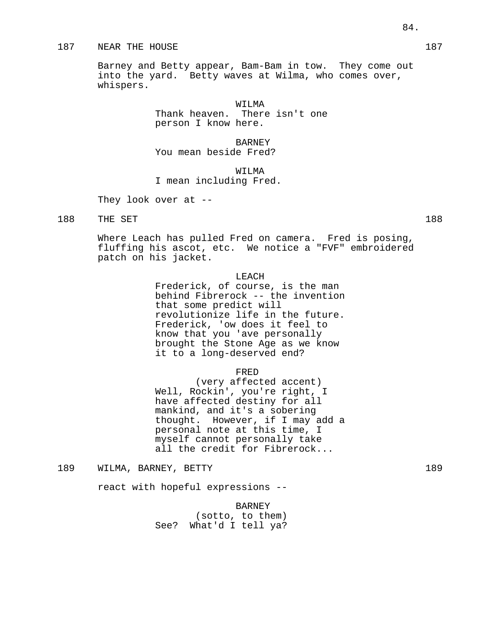## 187 NEAR THE HOUSE 2008 187

Barney and Betty appear, Bam-Bam in tow. They come out into the yard. Betty waves at Wilma, who comes over, whispers.

> WILMA Thank heaven. There isn't one person I know here.

> > BARNEY

You mean beside Fred?

WILMA I mean including Fred.

They look over at --

188 THE SET 188

Where Leach has pulled Fred on camera. Fred is posing, fluffing his ascot, etc. We notice a "FVF" embroidered patch on his jacket.

# LEACH

Frederick, of course, is the man behind Fibrerock -- the invention that some predict will revolutionize life in the future. Frederick, 'ow does it feel to know that you 'ave personally brought the Stone Age as we know it to a long-deserved end?

## FRED

(very affected accent) Well, Rockin', you're right, I have affected destiny for all mankind, and it's a sobering thought. However, if I may add a personal note at this time, I myself cannot personally take all the credit for Fibrerock...

189 WILMA, BARNEY, BETTY 189

react with hopeful expressions --

BARNEY (sotto, to them) See? What'd I tell ya?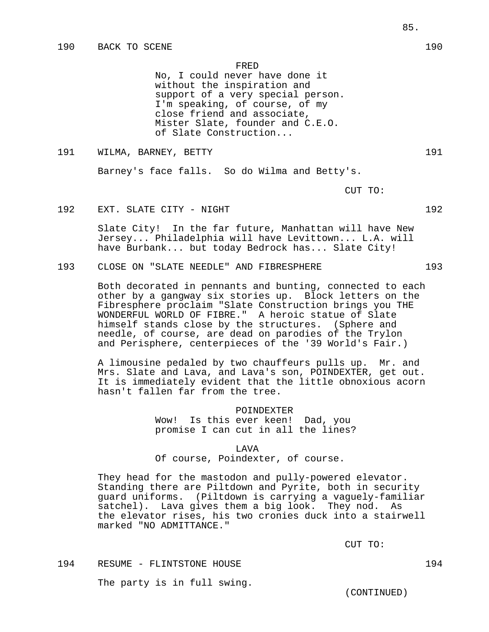No, I could never have done it without the inspiration and support of a very special person. I'm speaking, of course, of my close friend and associate, Mister Slate, founder and C.E.O. of Slate Construction...

191 WILMA, BARNEY, BETTY 191

Barney's face falls. So do Wilma and Betty's.

CUT TO:

192 EXT. SLATE CITY - NIGHT 192 192

Slate City! In the far future, Manhattan will have New Jersey... Philadelphia will have Levittown... L.A. will have Burbank... but today Bedrock has... Slate City!

193 CLOSE ON "SLATE NEEDLE" AND FIBRESPHERE 193

Both decorated in pennants and bunting, connected to each other by a gangway six stories up. Block letters on the Fibresphere proclaim "Slate Construction brings you THE WONDERFUL WORLD OF FIBRE." A heroic statue of Slate himself stands close by the structures. (Sphere and needle, of course, are dead on parodies of the Trylon and Perisphere, centerpieces of the '39 World's Fair.)

A limousine pedaled by two chauffeurs pulls up. Mr. and Mrs. Slate and Lava, and Lava's son, POINDEXTER, get out. It is immediately evident that the little obnoxious acorn hasn't fallen far from the tree.

#### POINDEXTER

Wow! Is this ever keen! Dad, you promise I can cut in all the lines?

## LAVA

Of course, Poindexter, of course.

They head for the mastodon and pully-powered elevator. Standing there are Piltdown and Pyrite, both in security guard uniforms. (Piltdown is carrying a vaguely-familiar satchel). Lava gives them a big look. They nod. As the elevator rises, his two cronies duck into a stairwell marked "NO ADMITTANCE."

CUT TO:

194 RESUME - FLINTSTONE HOUSE 194

The party is in full swing.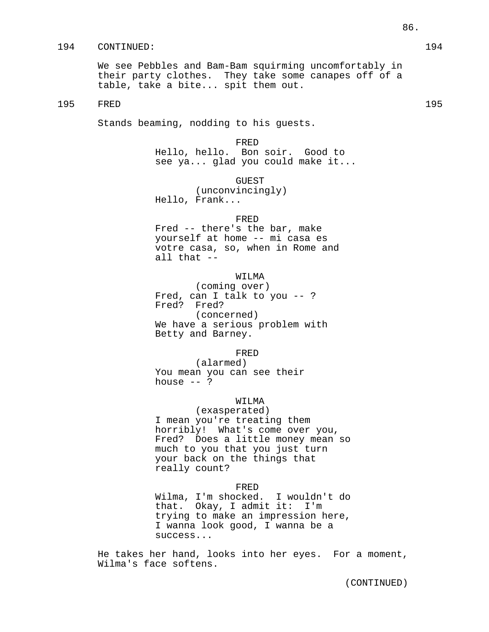## 194 CONTINUED: 194

We see Pebbles and Bam-Bam squirming uncomfortably in their party clothes. They take some canapes off of a table, take a bite... spit them out.

# 195 FRED 195

Stands beaming, nodding to his guests.

## FRED

Hello, hello. Bon soir. Good to see ya... glad you could make it...

GUEST

(unconvincingly) Hello, Frank...

# FRED

Fred -- there's the bar, make yourself at home -- mi casa es votre casa, so, when in Rome and all that --

# WILMA

(coming over) Fred, can I talk to you -- ? Fred? Fred? (concerned) We have a serious problem with Betty and Barney.

#### FRED

(alarmed) You mean you can see their house  $--$  ?

## WILMA

(exasperated) I mean you're treating them horribly! What's come over you, Fred? Does a little money mean so much to you that you just turn your back on the things that really count?

# FRED

Wilma, I'm shocked. I wouldn't do that. Okay, I admit it: I'm trying to make an impression here, I wanna look good, I wanna be a success...

He takes her hand, looks into her eyes. For a moment, Wilma's face softens.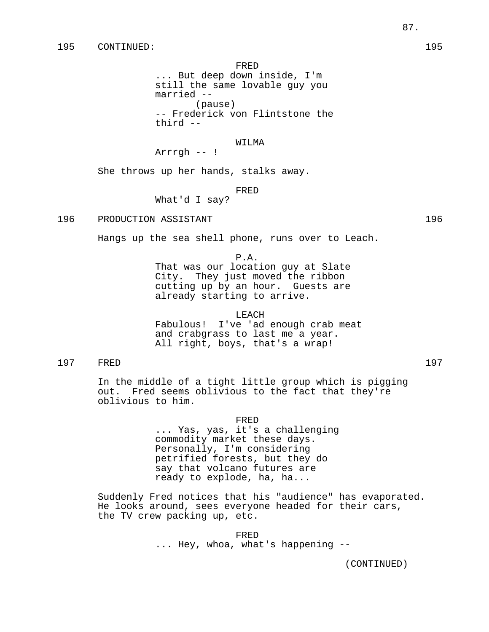... But deep down inside, I'm still the same lovable guy you married -- (pause) -- Frederick von Flintstone the third --

## WILMA

Arrrgh -- !

She throws up her hands, stalks away.

#### FRED

What'd I say?

196 PRODUCTION ASSISTANT 196

Hangs up the sea shell phone, runs over to Leach.

## P.A.

That was our location guy at Slate City. They just moved the ribbon cutting up by an hour. Guests are already starting to arrive.

#### LEACH

Fabulous! I've 'ad enough crab meat and crabgrass to last me a year. All right, boys, that's a wrap!

# 197 FRED 197

In the middle of a tight little group which is pigging out. Fred seems oblivious to the fact that they're oblivious to him.

#### FRED

... Yas, yas, it's a challenging commodity market these days. Personally, I'm considering petrified forests, but they do say that volcano futures are ready to explode, ha, ha...

Suddenly Fred notices that his "audience" has evaporated. He looks around, sees everyone headed for their cars, the TV crew packing up, etc.

> FRED ... Hey, whoa, what's happening --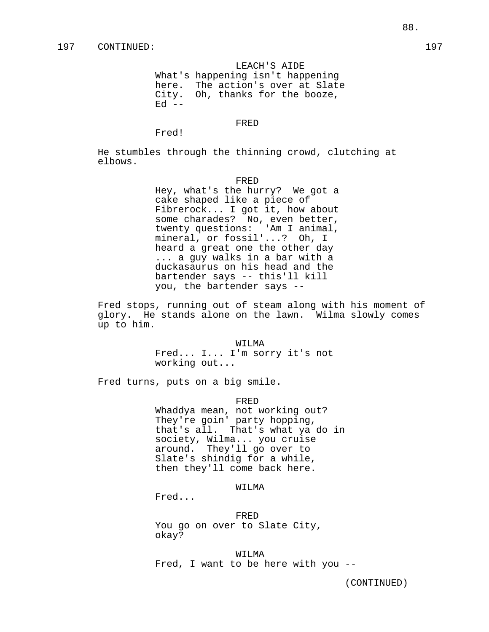## LEACH'S AIDE

What's happening isn't happening here. The action's over at Slate City. Oh, thanks for the booze,  $Ed$   $--$ 

#### FRED

Fred!

He stumbles through the thinning crowd, clutching at elbows.

#### FRED

Hey, what's the hurry? We got a cake shaped like a piece of Fibrerock... I got it, how about some charades? No, even better, twenty questions: 'Am I animal, mineral, or fossil'...? Oh, I heard a great one the other day ... a guy walks in a bar with a duckasaurus on his head and the bartender says -- this'll kill you, the bartender says --

Fred stops, running out of steam along with his moment of glory. He stands alone on the lawn. Wilma slowly comes up to him.

#### WILMA

Fred... I... I'm sorry it's not working out...

Fred turns, puts on a big smile.

FRED

Whaddya mean, not working out? They're goin' party hopping, that's all. That's what ya do in society, Wilma... you cruise around. They'll go over to Slate's shindig for a while, then they'll come back here.

WILMA

Fred...

FRED You go on over to Slate City, okay?

WILMA Fred, I want to be here with you --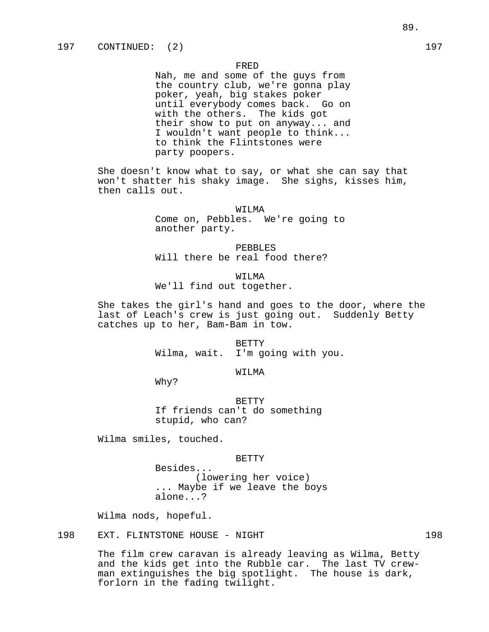Nah, me and some of the guys from the country club, we're gonna play poker, yeah, big stakes poker until everybody comes back. Go on with the others. The kids got their show to put on anyway... and I wouldn't want people to think... to think the Flintstones were party poopers.

She doesn't know what to say, or what she can say that won't shatter his shaky image. She sighs, kisses him, then calls out.

> WILMA Come on, Pebbles. We're going to another party.

PEBBLES Will there be real food there?

WILMA We'll find out together.

She takes the girl's hand and goes to the door, where the last of Leach's crew is just going out. Suddenly Betty catches up to her, Bam-Bam in tow.

> BETTY Wilma, wait. I'm going with you.

> > WILMA

Why?

BETTY If friends can't do something stupid, who can?

Wilma smiles, touched.

BETTY

Besides... (lowering her voice) ... Maybe if we leave the boys alone...?

Wilma nods, hopeful.

198 EXT. FLINTSTONE HOUSE - NIGHT 198 198

The film crew caravan is already leaving as Wilma, Betty and the kids get into the Rubble car. The last TV crewman extinguishes the big spotlight. The house is dark, forlorn in the fading twilight.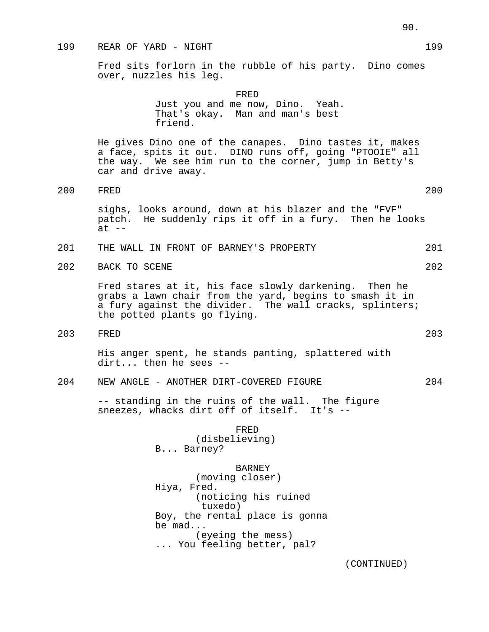## 199 REAR OF YARD - NIGHT 199

Fred sits forlorn in the rubble of his party. Dino comes over, nuzzles his leg.

> FRED Just you and me now, Dino. Yeah. That's okay. Man and man's best friend.

He gives Dino one of the canapes. Dino tastes it, makes a face, spits it out. DINO runs off, going "PTOOIE" all the way. We see him run to the corner, jump in Betty's car and drive away.

200 FRED 200

sighs, looks around, down at his blazer and the "FVF" patch. He suddenly rips it off in a fury. Then he looks  $at$   $-$ 

- 201 THE WALL IN FRONT OF BARNEY'S PROPERTY 201
- 202 BACK TO SCENE 202

Fred stares at it, his face slowly darkening. Then he grabs a lawn chair from the yard, begins to smash it in a fury against the divider. The wall cracks, splinters; the potted plants go flying.

203 FRED 203

His anger spent, he stands panting, splattered with dirt... then he sees --

204 NEW ANGLE - ANOTHER DIRT-COVERED FIGURE 204

-- standing in the ruins of the wall. The figure sneezes, whacks dirt off of itself. It's --

> FRED (disbelieving) B... Barney?

BARNEY (moving closer) Hiya, Fred. (noticing his ruined tuxedo) Boy, the rental place is gonna be mad... (eyeing the mess) ... You feeling better, pal?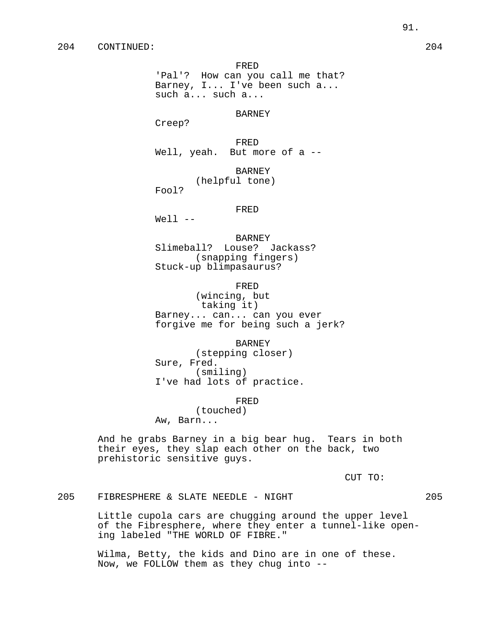'Pal'? How can you call me that? Barney, I... I've been such a... such a... such a...

# BARNEY

Creep?

FRED Well, yeah. But more of a --

> BARNEY (helpful tone)

Fool?

# FRED

 $Well1$   $--$ 

BARNEY Slimeball? Louse? Jackass? (snapping fingers) Stuck-up blimpasaurus?

FRED

(wincing, but taking it) Barney... can... can you ever forgive me for being such a jerk?

BARNEY

(stepping closer) Sure, Fred. (smiling) I've had lots of practice.

FRED

(touched) Aw, Barn...

And he grabs Barney in a big bear hug. Tears in both their eyes, they slap each other on the back, two prehistoric sensitive guys.

CUT TO:

205 FIBRESPHERE & SLATE NEEDLE - NIGHT 205

Little cupola cars are chugging around the upper level of the Fibresphere, where they enter a tunnel-like opening labeled "THE WORLD OF FIBRE."

Wilma, Betty, the kids and Dino are in one of these. Now, we FOLLOW them as they chug into --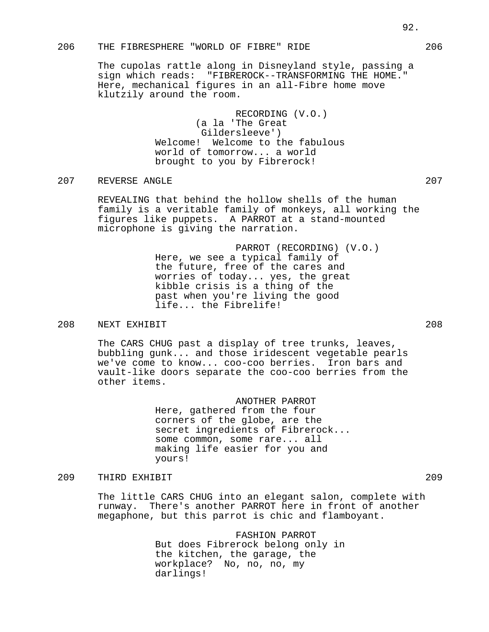# 206 THE FIBRESPHERE "WORLD OF FIBRE" RIDE 206

The cupolas rattle along in Disneyland style, passing a sign which reads: "FIBREROCK--TRANSFORMING THE HOME." Here, mechanical figures in an all-Fibre home move klutzily around the room.

> RECORDING (V.O.) (a la 'The Great Gildersleeve') Welcome! Welcome to the fabulous world of tomorrow... a world brought to you by Fibrerock!

# 207 REVERSE ANGLE 207

REVEALING that behind the hollow shells of the human family is a veritable family of monkeys, all working the figures like puppets. A PARROT at a stand-mounted microphone is giving the narration.

> PARROT (RECORDING) (V.O.) Here, we see a typical family of the future, free of the cares and worries of today... yes, the great kibble crisis is a thing of the past when you're living the good life... the Fibrelife!

## 208 NEXT EXHIBIT 208

The CARS CHUG past a display of tree trunks, leaves, bubbling gunk... and those iridescent vegetable pearls we've come to know... coo-coo berries. Iron bars and vault-like doors separate the coo-coo berries from the other items.

> ANOTHER PARROT Here, gathered from the four corners of the globe, are the secret ingredients of Fibrerock... some common, some rare... all making life easier for you and yours!

#### 209 THIRD EXHIBIT 209

The little CARS CHUG into an elegant salon, complete with runway. There's another PARROT here in front of another megaphone, but this parrot is chic and flamboyant.

> FASHION PARROT But does Fibrerock belong only in the kitchen, the garage, the workplace? No, no, no, my darlings!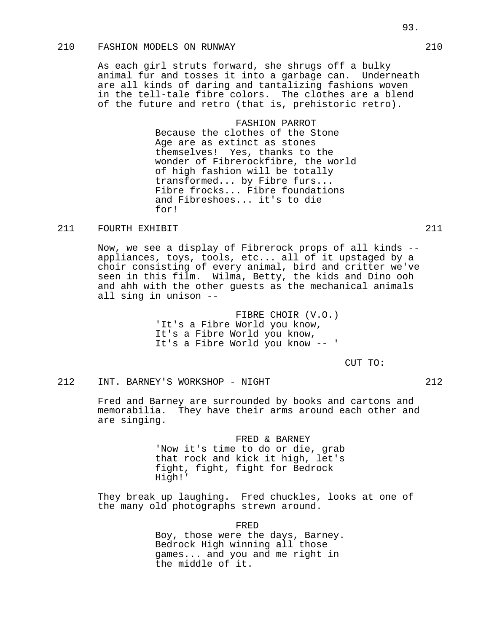# 210 FASHION MODELS ON RUNWAY 210

As each girl struts forward, she shrugs off a bulky animal fur and tosses it into a garbage can. Underneath are all kinds of daring and tantalizing fashions woven in the tell-tale fibre colors. The clothes are a blend of the future and retro (that is, prehistoric retro).

> FASHION PARROT Because the clothes of the Stone Age are as extinct as stones themselves! Yes, thanks to the wonder of Fibrerockfibre, the world of high fashion will be totally transformed... by Fibre furs... Fibre frocks... Fibre foundations and Fibreshoes... it's to die for!

# 211 FOURTH EXHIBIT 211

Now, we see a display of Fibrerock props of all kinds - appliances, toys, tools, etc... all of it upstaged by a choir consisting of every animal, bird and critter we've seen in this film. Wilma, Betty, the kids and Dino ooh and ahh with the other guests as the mechanical animals all sing in unison --

> FIBRE CHOIR (V.O.) 'It's a Fibre World you know, It's a Fibre World you know, It's a Fibre World you know -- '

> > CUT TO:

# 212 INT. BARNEY'S WORKSHOP - NIGHT 212

Fred and Barney are surrounded by books and cartons and memorabilia. They have their arms around each other and are singing.

> FRED & BARNEY 'Now it's time to do or die, grab that rock and kick it high, let's fight, fight, fight for Bedrock High!'

They break up laughing. Fred chuckles, looks at one of the many old photographs strewn around.

> FRED Boy, those were the days, Barney. Bedrock High winning all those games... and you and me right in the middle of it.

93.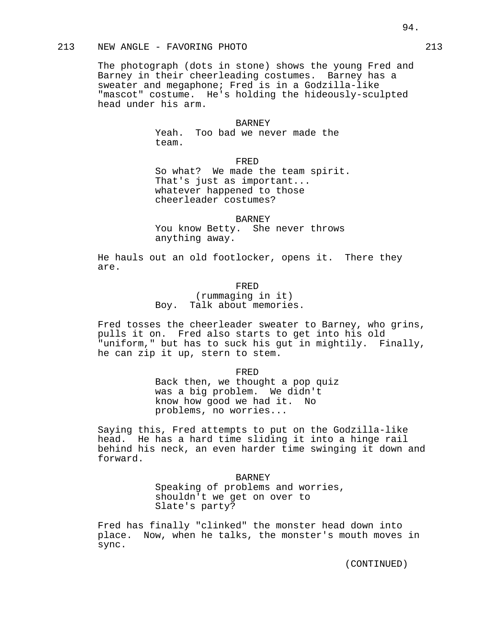# 213 NEW ANGLE - FAVORING PHOTO 213

The photograph (dots in stone) shows the young Fred and Barney in their cheerleading costumes. Barney has a sweater and megaphone; Fred is in a Godzilla-like "mascot" costume. He's holding the hideously-sculpted head under his arm.

## BARNEY

Yeah. Too bad we never made the team.

FRED

So what? We made the team spirit. That's just as important... whatever happened to those cheerleader costumes?

BARNEY

You know Betty. She never throws anything away.

He hauls out an old footlocker, opens it. There they are.

FRED

(rummaging in it) Boy. Talk about memories.

Fred tosses the cheerleader sweater to Barney, who grins, pulls it on. Fred also starts to get into his old "uniform," but has to suck his gut in mightily. Finally, he can zip it up, stern to stem.

FRED

Back then, we thought a pop quiz was a big problem. We didn't know how good we had it. No problems, no worries...

Saying this, Fred attempts to put on the Godzilla-like head. He has a hard time sliding it into a hinge rail behind his neck, an even harder time swinging it down and forward.

#### BARNEY

Speaking of problems and worries, shouldn't we get on over to Slate's party?

Fred has finally "clinked" the monster head down into place. Now, when he talks, the monster's mouth moves in sync.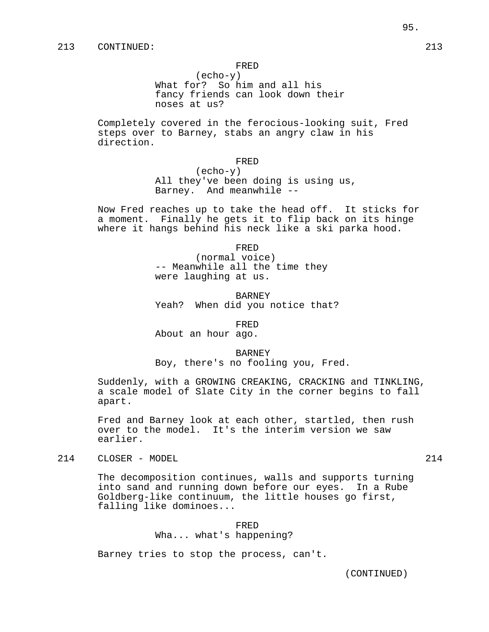(echo-y) What for? So him and all his fancy friends can look down their noses at us?

Completely covered in the ferocious-looking suit, Fred steps over to Barney, stabs an angry claw in his direction.

FRED

(echo-y) All they've been doing is using us, Barney. And meanwhile --

Now Fred reaches up to take the head off. It sticks for a moment. Finally he gets it to flip back on its hinge where it hangs behind his neck like a ski parka hood.

FRED

(normal voice) -- Meanwhile all the time they were laughing at us.

BARNEY Yeah? When did you notice that?

FRED

About an hour ago.

BARNEY

Boy, there's no fooling you, Fred.

Suddenly, with a GROWING CREAKING, CRACKING and TINKLING, a scale model of Slate City in the corner begins to fall apart.

Fred and Barney look at each other, startled, then rush over to the model. It's the interim version we saw earlier.

214 CLOSER - MODEL 214

The decomposition continues, walls and supports turning into sand and running down before our eyes. In a Rube Goldberg-like continuum, the little houses go first, falling like dominoes...

> FRED Wha... what's happening?

Barney tries to stop the process, can't.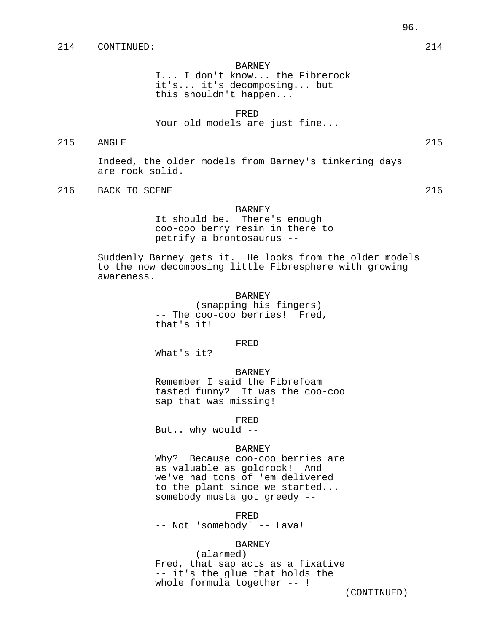#### BARNEY

I... I don't know... the Fibrerock it's... it's decomposing... but this shouldn't happen...

FRED

Your old models are just fine...

215 ANGLE 215

Indeed, the older models from Barney's tinkering days are rock solid.

216 BACK TO SCENE 216

#### BARNEY

It should be. There's enough coo-coo berry resin in there to petrify a brontosaurus --

Suddenly Barney gets it. He looks from the older models to the now decomposing little Fibresphere with growing awareness.

### BARNEY

(snapping his fingers) -- The coo-coo berries! Fred, that's it!

FRED

What's it?

#### BARNEY

Remember I said the Fibrefoam tasted funny? It was the coo-coo sap that was missing!

FRED

But.. why would --

#### BARNEY

Why? Because coo-coo berries are as valuable as goldrock! And we've had tons of 'em delivered to the plant since we started... somebody musta got greedy --

FRED -- Not 'somebody' -- Lava!

# BARNEY

(alarmed) Fred, that sap acts as a fixative -- it's the glue that holds the whole formula together -- !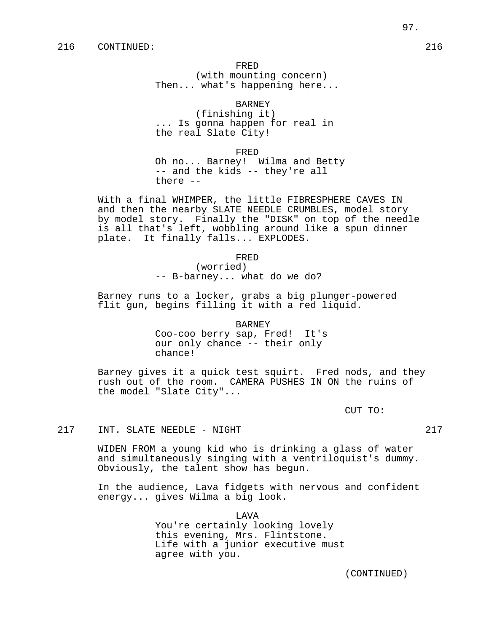(with mounting concern) Then... what's happening here...

BARNEY

(finishing it) ... Is gonna happen for real in the real Slate City!

FRED

Oh no... Barney! Wilma and Betty -- and the kids -- they're all there --

With a final WHIMPER, the little FIBRESPHERE CAVES IN and then the nearby SLATE NEEDLE CRUMBLES, model story by model story. Finally the "DISK" on top of the needle is all that's left, wobbling around like a spun dinner plate. It finally falls... EXPLODES.

FRED

(worried) -- B-barney... what do we do?

Barney runs to a locker, grabs a big plunger-powered flit gun, begins filling it with a red liquid.

BARNEY

Coo-coo berry sap, Fred! It's our only chance -- their only chance!

Barney gives it a quick test squirt. Fred nods, and they rush out of the room. CAMERA PUSHES IN ON the ruins of the model "Slate City"...

CUT TO:

#### 217 INT. SLATE NEEDLE - NIGHT 217

WIDEN FROM a young kid who is drinking a glass of water and simultaneously singing with a ventriloquist's dummy. Obviously, the talent show has begun.

In the audience, Lava fidgets with nervous and confident energy... gives Wilma a big look.

> LAVA You're certainly looking lovely this evening, Mrs. Flintstone. Life with a junior executive must agree with you.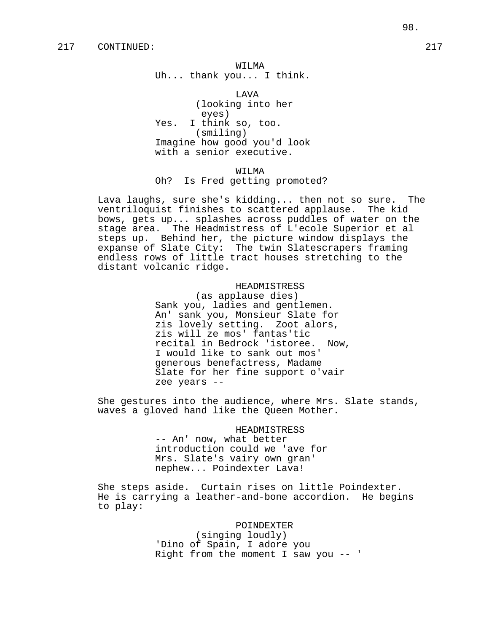#### WILMA

Uh... thank you... I think.

LAVA (looking into her eyes) Yes. I think so, too. (smiling) Imagine how good you'd look with a senior executive.

# WILMA Oh? Is Fred getting promoted?

Lava laughs, sure she's kidding... then not so sure. The ventriloquist finishes to scattered applause. The kid bows, gets up... splashes across puddles of water on the stage area. The Headmistress of L'ecole Superior et al steps up. Behind her, the picture window displays the expanse of Slate City: The twin Slatescrapers framing endless rows of little tract houses stretching to the distant volcanic ridge.

> HEADMISTRESS (as applause dies) Sank you, ladies and gentlemen. An' sank you, Monsieur Slate for zis lovely setting. Zoot alors, zis will ze mos' fantas'tic recital in Bedrock 'istoree. Now, I would like to sank out mos' generous benefactress, Madame Slate for her fine support o'vair zee years --

She gestures into the audience, where Mrs. Slate stands, waves a gloved hand like the Queen Mother.

## HEADMISTRESS

-- An' now, what better introduction could we 'ave for Mrs. Slate's vairy own gran' nephew... Poindexter Lava!

She steps aside. Curtain rises on little Poindexter. He is carrying a leather-and-bone accordion. He begins to play:

#### POINDEXTER

(singing loudly) 'Dino of Spain, I adore you Right from the moment I saw you -- '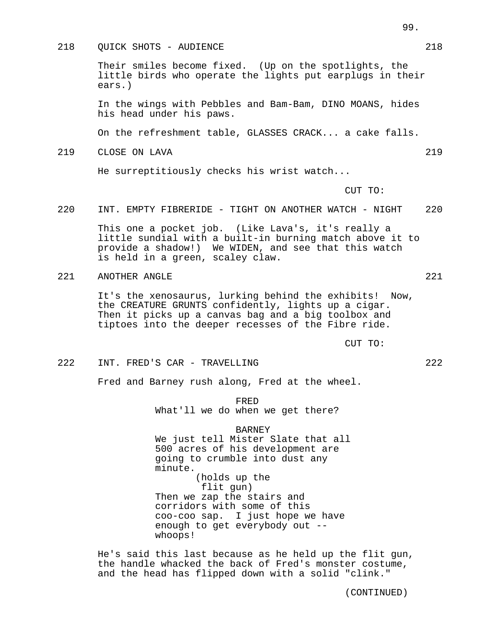## 218 OUICK SHOTS - AUDIENCE 218

Their smiles become fixed. (Up on the spotlights, the little birds who operate the lights put earplugs in their ears.)

In the wings with Pebbles and Bam-Bam, DINO MOANS, hides his head under his paws.

On the refreshment table, GLASSES CRACK... a cake falls.

219 CLOSE ON LAVA 219

He surreptitiously checks his wrist watch...

CUT TO:

220 INT. EMPTY FIBRERIDE - TIGHT ON ANOTHER WATCH - NIGHT 220

This one a pocket job. (Like Lava's, it's really a little sundial with a built-in burning match above it to provide a shadow!) We WIDEN, and see that this watch is held in a green, scaley claw.

221 ANOTHER ANGLE 221

It's the xenosaurus, lurking behind the exhibits! Now, the CREATURE GRUNTS confidently, lights up a cigar. Then it picks up a canvas bag and a big toolbox and tiptoes into the deeper recesses of the Fibre ride.

CUT TO:

222 INT. FRED'S CAR - TRAVELLING 222

Fred and Barney rush along, Fred at the wheel.

FRED What'll we do when we get there?

#### BARNEY

We just tell Mister Slate that all 500 acres of his development are going to crumble into dust any minute. (holds up the flit gun) Then we zap the stairs and

corridors with some of this coo-coo sap. I just hope we have enough to get everybody out - whoops!

He's said this last because as he held up the flit gun, the handle whacked the back of Fred's monster costume, and the head has flipped down with a solid "clink."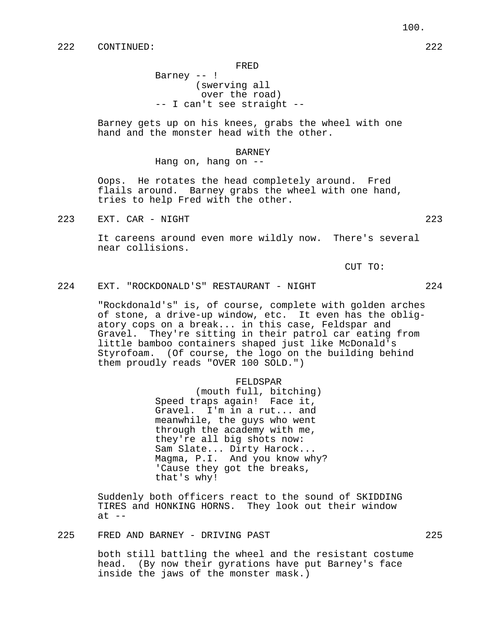Barney -- ! (swerving all over the road) -- I can't see straight --

Barney gets up on his knees, grabs the wheel with one hand and the monster head with the other.

#### BARNEY

Hang on, hang on --

Oops. He rotates the head completely around. Fred flails around. Barney grabs the wheel with one hand, tries to help Fred with the other.

223 EXT. CAR - NIGHT 223

It careens around even more wildly now. There's several near collisions.

CUT TO:

224 EXT. "ROCKDONALD'S" RESTAURANT - NIGHT 224

"Rockdonald's" is, of course, complete with golden arches of stone, a drive-up window, etc. It even has the obligatory cops on a break... in this case, Feldspar and Gravel. They're sitting in their patrol car eating from little bamboo containers shaped just like McDonald's Styrofoam. (Of course, the logo on the building behind them proudly reads "OVER 100 SOLD.")

#### FELDSPAR

(mouth full, bitching) Speed traps again! Face it, Gravel. I'm in a rut... and meanwhile, the guys who went through the academy with me, they're all big shots now: Sam Slate... Dirty Harock... Magma, P.I. And you know why? 'Cause they got the breaks, that's why!

Suddenly both officers react to the sound of SKIDDING TIRES and HONKING HORNS. They look out their window  $at --$ 

# 225 FRED AND BARNEY - DRIVING PAST 225

both still battling the wheel and the resistant costume head. (By now their gyrations have put Barney's face inside the jaws of the monster mask.)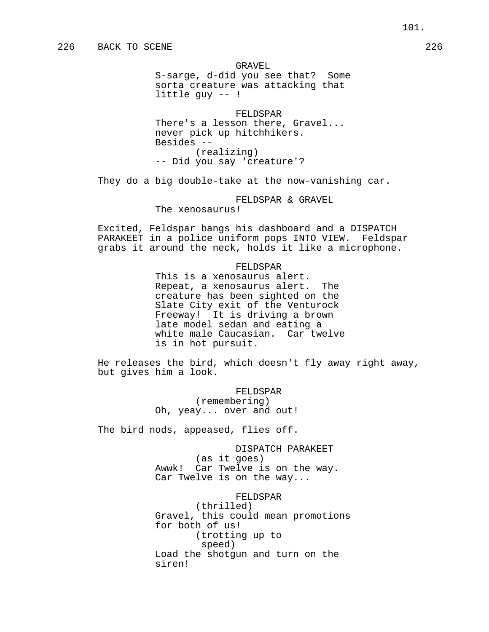#### GRAVEL

S-sarge, d-did you see that? Some sorta creature was attacking that little guy -- !

FELDSPAR There's a lesson there, Gravel... never pick up hitchhikers. Besides -- (realizing) -- Did you say 'creature'?

They do a big double-take at the now-vanishing car.

## FELDSPAR & GRAVEL The xenosaurus!

Excited, Feldspar bangs his dashboard and a DISPATCH PARAKEET in a police uniform pops INTO VIEW. Feldspar grabs it around the neck, holds it like a microphone.

## FELDSPAR

This is a xenosaurus alert. Repeat, a xenosaurus alert. The creature has been sighted on the Slate City exit of the Venturock Freeway! It is driving a brown late model sedan and eating a white male Caucasian. Car twelve is in hot pursuit.

He releases the bird, which doesn't fly away right away, but gives him a look.

> FELDSPAR (remembering) Oh, yeay... over and out!

The bird nods, appeased, flies off.

DISPATCH PARAKEET (as it goes) Awwk! Car Twelve is on the way. Car Twelve is on the way...

FELDSPAR (thrilled) Gravel, this could mean promotions for both of us! (trotting up to speed) Load the shotgun and turn on the siren!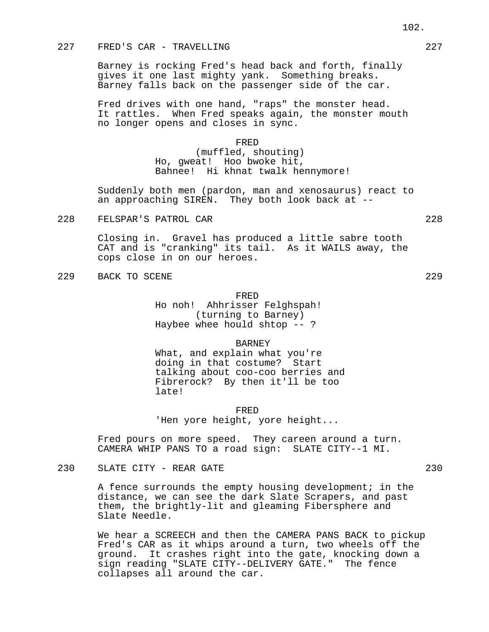## 227 FRED'S CAR - TRAVELLING 227

Barney is rocking Fred's head back and forth, finally gives it one last mighty yank. Something breaks. Barney falls back on the passenger side of the car.

Fred drives with one hand, "raps" the monster head. It rattles. When Fred speaks again, the monster mouth no longer opens and closes in sync.

FRED

(muffled, shouting) Ho, gweat! Hoo bwoke hit, Bahnee! Hi khnat twalk hennymore!

Suddenly both men (pardon, man and xenosaurus) react to an approaching SIREN. They both look back at --

228 FELSPAR'S PATROL CAR 228

Closing in. Gravel has produced a little sabre tooth CAT and is "cranking" its tail. As it WAILS away, the cops close in on our heroes.

229 BACK TO SCENE 229 229

## FRED

Ho noh! Ahhrisser Felghspah! (turning to Barney) Haybee whee hould shtop -- ?

BARNEY

What, and explain what you're doing in that costume? Start talking about coo-coo berries and Fibrerock? By then it'll be too late!

FRED 'Hen yore height, yore height...

Fred pours on more speed. They careen around a turn. CAMERA WHIP PANS TO a road sign: SLATE CITY--1 MI.

230 SLATE CITY - REAR GATE

A fence surrounds the empty housing development; in the distance, we can see the dark Slate Scrapers, and past them, the brightly-lit and gleaming Fibersphere and Slate Needle.

We hear a SCREECH and then the CAMERA PANS BACK to pickup Fred's CAR as it whips around a turn, two wheels off the ground. It crashes right into the gate, knocking down a sign reading "SLATE CITY--DELIVERY GATE." The fence collapses all around the car.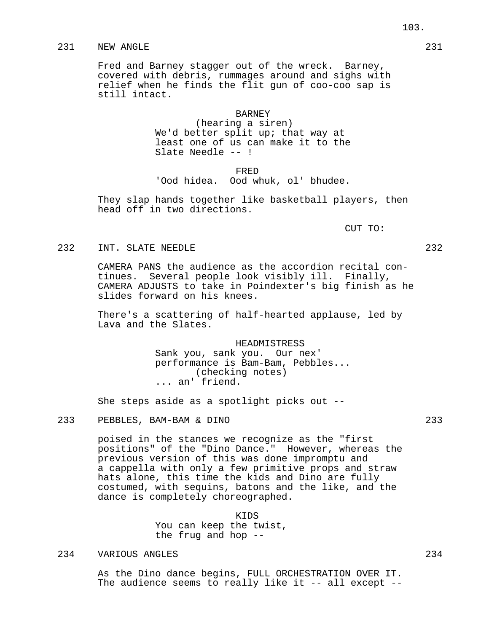# 231 NEW ANGLE 231

Fred and Barney stagger out of the wreck. Barney, covered with debris, rummages around and sighs with relief when he finds the flit gun of coo-coo sap is still intact.

> BARNEY (hearing a siren) We'd better split up; that way at least one of us can make it to the Slate Needle -- !

> FRED 'Ood hidea. Ood whuk, ol' bhudee.

They slap hands together like basketball players, then head off in two directions.

CUT TO:

# 232 INT. SLATE NEEDLE 232

CAMERA PANS the audience as the accordion recital continues. Several people look visibly ill. Finally, CAMERA ADJUSTS to take in Poindexter's big finish as he slides forward on his knees.

There's a scattering of half-hearted applause, led by Lava and the Slates.

> HEADMISTRESS Sank you, sank you. Our nex' performance is Bam-Bam, Pebbles... (checking notes) ... an' friend.

She steps aside as a spotlight picks out --

233 PEBBLES, BAM-BAM & DINO 233

poised in the stances we recognize as the "first positions" of the "Dino Dance." However, whereas the previous version of this was done impromptu and a cappella with only a few primitive props and straw hats alone, this time the kids and Dino are fully costumed, with sequins, batons and the like, and the dance is completely choreographed.

> KIDS You can keep the twist, the frug and hop --

## 234 VARIOUS ANGLES 234

As the Dino dance begins, FULL ORCHESTRATION OVER IT. The audience seems to really like it -- all except --

103.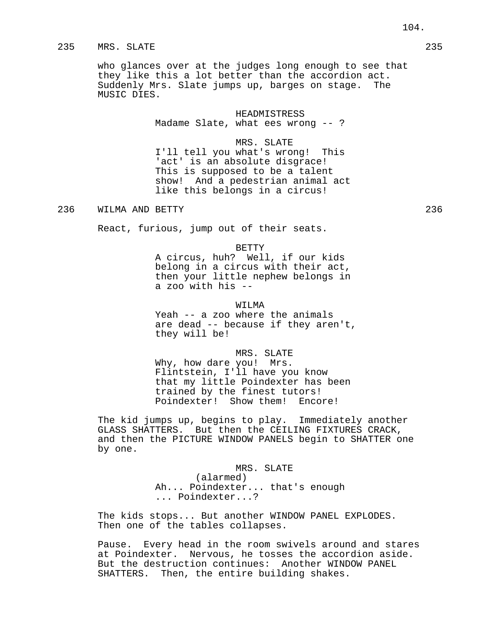who glances over at the judges long enough to see that they like this a lot better than the accordion act. Suddenly Mrs. Slate jumps up, barges on stage. The MUSIC DIES.

#### HEADMISTRESS

Madame Slate, what ees wrong -- ?

## MRS. SLATE

I'll tell you what's wrong! This 'act' is an absolute disgrace! This is supposed to be a talent show! And a pedestrian animal act like this belongs in a circus!

236 WILMA AND BETTY 236

React, furious, jump out of their seats.

#### BETTY

A circus, huh? Well, if our kids belong in a circus with their act, then your little nephew belongs in a zoo with his --

#### WTT.MA

Yeah -- a zoo where the animals are dead -- because if they aren't, they will be!

#### MRS. SLATE

Why, how dare you! Mrs. Flintstein, I'll have you know that my little Poindexter has been trained by the finest tutors! Poindexter! Show them! Encore!

The kid jumps up, begins to play. Immediately another GLASS SHATTERS. But then the CEILING FIXTURES CRACK, and then the PICTURE WINDOW PANELS begin to SHATTER one by one.

> MRS. SLATE (alarmed) Ah... Poindexter... that's enough ... Poindexter...?

The kids stops... But another WINDOW PANEL EXPLODES. Then one of the tables collapses.

Pause. Every head in the room swivels around and stares at Poindexter. Nervous, he tosses the accordion aside. But the destruction continues: Another WINDOW PANEL SHATTERS. Then, the entire building shakes.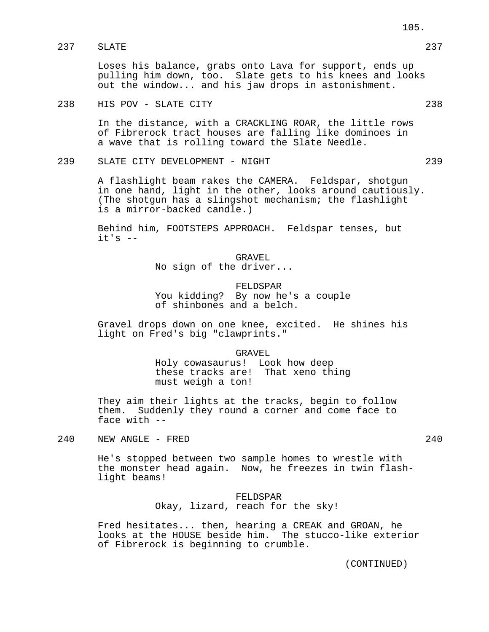# 237 SLATE 237

Loses his balance, grabs onto Lava for support, ends up pulling him down, too. Slate gets to his knees and looks out the window... and his jaw drops in astonishment.

## 238 HIS POV - SLATE CITY 238

In the distance, with a CRACKLING ROAR, the little rows of Fibrerock tract houses are falling like dominoes in a wave that is rolling toward the Slate Needle.

239 SLATE CITY DEVELOPMENT - NIGHT 239

A flashlight beam rakes the CAMERA. Feldspar, shotgun in one hand, light in the other, looks around cautiously. (The shotgun has a slingshot mechanism; the flashlight is a mirror-backed candle.)

Behind him, FOOTSTEPS APPROACH. Feldspar tenses, but  $it's$   $-$ 

> GRAVEL No sign of the driver...

FELDSPAR You kidding? By now he's a couple of shinbones and a belch.

Gravel drops down on one knee, excited. He shines his light on Fred's big "clawprints."

GRAVEL

Holy cowasaurus! Look how deep these tracks are! That xeno thing must weigh a ton!

They aim their lights at the tracks, begin to follow them. Suddenly they round a corner and come face to face with --

240 NEW ANGLE - FRED 240

He's stopped between two sample homes to wrestle with the monster head again. Now, he freezes in twin flashlight beams!

> FELDSPAR Okay, lizard, reach for the sky!

Fred hesitates... then, hearing a CREAK and GROAN, he looks at the HOUSE beside him. The stucco-like exterior of Fibrerock is beginning to crumble.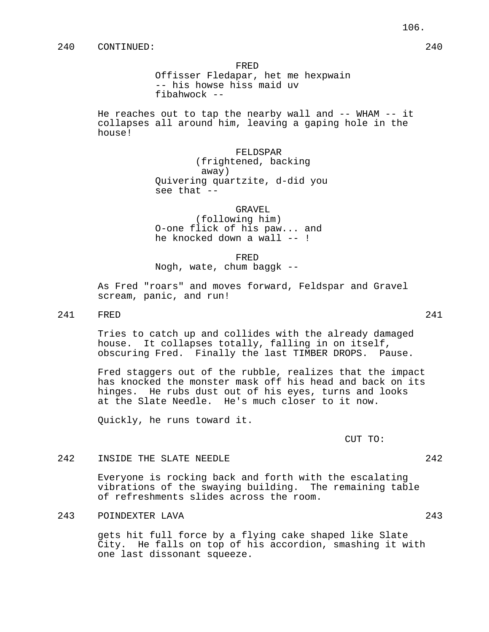Offisser Fledapar, het me hexpwain -- his howse hiss maid uv fibahwock --

He reaches out to tap the nearby wall and -- WHAM -- it collapses all around him, leaving a gaping hole in the house!

> FELDSPAR (frightened, backing away) Quivering quartzite, d-did you see that --

> > GRAVEL

(following him) O-one flick of his paw... and he knocked down a wall -- !

FRED

Nogh, wate, chum baggk --

As Fred "roars" and moves forward, Feldspar and Gravel scream, panic, and run!

241 FRED 241

Tries to catch up and collides with the already damaged house. It collapses totally, falling in on itself, obscuring Fred. Finally the last TIMBER DROPS. Pause.

Fred staggers out of the rubble, realizes that the impact has knocked the monster mask off his head and back on its hinges. He rubs dust out of his eyes, turns and looks at the Slate Needle. He's much closer to it now.

Quickly, he runs toward it.

CUT TO:

# 242 INSIDE THE SLATE NEEDLE 242

Everyone is rocking back and forth with the escalating vibrations of the swaying building. The remaining table of refreshments slides across the room.

243 POINDEXTER LAVA 243

gets hit full force by a flying cake shaped like Slate City. He falls on top of his accordion, smashing it with one last dissonant squeeze.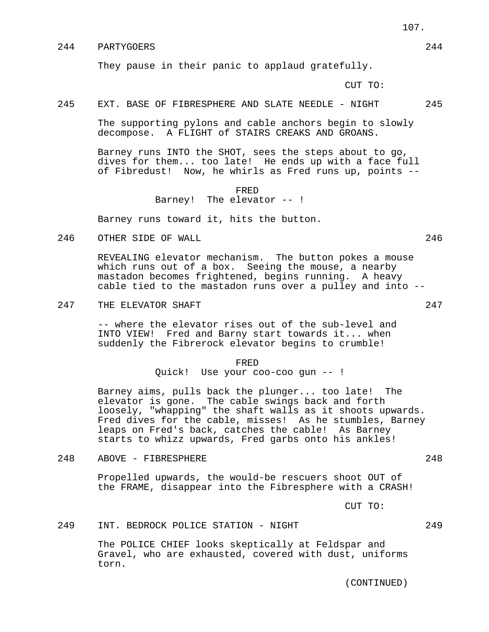# 244 PARTYGOERS 244

They pause in their panic to applaud gratefully.

CUT TO:

# 245 EXT. BASE OF FIBRESPHERE AND SLATE NEEDLE - NIGHT 245

The supporting pylons and cable anchors begin to slowly decompose. A FLIGHT of STAIRS CREAKS AND GROANS.

Barney runs INTO the SHOT, sees the steps about to go, dives for them... too late! He ends up with a face full of Fibredust! Now, he whirls as Fred runs up, points --

#### FRED

Barney! The elevator -- !

Barney runs toward it, hits the button.

246 OTHER SIDE OF WALL 246

REVEALING elevator mechanism. The button pokes a mouse which runs out of a box. Seeing the mouse, a nearby mastadon becomes frightened, begins running. A heavy cable tied to the mastadon runs over a pulley and into --

247 THE ELEVATOR SHAFT 247

-- where the elevator rises out of the sub-level and INTO VIEW! Fred and Barny start towards it... when suddenly the Fibrerock elevator begins to crumble!

FRED

Quick! Use your coo-coo gun -- !

Barney aims, pulls back the plunger... too late! The elevator is gone. The cable swings back and forth loosely, "whapping" the shaft walls as it shoots upwards. Fred dives for the cable, misses! As he stumbles, Barney leaps on Fred's back, catches the cable! As Barney starts to whizz upwards, Fred garbs onto his ankles!

248 ABOVE - FIBRESPHERE 248

Propelled upwards, the would-be rescuers shoot OUT of the FRAME, disappear into the Fibresphere with a CRASH!

CUT TO:

249 INT. BEDROCK POLICE STATION - NIGHT 249

The POLICE CHIEF looks skeptically at Feldspar and Gravel, who are exhausted, covered with dust, uniforms torn.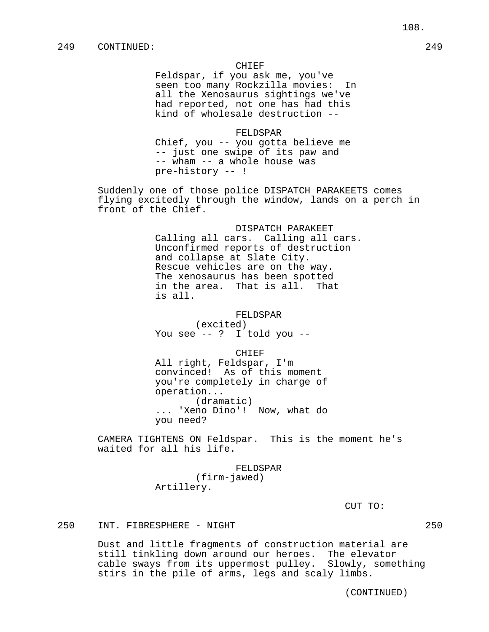Feldspar, if you ask me, you've seen too many Rockzilla movies: In all the Xenosaurus sightings we've had reported, not one has had this kind of wholesale destruction --

FELDSPAR Chief, you -- you gotta believe me -- just one swipe of its paw and -- wham -- a whole house was pre-history -- !

Suddenly one of those police DISPATCH PARAKEETS comes flying excitedly through the window, lands on a perch in front of the Chief.

> DISPATCH PARAKEET Calling all cars. Calling all cars. Unconfirmed reports of destruction and collapse at Slate City. Rescue vehicles are on the way. The xenosaurus has been spotted in the area. That is all. That is all.

> > FELDSPAR (excited)

You see -- ? I told you --

CHIEF

All right, Feldspar, I'm convinced! As of this moment you're completely in charge of operation... (dramatic) ... 'Xeno Dino'! Now, what do you need?

CAMERA TIGHTENS ON Feldspar. This is the moment he's waited for all his life.

FELDSPAR

(firm-jawed) Artillery.

CUT TO:

250 INT. FIBRESPHERE - NIGHT 250

Dust and little fragments of construction material are still tinkling down around our heroes. The elevator cable sways from its uppermost pulley. Slowly, something stirs in the pile of arms, legs and scaly limbs.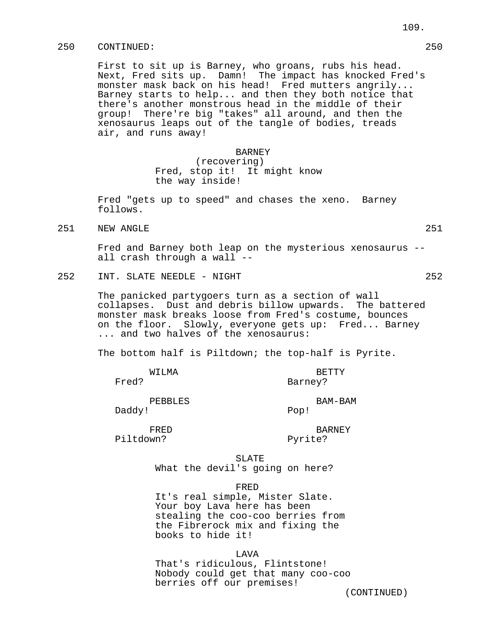First to sit up is Barney, who groans, rubs his head. Next, Fred sits up. Damn! The impact has knocked Fred's monster mask back on his head! Fred mutters angrily... Barney starts to help... and then they both notice that there's another monstrous head in the middle of their group! There're big "takes" all around, and then the xenosaurus leaps out of the tangle of bodies, treads air, and runs away!

# **BARNEY** (recovering) Fred, stop it! It might know the way inside!

Fred "gets up to speed" and chases the xeno. Barney follows.

251 NEW ANGLE 251 251

Fred and Barney both leap on the mysterious xenosaurus - all crash through a wall --

252 INT. SLATE NEEDLE - NIGHT 252

The panicked partygoers turn as a section of wall collapses. Dust and debris billow upwards. The battered monster mask breaks loose from Fred's costume, bounces on the floor. Slowly, everyone gets up: Fred... Barney ... and two halves of the xenosaurus:

The bottom half is Piltdown; the top-half is Pyrite.

| WILMA   | <b>BETTY</b> |
|---------|--------------|
| Fred?   | Barney?      |
| PEBBLES | BAM-BAM      |
| Daddy!  | Pop!         |

Piltdown? Pyrite?

FRED BARNEY

SLATE What the devil's going on here?

FRED

It's real simple, Mister Slate. Your boy Lava here has been stealing the coo-coo berries from the Fibrerock mix and fixing the books to hide it!

#### LAVA

That's ridiculous, Flintstone! Nobody could get that many coo-coo berries off our premises!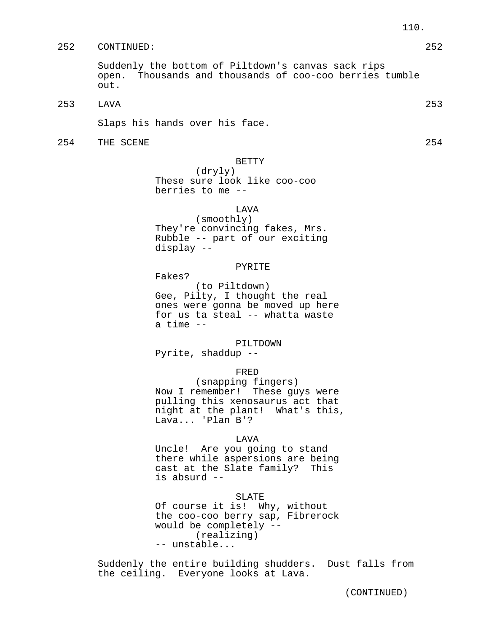Suddenly the bottom of Piltdown's canvas sack rips open. Thousands and thousands of coo-coo berries tumble out.

253 LAVA 253

Slaps his hands over his face.

254 THE SCENE 254 254

BETTY

(dryly) These sure look like coo-coo berries to me --

# LAVA

(smoothly) They're convincing fakes, Mrs. Rubble -- part of our exciting display --

#### PYRITE

Fakes?

(to Piltdown) Gee, Pilty, I thought the real ones were gonna be moved up here for us ta steal -- whatta waste a time --

# PILTDOWN

Pyrite, shaddup --

## FRED

(snapping fingers) Now I remember! These guys were pulling this xenosaurus act that night at the plant! What's this, Lava... 'Plan B'?

## LAVA

Uncle! Are you going to stand there while aspersions are being cast at the Slate family? This is absurd --

#### SLATE

Of course it is! Why, without the coo-coo berry sap, Fibrerock would be completely -- (realizing) -- unstable...

Suddenly the entire building shudders. Dust falls from the ceiling. Everyone looks at Lava.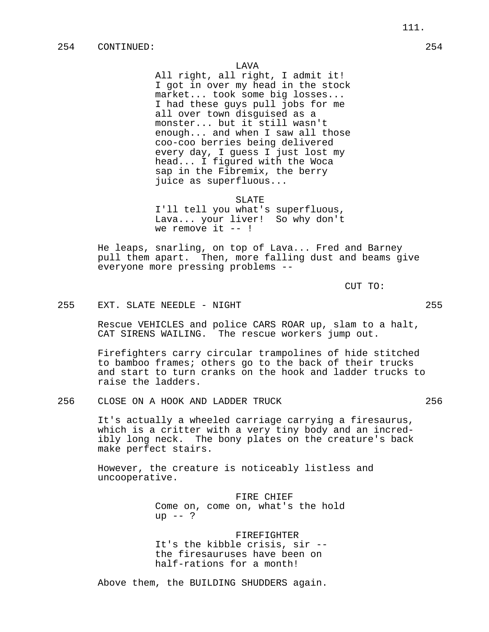All right, all right, I admit it! I got in over my head in the stock market... took some big losses... I had these guys pull jobs for me all over town disguised as a monster... but it still wasn't enough... and when I saw all those coo-coo berries being delivered every day, I guess I just lost my head... I figured with the Woca sap in the Fibremix, the berry juice as superfluous...

#### SLATE

I'll tell you what's superfluous, Lava... your liver! So why don't we remove it  $--$  !

He leaps, snarling, on top of Lava... Fred and Barney pull them apart. Then, more falling dust and beams give everyone more pressing problems --

CUT TO:

## 255 EXT. SLATE NEEDLE - NIGHT 255

Rescue VEHICLES and police CARS ROAR up, slam to a halt, CAT SIRENS WAILING. The rescue workers jump out.

Firefighters carry circular trampolines of hide stitched to bamboo frames; others go to the back of their trucks and start to turn cranks on the hook and ladder trucks to raise the ladders.

256 CLOSE ON A HOOK AND LADDER TRUCK 256

It's actually a wheeled carriage carrying a firesaurus, which is a critter with a very tiny body and an incredibly long neck. The bony plates on the creature's back make perfect stairs.

However, the creature is noticeably listless and uncooperative.

> FIRE CHIEF Come on, come on, what's the hold up  $--$  ?

FIREFIGHTER It's the kibble crisis, sir - the firesauruses have been on half-rations for a month!

Above them, the BUILDING SHUDDERS again.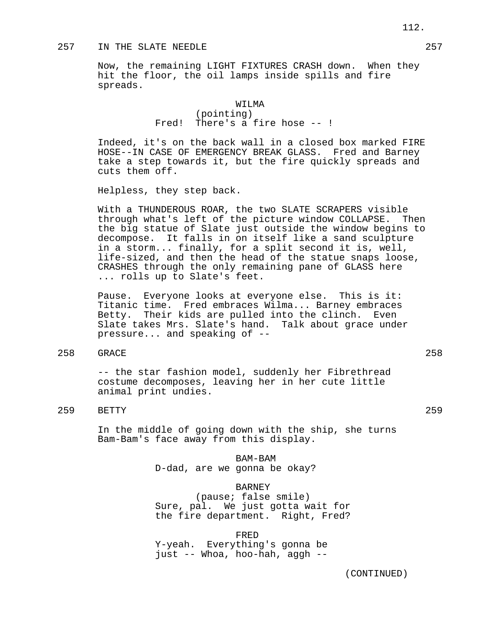# 257 IN THE SLATE NEEDLE 257

Now, the remaining LIGHT FIXTURES CRASH down. When they hit the floor, the oil lamps inside spills and fire spreads.

# WILMA (pointing) Fred! There's a fire hose -- !

Indeed, it's on the back wall in a closed box marked FIRE HOSE--IN CASE OF EMERGENCY BREAK GLASS. Fred and Barney take a step towards it, but the fire quickly spreads and cuts them off.

Helpless, they step back.

With a THUNDEROUS ROAR, the two SLATE SCRAPERS visible through what's left of the picture window COLLAPSE. Then the big statue of Slate just outside the window begins to decompose. It falls in on itself like a sand sculpture in a storm... finally, for a split second it is, well, life-sized, and then the head of the statue snaps loose, CRASHES through the only remaining pane of GLASS here ... rolls up to Slate's feet.

Pause. Everyone looks at everyone else. This is it: Titanic time. Fred embraces Wilma... Barney embraces Betty. Their kids are pulled into the clinch. Even Slate takes Mrs. Slate's hand. Talk about grace under pressure... and speaking of --

# 258 GRACE 258

-- the star fashion model, suddenly her Fibrethread costume decomposes, leaving her in her cute little animal print undies.

# 259 BETTY 259

In the middle of going down with the ship, she turns Bam-Bam's face away from this display.

> BAM-BAM D-dad, are we gonna be okay?

### BARNEY

(pause; false smile) Sure, pal. We just gotta wait for the fire department. Right, Fred?

FRED

Y-yeah. Everything's gonna be just -- Whoa, hoo-hah, aggh --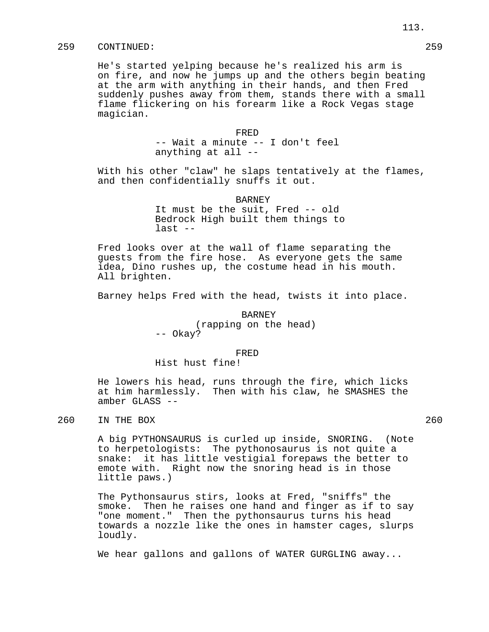He's started yelping because he's realized his arm is on fire, and now he jumps up and the others begin beating at the arm with anything in their hands, and then Fred suddenly pushes away from them, stands there with a small flame flickering on his forearm like a Rock Vegas stage magician.

> FRED -- Wait a minute -- I don't feel anything at all --

With his other "claw" he slaps tentatively at the flames, and then confidentially snuffs it out.

> BARNEY It must be the suit, Fred -- old Bedrock High built them things to last --

Fred looks over at the wall of flame separating the guests from the fire hose. As everyone gets the same idea, Dino rushes up, the costume head in his mouth. All brighten.

Barney helps Fred with the head, twists it into place.

BARNEY (rapping on the head) -- Okay?

FRED

Hist hust fine!

He lowers his head, runs through the fire, which licks at him harmlessly. Then with his claw, he SMASHES the amber GLASS --

260 IN THE BOX 260 2250 2260

A big PYTHONSAURUS is curled up inside, SNORING. (Note to herpetologists: The pythonosaurus is not quite a snake: it has little vestigial forepaws the better to emote with. Right now the snoring head is in those little paws.)

The Pythonsaurus stirs, looks at Fred, "sniffs" the smoke. Then he raises one hand and finger as if to say "one moment." Then the pythonsaurus turns his head towards a nozzle like the ones in hamster cages, slurps loudly.

We hear gallons and gallons of WATER GURGLING away...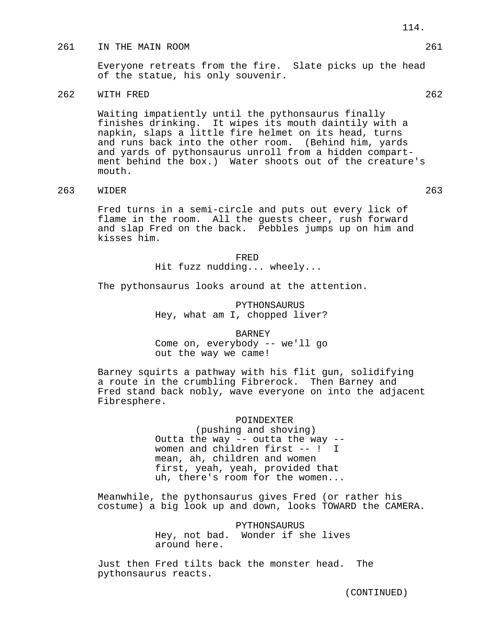## 261 IN THE MAIN ROOM 261

Everyone retreats from the fire. Slate picks up the head of the statue, his only souvenir.

# 262 WITH FRED 262

Waiting impatiently until the pythonsaurus finally finishes drinking. It wipes its mouth daintily with a napkin, slaps a little fire helmet on its head, turns and runs back into the other room. (Behind him, yards and yards of pythonsaurus unroll from a hidden compartment behind the box.) Water shoots out of the creature's mouth.

# 263 WIDER 263

Fred turns in a semi-circle and puts out every lick of flame in the room. All the guests cheer, rush forward and slap Fred on the back. Pebbles jumps up on him and kisses him.

> FRED Hit fuzz nudding... wheely...

The pythonsaurus looks around at the attention.

PYTHONSAURUS Hey, what am I, chopped liver?

#### BARNEY

Come on, everybody -- we'll go out the way we came!

Barney squirts a pathway with his flit gun, solidifying a route in the crumbling Fibrerock. Then Barney and Fred stand back nobly, wave everyone on into the adjacent Fibresphere.

#### POINDEXTER

(pushing and shoving) Outta the way  $-$  outta the way  $$ women and children first -- ! I mean, ah, children and women first, yeah, yeah, provided that uh, there's room for the women...

Meanwhile, the pythonsaurus gives Fred (or rather his costume) a big look up and down, looks TOWARD the CAMERA.

> PYTHONSAURUS Hey, not bad. Wonder if she lives around here.

Just then Fred tilts back the monster head. The pythonsaurus reacts.

114.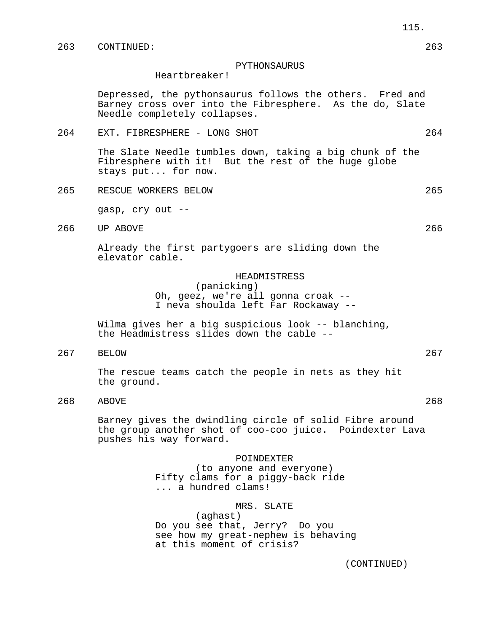### PYTHONSAURUS

Heartbreaker!

Depressed, the pythonsaurus follows the others. Fred and Barney cross over into the Fibresphere. As the do, Slate Needle completely collapses.

264 EXT. FIBRESPHERE - LONG SHOT 264

The Slate Needle tumbles down, taking a big chunk of the Fibresphere with it! But the rest of the huge globe stays put... for now.

265 RESCUE WORKERS BELOW 265

gasp, cry out --

266 UP ABOVE 266

Already the first partygoers are sliding down the elevator cable.

# HEADMISTRESS

(panicking) Oh, geez, we're all gonna croak -- I neva shoulda left Far Rockaway --

Wilma gives her a big suspicious look -- blanching, the Headmistress slides down the cable --

267 BELOW 267

The rescue teams catch the people in nets as they hit the ground.

268 ABOVE 268

Barney gives the dwindling circle of solid Fibre around the group another shot of coo-coo juice. Poindexter Lava pushes his way forward.

> POINDEXTER (to anyone and everyone) Fifty clams for a piggy-back ride ... a hundred clams!

> > MRS. SLATE

(aghast) Do you see that, Jerry? Do you see how my great-nephew is behaving at this moment of crisis?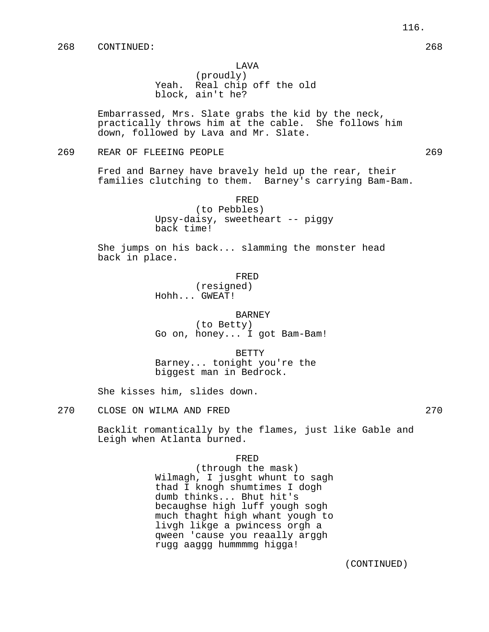## LAVA

(proudly) Yeah. Real chip off the old block, ain't he?

Embarrassed, Mrs. Slate grabs the kid by the neck, practically throws him at the cable. She follows him down, followed by Lava and Mr. Slate.

269 REAR OF FLEEING PEOPLE 269

Fred and Barney have bravely held up the rear, their families clutching to them. Barney's carrying Bam-Bam.

> FRED (to Pebbles) Upsy-daisy, sweetheart -- piggy back time!

She jumps on his back... slamming the monster head back in place.

### FRED

(resigned) Hohh... GWEAT!

#### BARNEY

(to Betty) Go on, honey... I got Bam-Bam!

BETTY Barney... tonight you're the biggest man in Bedrock.

She kisses him, slides down.

270 CLOSE ON WILMA AND FRED 270

Backlit romantically by the flames, just like Gable and Leigh when Atlanta burned.

FRED

(through the mask) Wilmagh, I jusght whunt to sagh thad I knogh shumtimes I dogh dumb thinks... Bhut hit's becaughse high luff yough sogh much thaght high whant yough to livgh likge a pwincess orgh a qween 'cause you reaally arggh rugg aaggg hummmmg higga!

116.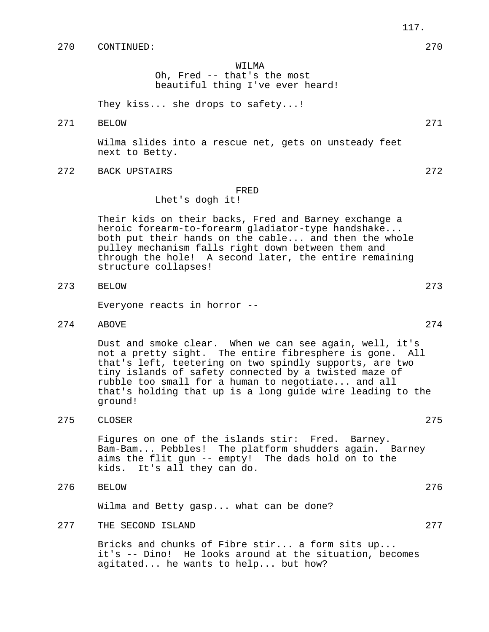# WILMA

Oh, Fred -- that's the most beautiful thing I've ever heard!

They kiss... she drops to safety...!

271 BELOW 271

Wilma slides into a rescue net, gets on unsteady feet next to Betty.

272 BACK UPSTAIRS 272

#### FRED

# Lhet's dogh it!

Their kids on their backs, Fred and Barney exchange a heroic forearm-to-forearm gladiator-type handshake... both put their hands on the cable... and then the whole pulley mechanism falls right down between them and through the hole! A second later, the entire remaining structure collapses!

273 BELOW 273

Everyone reacts in horror --

274 ABOVE 274

Dust and smoke clear. When we can see again, well, it's not a pretty sight. The entire fibresphere is gone. All that's left, teetering on two spindly supports, are two tiny islands of safety connected by a twisted maze of rubble too small for a human to negotiate... and all that's holding that up is a long guide wire leading to the ground!

275 CLOSER 275

Figures on one of the islands stir: Fred. Barney. Bam-Bam... Pebbles! The platform shudders again. Barney aims the flit gun -- empty! The dads hold on to the kids. It's all they can do.

276 BELOW 276

Wilma and Betty gasp... what can be done?

277 THE SECOND ISLAND 277 277

Bricks and chunks of Fibre stir... a form sits up... it's -- Dino! He looks around at the situation, becomes agitated... he wants to help... but how?

- 
-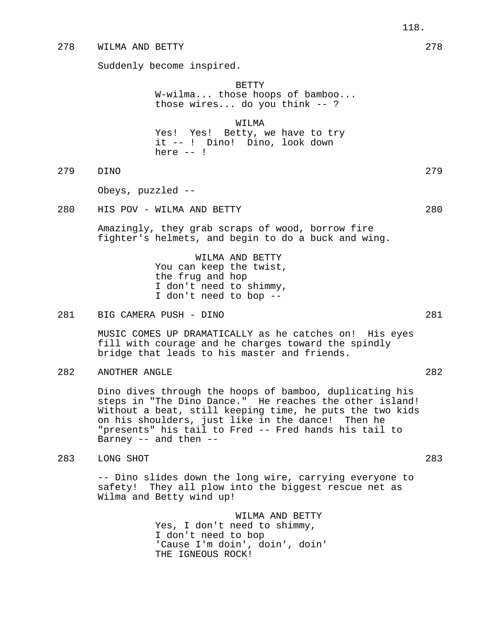## 278 WILMA AND BETTY 278

Suddenly become inspired.

BETTY W-wilma... those hoops of bamboo... those wires... do you think -- ?

WILMA Yes! Yes! Betty, we have to try it -- ! Dino! Dino, look down here -- !

279 DINO 279

Obeys, puzzled --

280 HIS POV - WILMA AND BETTY 280

Amazingly, they grab scraps of wood, borrow fire fighter's helmets, and begin to do a buck and wing.

> WILMA AND BETTY You can keep the twist, the frug and hop I don't need to shimmy, I don't need to bop --

281 BIG CAMERA PUSH - DINO 281

MUSIC COMES UP DRAMATICALLY as he catches on! His eyes fill with courage and he charges toward the spindly bridge that leads to his master and friends.

282 ANOTHER ANGLE 282

Dino dives through the hoops of bamboo, duplicating his steps in "The Dino Dance." He reaches the other island! Without a beat, still keeping time, he puts the two kids on his shoulders, just like in the dance! Then he "presents" his tail to Fred -- Fred hands his tail to Barney -- and then --

283 LONG SHOT 283

-- Dino slides down the long wire, carrying everyone to safety! They all plow into the biggest rescue net as Wilma and Betty wind up!

> WILMA AND BETTY Yes, I don't need to shimmy, I don't need to bop 'Cause I'm doin', doin', doin' THE IGNEOUS ROCK!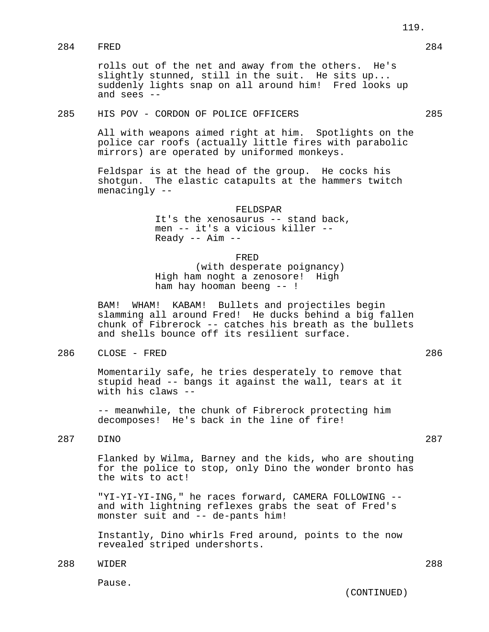rolls out of the net and away from the others. He's slightly stunned, still in the suit. He sits up... suddenly lights snap on all around him! Fred looks up and sees --

# 285 HIS POV - CORDON OF POLICE OFFICERS 285

All with weapons aimed right at him. Spotlights on the police car roofs (actually little fires with parabolic mirrors) are operated by uniformed monkeys.

Feldspar is at the head of the group. He cocks his shotgun. The elastic catapults at the hammers twitch menacingly --

#### FELDSPAR

It's the xenosaurus -- stand back, men -- it's a vicious killer --  $Ready$  --  $Aim$  --

FRED

(with desperate poignancy) High ham noght a zenosore! High ham hay hooman beeng -- !

BAM! WHAM! KABAM! Bullets and projectiles begin slamming all around Fred! He ducks behind a big fallen chunk of Fibrerock -- catches his breath as the bullets and shells bounce off its resilient surface.

286 CLOSE - FRED 286

Momentarily safe, he tries desperately to remove that stupid head -- bangs it against the wall, tears at it with his claws --

-- meanwhile, the chunk of Fibrerock protecting him decomposes! He's back in the line of fire!

287 DINO 287

Flanked by Wilma, Barney and the kids, who are shouting for the police to stop, only Dino the wonder bronto has the wits to act!

"YI-YI-YI-ING," he races forward, CAMERA FOLLOWING - and with lightning reflexes grabs the seat of Fred's monster suit and -- de-pants him!

Instantly, Dino whirls Fred around, points to the now revealed striped undershorts.

288 WIDER 288

Pause.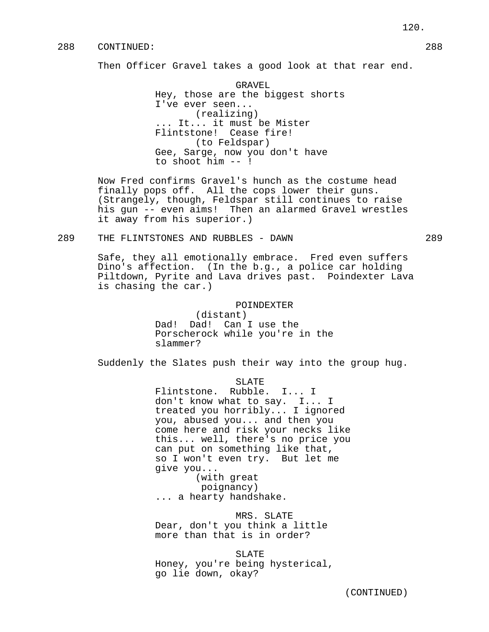Then Officer Gravel takes a good look at that rear end.

GRAVEL Hey, those are the biggest shorts I've ever seen... (realizing) ... It... it must be Mister Flintstone! Cease fire! (to Feldspar) Gee, Sarge, now you don't have to shoot him -- !

Now Fred confirms Gravel's hunch as the costume head finally pops off. All the cops lower their guns. (Strangely, though, Feldspar still continues to raise his gun -- even aims! Then an alarmed Gravel wrestles it away from his superior.)

289 THE FLINTSTONES AND RUBBLES - DAWN 289

Safe, they all emotionally embrace. Fred even suffers Dino's affection. (In the b.g., a police car holding Piltdown, Pyrite and Lava drives past. Poindexter Lava is chasing the car.)

## POINDEXTER

(distant) Dad! Dad! Can I use the Porscherock while you're in the slammer?

Suddenly the Slates push their way into the group hug.

SLATE

Flintstone. Rubble. I... I don't know what to say. I... I treated you horribly... I ignored you, abused you... and then you come here and risk your necks like this... well, there's no price you can put on something like that, so I won't even try. But let me give you... (with great

poignancy)

... a hearty handshake.

MRS. SLATE Dear, don't you think a little more than that is in order?

SLATE Honey, you're being hysterical, go lie down, okay?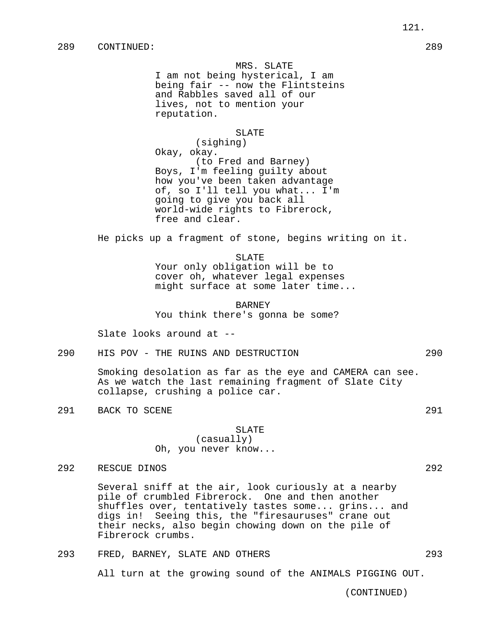MRS. SLATE I am not being hysterical, I am being fair -- now the Flintsteins and Rabbles saved all of our lives, not to mention your reputation.

#### SLATE

(sighing) Okay, okay. (to Fred and Barney) Boys, I'm feeling guilty about how you've been taken advantage of, so I'll tell you what... I'm going to give you back all world-wide rights to Fibrerock, free and clear.

He picks up a fragment of stone, begins writing on it.

SLATE

Your only obligation will be to cover oh, whatever legal expenses might surface at some later time...

BARNEY You think there's gonna be some?

Slate looks around at --

290 HIS POV - THE RUINS AND DESTRUCTION 290

Smoking desolation as far as the eye and CAMERA can see. As we watch the last remaining fragment of Slate City collapse, crushing a police car.

291 BACK TO SCENE 291

### SLATE

(casually) Oh, you never know...

292 RESCUE DINOS 292

Several sniff at the air, look curiously at a nearby pile of crumbled Fibrerock. One and then another shuffles over, tentatively tastes some... grins... and digs in! Seeing this, the "firesauruses" crane out their necks, also begin chowing down on the pile of Fibrerock crumbs.

# 293 FRED, BARNEY, SLATE AND OTHERS 293

All turn at the growing sound of the ANIMALS PIGGING OUT.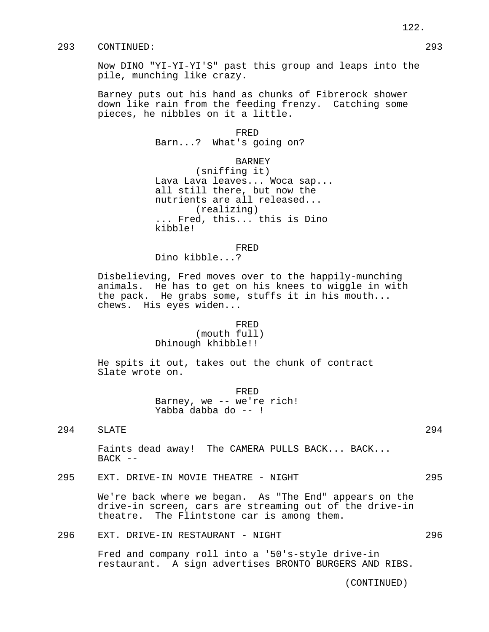Now DINO "YI-YI-YI'S" past this group and leaps into the pile, munching like crazy.

Barney puts out his hand as chunks of Fibrerock shower down like rain from the feeding frenzy. Catching some pieces, he nibbles on it a little.

> FRED Barn...? What's going on?

> > BARNEY

(sniffing it) Lava Lava leaves... Woca sap... all still there, but now the nutrients are all released... (realizing) ... Fred, this... this is Dino kibble!

FRED

Dino kibble...?

Disbelieving, Fred moves over to the happily-munching animals. He has to get on his knees to wiggle in with the pack. He grabs some, stuffs it in his mouth... chews. His eyes widen...

#### FRED

(mouth full) Dhinough khibble!!

He spits it out, takes out the chunk of contract Slate wrote on.

> FRED Barney, we -- we're rich! Yabba dabba do -- !

294 SLATE 294

Faints dead away! The CAMERA PULLS BACK... BACK...  $BACK$  --

295 EXT. DRIVE-IN MOVIE THEATRE - NIGHT 295

We're back where we began. As "The End" appears on the drive-in screen, cars are streaming out of the drive-in theatre. The Flintstone car is among them.

296 EXT. DRIVE-IN RESTAURANT - NIGHT 296

Fred and company roll into a '50's-style drive-in restaurant. A sign advertises BRONTO BURGERS AND RIBS.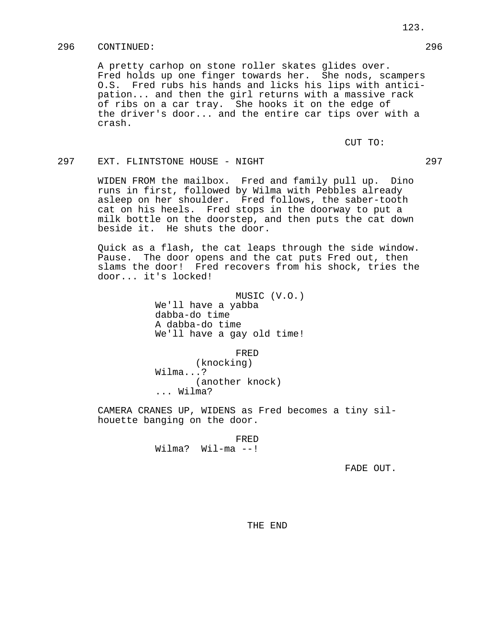A pretty carhop on stone roller skates glides over. Fred holds up one finger towards her. She nods, scampers O.S. Fred rubs his hands and licks his lips with anticipation... and then the girl returns with a massive rack of ribs on a car tray. She hooks it on the edge of the driver's door... and the entire car tips over with a crash.

CUT TO:

## 297 EXT. FLINTSTONE HOUSE - NIGHT 297

WIDEN FROM the mailbox. Fred and family pull up. Dino runs in first, followed by Wilma with Pebbles already asleep on her shoulder. Fred follows, the saber-tooth cat on his heels. Fred stops in the doorway to put a milk bottle on the doorstep, and then puts the cat down beside it. He shuts the door.

Quick as a flash, the cat leaps through the side window. Pause. The door opens and the cat puts Fred out, then slams the door! Fred recovers from his shock, tries the door... it's locked!

> MUSIC (V.O.) We'll have a yabba dabba-do time A dabba-do time We'll have a gay old time!

> > FRED

(knocking) Wilma...? (another knock) ... Wilma?

CAMERA CRANES UP, WIDENS as Fred becomes a tiny silhouette banging on the door.

> FRED Wilma? Wil-ma --!

> > FADE OUT.

THE END